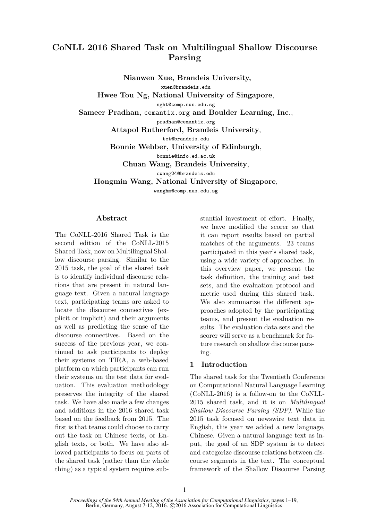# **CoNLL 2016 Shared Task on Multilingual Shallow Discourse Parsing**

**Nianwen Xue, Brandeis University,** xuen@brandeis.edu **Hwee Tou Ng, National University of Singapore**, nght@comp.nus.edu.sg **Sameer Pradhan,** cemantix.org **and Boulder Learning, Inc.**, pradhan@cemantix.org **Attapol Rutherford, Brandeis University**, tet@brandeis.edu **Bonnie Webber, University of Edinburgh**, bonnie@info.ed.ac.uk **Chuan Wang, Brandeis University**, cwang24@brandeis.edu **Hongmin Wang, National University of Singapore**, wanghm@comp.nus.edu.sg

## **Abstract**

The CoNLL-2016 Shared Task is the second edition of the CoNLL-2015 Shared Task, now on Multilingual Shallow discourse parsing. Similar to the 2015 task, the goal of the shared task is to identify individual discourse relations that are present in natural language text. Given a natural language text, participating teams are asked to locate the discourse connectives (explicit or implicit) and their arguments as well as predicting the sense of the discourse connectives. Based on the success of the previous year, we continued to ask participants to deploy their systems on TIRA, a web-based platform on which participants can run their systems on the test data for evaluation. This evaluation methodology preserves the integrity of the shared task. We have also made a few changes and additions in the 2016 shared task based on the feedback from 2015. The first is that teams could choose to carry out the task on Chinese texts, or English texts, or both. We have also allowed participants to focus on parts of the shared task (rather than the whole thing) as a typical system requires substantial investment of effort. Finally, we have modified the scorer so that it can report results based on partial matches of the arguments. 23 teams participated in this year's shared task, using a wide variety of approaches. In this overview paper, we present the task definition, the training and test sets, and the evaluation protocol and metric used during this shared task. We also summarize the different approaches adopted by the participating teams, and present the evaluation results. The evaluation data sets and the scorer will serve as a benchmark for future research on shallow discourse parsing.

# **1 Introduction**

The shared task for the Twentieth Conference on Computational Natural Language Learning (CoNLL-2016) is a follow-on to the CoNLL-2015 shared task, and it is on *Multilingual Shallow Discourse Parsing (SDP)*. While the 2015 task focused on newswire text data in English, this year we added a new language, Chinese. Given a natural language text as input, the goal of an SDP system is to detect and categorize discourse relations between discourse segments in the text. The conceptual framework of the Shallow Discourse Parsing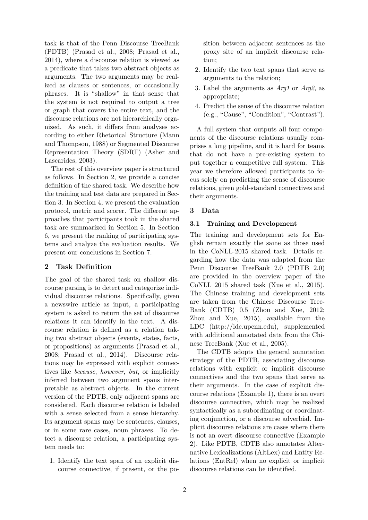task is that of the Penn Discourse TreeBank (PDTB) (Prasad et al., 2008; Prasad et al., 2014), where a discourse relation is viewed as a predicate that takes two abstract objects as arguments. The two arguments may be realized as clauses or sentences, or occasionally phrases. It is "shallow" in that sense that the system is not required to output a tree or graph that covers the entire text, and the discourse relations are not hierarchically organized. As such, it differs from analyses according to either Rhetorical Structure (Mann and Thompson, 1988) or Segmented Discourse Representation Theory (SDRT) (Asher and Lascarides, 2003).

The rest of this overview paper is structured as follows. In Section 2, we provide a concise definition of the shared task. We describe how the training and test data are prepared in Section 3. In Section 4, we present the evaluation protocol, metric and scorer. The different approaches that participants took in the shared task are summarized in Section 5. In Section 6, we present the ranking of participating systems and analyze the evaluation results. We present our conclusions in Section 7.

## **2 Task Definition**

The goal of the shared task on shallow discourse parsing is to detect and categorize individual discourse relations. Specifically, given a newswire article as input, a participating system is asked to return the set of discourse relations it can identify in the text. A discourse relation is defined as a relation taking two abstract objects (events, states, facts, or propositions) as arguments (Prasad et al., 2008; Prasad et al., 2014). Discourse relations may be expressed with explicit connectives like *because*, *however*, *but*, or implicitly inferred between two argument spans interpretable as abstract objects. In the current version of the PDTB, only adjacent spans are considered. Each discourse relation is labeled with a sense selected from a sense hierarchy. Its argument spans may be sentences, clauses, or in some rare cases, noun phrases. To detect a discourse relation, a participating system needs to:

1. Identify the text span of an explicit discourse connective, if present, or the position between adjacent sentences as the proxy site of an implicit discourse relation;

- 2. Identify the two text spans that serve as arguments to the relation;
- 3. Label the arguments as *Arg1* or *Arg2*, as appropriate;
- 4. Predict the sense of the discourse relation (e.g., "Cause", "Condition", "Contrast").

A full system that outputs all four components of the discourse relations usually comprises a long pipeline, and it is hard for teams that do not have a pre-existing system to put together a competitive full system. This year we therefore allowed participants to focus solely on predicting the sense of discourse relations, given gold-standard connectives and their arguments.

# **3 Data**

# **3.1 Training and Development**

The training and development sets for English remain exactly the same as those used in the CoNLL-2015 shared task. Details regarding how the data was adapted from the Penn Discourse TreeBank 2.0 (PDTB 2.0) are provided in the overview paper of the CoNLL 2015 shared task (Xue et al., 2015). The Chinese training and development sets are taken from the Chinese Discourse Tree-Bank (CDTB) 0.5 (Zhou and Xue, 2012; Zhou and Xue, 2015), available from the LDC (http://ldc.upenn.edu), supplemented with additional annotated data from the Chinese TreeBank (Xue et al., 2005).

The CDTB adopts the general annotation strategy of the PDTB, associating discourse relations with explicit or implicit discourse connectives and the two spans that serve as their arguments. In the case of explicit discourse relations (Example 1), there is an overt discourse connective, which may be realized syntactically as a subordinating or coordinating conjunction, or a discourse adverbial. Implicit discourse relations are cases where there is not an overt discourse connective (Example 2). Like PDTB, CDTB also annotates Alternative Lexicalizations (AltLex) and Entity Relations (EntRel) when no explicit or implicit discourse relations can be identified.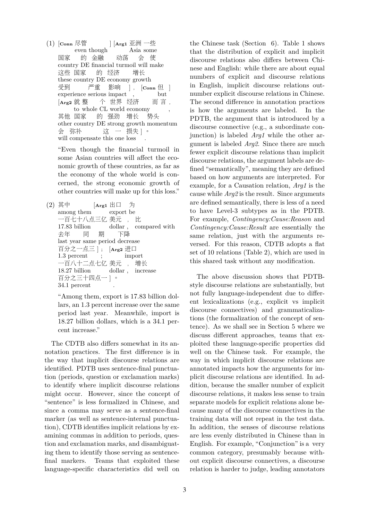(1) [**Conn** 尽管 even though ] [**Arg1** 亚洲 一些 Asia some 国家 country DE financial turmoil will make 的 金融 动荡 会 使 这些 国家 these country DE economy growth 的 经济 增长 受到 experience serious impact 严重 影响  $\vert$ ,  $\vert$ Conn  $\vert$ , but [**Arg2** 就 整 to whole CL world economy 个 世界 经济 而 言 , , 其他 国家 other country DE strong growth momentum 的 强劲 增长 势头 会 弥补 will compensate this one loss 这 一 损失 ]。 .

"Even though the financial turmoil in some Asian countries will affect the economic growth of these countries, as far as the economy of the whole world is concerned, the strong economic growth of other countries will make up for this loss."

(2) 其中 among them  $[Arg1 \n\amalg \Box]$ export be 为 一百七十八点三亿 美元 17.83 billion dollar , , 比 compared with 去年 last year same period decrease 同 期 下降 百分之一点三 ] ; 1.3 percent ; [**Arg2** 进口 import 一百八十二点七亿 美元 18.27 billion dollar , increase , 增长 百分之三十四点一 ] 。 34.1 percent .

"Among them, export is 17.83 billion dollars, an 1.3 percent increase over the same period last year. Meanwhile, import is 18.27 billion dollars, which is a 34.1 percent increase."

The CDTB also differs somewhat in its annotation practices. The first difference is in the way that implicit discourse relations are identified. PDTB uses sentence-final punctuation (periods, question or exclamation marks) to identify where implicit discourse relations might occur. However, since the concept of "sentence" is less formalized in Chinese, and since a comma may serve as a sentence-final marker (as well as sentence-internal punctuation), CDTB identifies implicit relations by examining commas in addition to periods, question and exclamation marks, and disambiguating them to identify those serving as sentencefinal markers. Teams that exploited these language-specific characteristics did well on

the Chinese task (Section 6). Table 1 shows that the distribution of explicit and implicit discourse relations also differs between Chinese and English: while there are about equal numbers of explicit and discourse relations in English, implicit discourse relations outnumber explicit discourse relations in Chinese. The second difference in annotation practices is how the arguments are labeled. In the PDTB, the argument that is introduced by a discourse connective (e.g., a subordinate conjunction) is labeled *Arg1* while the other argument is labeled *Arg2*. Since there are much fewer explicit discourse relations than implicit discourse relations, the argument labels are defined "semantically", meaning they are defined based on how arguments are interpreted. For example, for a Causation relation, *Arg1* is the cause while *Arg2* is the result. Since arguments are defined semantically, there is less of a need to have Level-3 subtypes as in the PDTB. For example, *Contingency:Cause:Reason* and *Contingency:Cause:Result* are essentially the same relation, just with the arguments reversed. For this reason, CDTB adopts a flat set of 10 relations (Table 2), which are used in this shared task without any modification.

The above discussion shows that PDTBstyle discourse relations are substantially, but not fully language-independent due to different lexicalizations (e.g., explicit vs implicit discourse connectives) and grammaticalizations (the formalization of the concept of sentence). As we shall see in Section 5 where we discuss different approaches, teams that exploited these language-specific properties did well on the Chinese task. For example, the way in which implicit discourse relations are annotated impacts how the arguments for implicit discourse relations are identified. In addition, because the smaller number of explicit discourse relations, it makes less sense to train separate models for explicit relations alone because many of the discourse connectives in the training data will not repeat in the test data. In addition, the senses of discourse relations are less evenly distributed in Chinese than in English. For example, "Conjunction" is a very common category, presumably because without explicit discourse connectives, a discourse relation is harder to judge, leading annotators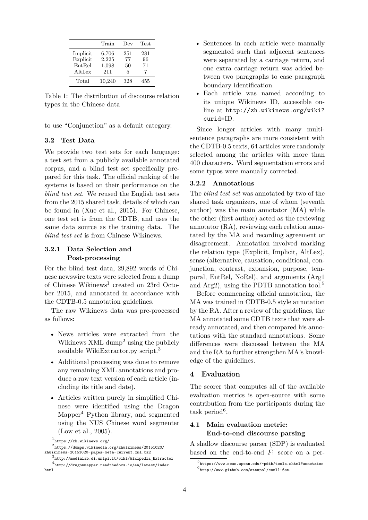|          | Train  | Dev | Test |
|----------|--------|-----|------|
| Implicit | 6,706  | 251 | 281  |
| Explicit | 2,225  | 77  | 96   |
| EntRel   | 1,098  | 50  | 71   |
| AltLex   | 211    | 5   |      |
| Total    | 10,240 | 328 | 455  |

Table 1: The distribution of discourse relation types in the Chinese data

to use "Conjunction" as a default category.

#### **3.2 Test Data**

We provide two test sets for each language: a test set from a publicly available annotated corpus, and a blind test set specifically prepared for this task. The official ranking of the systems is based on their performance on the *blind test set*. We reused the English test sets from the 2015 shared task, details of which can be found in (Xue et al., 2015). For Chinese, one test set is from the CDTB, and uses the same data source as the training data. The *blind test set* is from Chinese Wikinews.

#### **3.2.1 Data Selection and Post-processing**

For the blind test data, 29,892 words of Chinese newswire texts were selected from a dump of Chinese Wikinews<sup>1</sup> created on 23rd October 2015, and annotated in accordance with the CDTB-0.5 annotation guidelines.

The raw Wikinews data was pre-processed as follows:

- News articles were extracted from the Wikinews XML dump<sup>2</sup> using the publicly available WikiExtractor.py script.<sup>3</sup>
- Additional processing was done to remove any remaining XML annotations and produce a raw text version of each article (including its title and date).
- Articles written purely in simplified Chinese were identified using the Dragon Mapper<sup>4</sup> Python library, and segmented using the NUS Chinese word segmenter (Low et al., 2005).
- Sentences in each article were manually segmented such that adjacent sentences were separated by a carriage return, and one extra carriage return was added between two paragraphs to ease paragraph boundary identification.
- Each article was named according to its unique Wikinews ID, accessible online at http://zh.wikinews.org/wiki? curid=ID.

Since longer articles with many multisentence paragraphs are more consistent with the CDTB-0.5 texts, 64 articles were randomly selected among the articles with more than 400 characters. Word segmentation errors and some typos were manually corrected.

#### **3.2.2 Annotations**

The *blind test set* was annotated by two of the shared task organizers, one of whom (seventh author) was the main annotator (MA) while the other (first author) acted as the reviewing annotator (RA), reviewing each relation annotated by the MA and recording agreement or disagreement. Annotation involved marking the relation type (Explicit, Implicit, AltLex), sense (alternative, causation, conditional, conjunction, contrast, expansion, purpose, temporal, EntRel, NoRel), and arguments (Arg1 and Arg2), using the PDTB annotation tool.<sup>5</sup>

Before commencing official annotation, the MA was trained in CDTB-0.5 style annotation by the RA. After a review of the guidelines, the MA annotated some CDTB texts that were already annotated, and then compared his annotations with the standard annotations. Some differences were discussed between the MA and the RA to further strengthen MA's knowledge of the guidelines.

#### **4 Evaluation**

The scorer that computes all of the available evaluation metrics is open-source with some contribution from the participants during the task period<sup>6</sup>.

## **4.1 Main evaluation metric: End-to-end discourse parsing**

A shallow discourse parser (SDP) is evaluated based on the end-to-end  $F_1$  score on a per-

<sup>1</sup> https://zh.wikinews.org/

 $^2$ https://dumps.wikimedia.org/zhwikinews/20151020/ zhwikinews-20151020-pages-meta-current.xml.bz2

<sup>3</sup> http://medialab.di.unipi.it/wiki/Wikipedia\_Extractor 4 http://dragonmapper.readthedocs.io/en/latest/index. html

<sup>5</sup> https://www.seas.upenn.edu/~pdtb/tools.shtml#annotator 6 http://www.github.com/attapol/conll16st.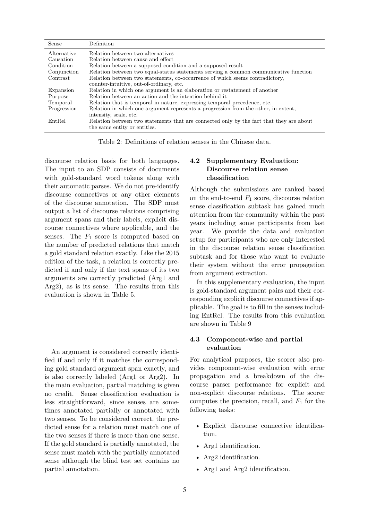| Sense       | Definition                                                                              |
|-------------|-----------------------------------------------------------------------------------------|
| Alternative | Relation between two alternatives                                                       |
| Causation   | Relation between cause and effect                                                       |
| Condition   | Relation between a supposed condition and a supposed result                             |
| Conjunction | Relation between two equal-status statements serving a common communicative function    |
| Contrast    | Relation between two statements, co-occurrence of which seems contradictory,            |
|             | counter-intuitive, out-of-ordinary, etc.                                                |
| Expansion   | Relation in which one argument is an elaboration or restatement of another              |
| Purpose     | Relation between an action and the intention behind it                                  |
| Temporal    | Relation that is temporal in nature, expressing temporal precedence, etc.               |
| Progression | Relation in which one argument represents a progression from the other, in extent,      |
|             | intensity, scale, etc.                                                                  |
| EntRel      | Relation between two statements that are connected only by the fact that they are about |
|             | the same entity or entities.                                                            |

Table 2: Definitions of relation senses in the Chinese data.

discourse relation basis for both languages. The input to an SDP consists of documents with gold-standard word tokens along with their automatic parses. We do not pre-identify discourse connectives or any other elements of the discourse annotation. The SDP must output a list of discourse relations comprising argument spans and their labels, explicit discourse connectives where applicable, and the senses. The  $F_1$  score is computed based on the number of predicted relations that match a gold standard relation exactly. Like the 2015 edition of the task, a relation is correctly predicted if and only if the text spans of its two arguments are correctly predicted (Arg1 and Arg2), as is its sense. The results from this evaluation is shown in Table 5.

An argument is considered correctly identified if and only if it matches the corresponding gold standard argument span exactly, and is also correctly labeled (Arg1 or Arg2). In the main evaluation, partial matching is given no credit. Sense classification evaluation is less straightforward, since senses are sometimes annotated partially or annotated with two senses. To be considered correct, the predicted sense for a relation must match one of the two senses if there is more than one sense. If the gold standard is partially annotated, the sense must match with the partially annotated sense although the blind test set contains no partial annotation.

## **4.2 Supplementary Evaluation: Discourse relation sense classification**

Although the submissions are ranked based on the end-to-end  $F_1$  score, discourse relation sense classification subtask has gained much attention from the community within the past years including some participants from last year. We provide the data and evaluation setup for participants who are only interested in the discourse relation sense classification subtask and for those who want to evaluate their system without the error propagation from argument extraction.

In this supplementary evaluation, the input is gold-standard argument pairs and their corresponding explicit discourse connectives if applicable. The goal is to fill in the senses including EntRel. The results from this evaluation are shown in Table 9

## **4.3 Component-wise and partial evaluation**

For analytical purposes, the scorer also provides component-wise evaluation with error propagation and a breakdown of the discourse parser performance for explicit and non-explicit discourse relations. The scorer computes the precision, recall, and  $F_1$  for the following tasks:

- Explicit discourse connective identification.
- Arg1 identification.
- Arg2 identification.
- Arg1 and Arg2 identification.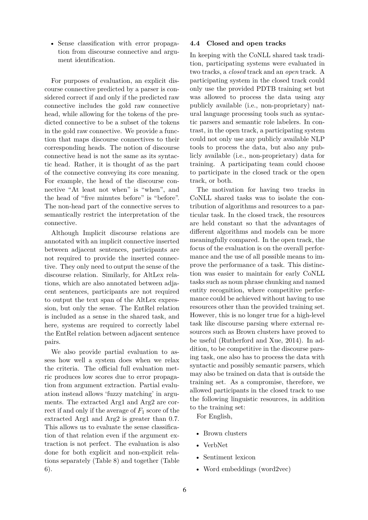• Sense classification with error propagation from discourse connective and argument identification.

For purposes of evaluation, an explicit discourse connective predicted by a parser is considered correct if and only if the predicted raw connective includes the gold raw connective head, while allowing for the tokens of the predicted connective to be a subset of the tokens in the gold raw connective. We provide a function that maps discourse connectives to their corresponding heads. The notion of discourse connective head is not the same as its syntactic head. Rather, it is thought of as the part of the connective conveying its core meaning. For example, the head of the discourse connective "At least not when" is "when", and the head of "five minutes before" is "before". The non-head part of the connective serves to semantically restrict the interpretation of the connective.

Although Implicit discourse relations are annotated with an implicit connective inserted between adjacent sentences, participants are not required to provide the inserted connective. They only need to output the sense of the discourse relation. Similarly, for AltLex relations, which are also annotated between adjacent sentences, participants are not required to output the text span of the AltLex expression, but only the sense. The EntRel relation is included as a sense in the shared task, and here, systems are required to correctly label the EntRel relation between adjacent sentence pairs.

We also provide partial evaluation to assess how well a system does when we relax the criteria. The official full evaluation metric produces low scores due to error propagation from argument extraction. Partial evaluation instead allows 'fuzzy matching' in arguments. The extracted Arg1 and Arg2 are correct if and only if the average of  $F_1$  score of the extracted Arg1 and Arg2 is greater than 0.7. This allows us to evaluate the sense classification of that relation even if the argument extraction is not perfect. The evaluation is also done for both explicit and non-explicit relations separately (Table 8) and together (Table 6).

#### **4.4 Closed and open tracks**

In keeping with the CoNLL shared task tradition, participating systems were evaluated in two tracks, a *closed* track and an *open* track. A participating system in the closed track could only use the provided PDTB training set but was allowed to process the data using any publicly available (i.e., non-proprietary) natural language processing tools such as syntactic parsers and semantic role labelers. In contrast, in the open track, a participating system could not only use any publicly available NLP tools to process the data, but also any publicly available (i.e., non-proprietary) data for training. A participating team could choose to participate in the closed track or the open track, or both.

The motivation for having two tracks in CoNLL shared tasks was to isolate the contribution of algorithms and resources to a particular task. In the closed track, the resources are held constant so that the advantages of different algorithms and models can be more meaningfully compared. In the open track, the focus of the evaluation is on the overall performance and the use of all possible means to improve the performance of a task. This distinction was easier to maintain for early CoNLL tasks such as noun phrase chunking and named entity recognition, where competitive performance could be achieved without having to use resources other than the provided training set. However, this is no longer true for a high-level task like discourse parsing where external resources such as Brown clusters have proved to be useful (Rutherford and Xue, 2014). In addition, to be competitive in the discourse parsing task, one also has to process the data with syntactic and possibly semantic parsers, which may also be trained on data that is outside the training set. As a compromise, therefore, we allowed participants in the closed track to use the following linguistic resources, in addition to the training set:

For English,

- Brown clusters
- VerbNet
- Sentiment lexicon
- Word embeddings (word2vec)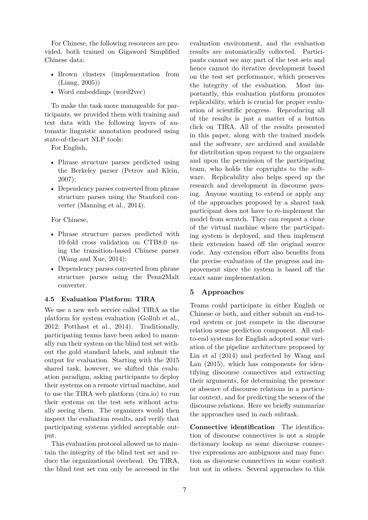For Chinese, the following resources are provided, both trained on Gigaword Simplified Chinese data:

- Brown clusters (implementation from (Liang, 2005))
- Word embeddings (word2vec)

To make the task more manageable for participants, we provided them with training and test data with the following layers of automatic linguistic annotation produced using state-of-the-art NLP tools:

For English,

- Phrase structure parses predicted using the Berkeley parser (Petrov and Klein, 2007);
- Dependency parses converted from phrase structure parses using the Stanford converter (Manning et al., 2014).

For Chinese,

- Phrase structure parses predicted with 10-fold cross validation on CTB8.0 using the transition-based Chinese parser (Wang and Xue, 2014);
- Dependency parses converted from phrase structure parses using the Penn2Malt converter.

## **4.5 Evaluation Platform: TIRA**

We use a new web service called TIRA as the platform for system evaluation (Gollub et al., 2012; Potthast et al., 2014). Traditionally, participating teams have been asked to manually run their system on the blind test set without the gold standard labels, and submit the output for evaluation. Starting with the 2015 shared task, however, we shifted this evaluation paradigm, asking participants to deploy their systems on a remote virtual machine, and to use the TIRA web platform (tira.io) to run their systems on the test sets without actually seeing them. The organizers would then inspect the evaluation results, and verify that participating systems yielded acceptable output.

This evaluation protocol allowed us to maintain the integrity of the blind test set and reduce the organizational overhead. On TIRA, the blind test set can only be accessed in the evaluation environment, and the evaluation results are automatically collected. Participants cannot see any part of the test sets and hence cannot do iterative development based on the test set performance, which preserves the integrity of the evaluation. Most importantly, this evaluation platform promotes replicability, which is crucial for proper evaluation of scientific progress. Reproducing all of the results is just a matter of a button click on TIRA. All of the results presented in this paper, along with the trained models and the software, are archived and available for distribution upon request to the organizers and upon the permission of the participating team, who holds the copyrights to the software. Replicability also helps speed up the research and development in discourse parsing. Anyone wanting to extend or apply any of the approaches proposed by a shared task participant does not have to re-implement the model from scratch. They can request a clone of the virtual machine where the participating system is deployed, and then implement their extension based off the original source code. Any extension effort also benefits from the precise evaluation of the progress and improvement since the system is based off the exact same implementation.

## **5 Approaches**

Teams could participate in either English or Chinese or both, and either submit an end-toend system or just compete in the discourse relation sense prediction component. All endto-end systems for English adopted some variation of the pipeline architecture proposed by Lin et al (2014) and perfected by Wang and Lan (2015), which has components for identifying discourse connectives and extracting their arguments, for determining the presence or absence of discourse relations in a particular context, and for predicting the senses of the discourse relations. Here we briefly summarize the approaches used in each subtask.

**Connective identification** The identification of discourse connectives is not a simple dictionary lookup as some discourse connective expressions are ambiguous and may function as discourse connectives in some context but not in others. Several approaches to this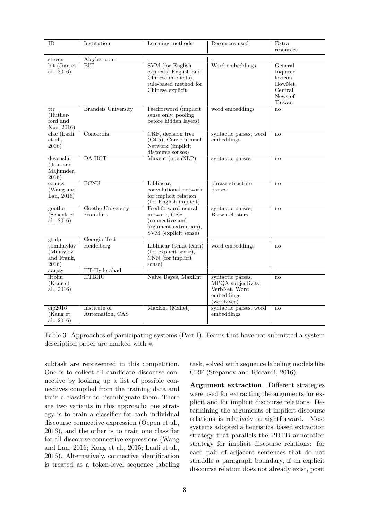| <b>ID</b>                                      | Institution                     | Learning methods                                                                                                       | Resources used                                                                       | Extra<br>resources                                                         |
|------------------------------------------------|---------------------------------|------------------------------------------------------------------------------------------------------------------------|--------------------------------------------------------------------------------------|----------------------------------------------------------------------------|
| steven<br>bit (Jian et<br>al., 2016)           | Aicyber.com<br>$\overline{BIT}$ | <b>SVM</b> (for English)<br>explicits, English and<br>Chinese implicits),<br>rule-based method for<br>Chinese explicit | Word embeddings                                                                      | General<br>Inquirer<br>lexicon,<br>HowNet,<br>Central<br>News of<br>Taiwan |
| ttr<br>(Ruther-<br>ford and<br>Xue, 2016)      | <b>Brandeis University</b>      | Feedforword (implicit<br>sense only, pooling<br>before hidden layers)                                                  | word embeddings                                                                      | no                                                                         |
| clac (Laali<br>et al.,<br>2016)                | Concordia                       | CRF, decision tree<br>$(C4.5)$ , Convolutional<br>Network (implicit<br>discourse senses)                               | syntactic parses, word<br>embeddings                                                 | no                                                                         |
| devenshu<br>(Jain and<br>Majumder,<br>2016)    | DA-IICT                         | $Maxent$ (open $NLP$ )                                                                                                 | syntactic parses                                                                     | no                                                                         |
| ecnucs<br>(Wang and<br>Lan, $2016$ )           | <b>ECNU</b>                     | Liblinear,<br>convolutional network<br>for implicit relation<br>(for English implicit)                                 | phrase structure<br>parses                                                           | no                                                                         |
| goethe<br>(Schenk et<br>al., 2016)             | Goethe University<br>Frankfurt  | Feed-forward neural<br>network, CRF<br>(connective and<br>argument extraction),<br>SVM (explicit sense)                | syntactic parses,<br>Brown clusters                                                  | no                                                                         |
| gtnlp                                          | Georgia Tech                    |                                                                                                                        |                                                                                      | $\equiv$                                                                   |
| tbmihaylov<br>(Mihaylov<br>and Frank,<br>2016) | Heidelberg                      | Liblinear (scikit-learn)<br>(for explicit sense),<br>CNN (for implicit<br>sense)                                       | word embeddings                                                                      | no                                                                         |
| aarjay                                         | <b>IIT-Hyderabad</b>            |                                                                                                                        | $\sim$                                                                               | $\equiv$                                                                   |
| iitbhu<br>(Kaur et<br>al., 2016)               | <b>IITBHU</b>                   | Naive Bayes, MaxEnt                                                                                                    | syntactic parses,<br>MPQA subjectivity,<br>VerbNet, Word<br>embeddings<br>(word2vec) | no                                                                         |
| cip2016<br>(Kang et<br>al., 2016)              | Institute of<br>Automation, CAS | MaxEnt (Mallet)                                                                                                        | syntactic parses, word<br>embeddings                                                 | no                                                                         |

Table 3: Approaches of participating systems (Part I). Teams that have not submitted a system description paper are marked with ∗.

subtask are represented in this competition. One is to collect all candidate discourse connective by looking up a list of possible connectives compiled from the training data and train a classifier to disambiguate them. There are two variants in this approach: one strategy is to train a classifier for each individual discourse connective expression (Oepen et al., 2016), and the other is to train one classifier for all discourse connective expressions (Wang and Lan, 2016; Kong et al., 2015; Laali et al., 2016). Alternatively, connective identification is treated as a token-level sequence labeling

task, solved with sequence labeling models like CRF (Stepanov and Riccardi, 2016).

**Argument extraction** Different strategies were used for extracting the arguments for explicit and for implicit discourse relations. Determining the arguments of implicit discourse relations is relatively straightforward. Most systems adopted a heuristics–based extraction strategy that parallels the PDTB annotation strategy for implicit discourse relations: for each pair of adjacent sentences that do not straddle a paragraph boundary, if an explicit discourse relation does not already exist, posit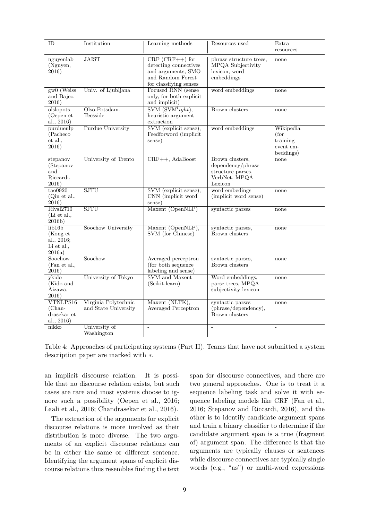| ID                                                                           | Institution                                  | Learning methods                                                                                                | Resources used                                                                        | Extra<br>resources                                      |
|------------------------------------------------------------------------------|----------------------------------------------|-----------------------------------------------------------------------------------------------------------------|---------------------------------------------------------------------------------------|---------------------------------------------------------|
| nguyenlab<br>(Nguyen,<br>2016)                                               | <b>JAIST</b>                                 | $CRF (CRF++)$ for<br>detecting connectives<br>and arguments, SMO<br>and Random Forest<br>for classifying senses | phrase structure trees,<br>MPQA Subjectivity<br>lexicon, word<br>embeddings           | none                                                    |
| gw0 (Weiss<br>and Bajec,<br>2016)                                            | Univ. of Ljubljana                           | Focused RNN (sense<br>only, for both explicit<br>and implicit)                                                  | word embeddings                                                                       | none                                                    |
| olslopots<br>(Oepen et<br>al., $2016$ )                                      | $O$ lso-Potsdam-<br>Teesside                 | $\overline{\text{SVM }(\text{SVM}^{l}ight)},$<br>heuristic argument<br>extraction                               | <b>Brown</b> clusters                                                                 | none                                                    |
| purduenlp<br>(Pacheco)<br>et al.,<br>2016)                                   | <b>Purdue University</b>                     | SVM (explicit sense),<br>Feedforword (implicit<br>sense)                                                        | word embeddings                                                                       | Wikipedia<br>(for<br>training<br>event em-<br>beddings) |
| stepanov<br>(Stepanov<br>and<br>Riccardi,<br>2016)                           | University of Trento                         | CRF++, AdaBoost                                                                                                 | Brown clusters,<br>dependency/phrase<br>structure parses,<br>VerbNet, MPQA<br>Lexicon | none                                                    |
| $\text{tao}0920$<br>(Qin et al.,<br>2016)                                    | <b>SJTU</b>                                  | SVM (explicit sense),<br>CNN (implicit word)<br>sense)                                                          | word embedings<br>(implicit word sense)                                               | none                                                    |
| Rival2710<br>(Li et al.,<br>2016b)                                           | <b>SJTU</b>                                  | Maxent (OpenNLP)                                                                                                | syntactic parses                                                                      | none                                                    |
| $\overline{\text{lib16b}}$<br>(Kong et<br>al., 2016;<br>Li et al.,<br>2016a) | Soochow University                           | Maxent (OpenNLP),<br>SVM (for Chinese)                                                                          | syntactic parses,<br>Brown clusters                                                   | none                                                    |
| Soochow<br>(Fan et al.,<br>2016)                                             | Soochow                                      | Averaged perceptron<br>(for both sequence<br>labeling and sense)                                                | syntactic parses,<br>Brown clusters                                                   | none                                                    |
| ykido<br>(Kido and<br>Aizawa,<br>2016)                                       | University of Tokyo                          | SVM and Maxent<br>(Scikit-learn)                                                                                | Word embeddings,<br>parse trees, MPQA<br>subjectivity lexicon                         | none                                                    |
| VTNLPS16<br>(Chan-<br>drasekar et<br>al., 2016)                              | Virginia Polytechnic<br>and State University | Maxent (NLTK),<br>Averaged Perceptron                                                                           | syntactic parses<br>(phrase/dependency),<br>Brown clusters                            | none                                                    |
| nikko                                                                        | University of<br>Washington                  | $\sim$                                                                                                          | $\overline{\phantom{a}}$                                                              | $\frac{1}{2}$                                           |

Table 4: Approaches of participating systems (Part II). Teams that have not submitted a system description paper are marked with ∗.

an implicit discourse relation. It is possible that no discourse relation exists, but such cases are rare and most systems choose to ignore such a possibility (Oepen et al., 2016; Laali et al., 2016; Chandrasekar et al., 2016).

The extraction of the arguments for explicit discourse relations is more involved as their distribution is more diverse. The two arguments of an explicit discourse relations can be in either the same or different sentence. Identifying the argument spans of explicit discourse relations thus resembles finding the text span for discourse connectives, and there are two general approaches. One is to treat it a sequence labeling task and solve it with sequence labeling models like CRF (Fan et al., 2016; Stepanov and Riccardi, 2016), and the other is to identify candidate argument spans and train a binary classifier to determine if the candidate argument span is a true (fragment of) argument span. The difference is that the arguments are typically clauses or sentences while discourse connectives are typically single words (e.g., "as") or multi-word expressions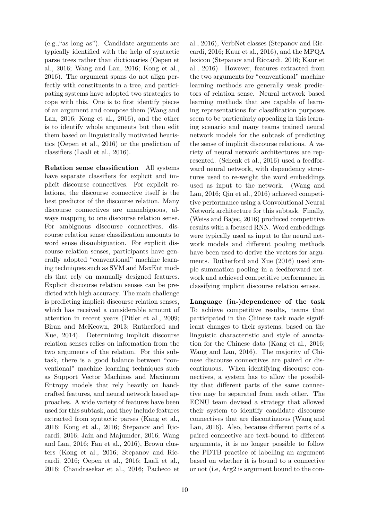(e.g.,"as long as"). Candidate arguments are typically identified with the help of syntactic parse trees rather than dictionaries (Oepen et al., 2016; Wang and Lan, 2016; Kong et al., 2016). The argument spans do not align perfectly with constituents in a tree, and participating systems have adopted two strategies to cope with this. One is to first identify pieces of an argument and compose them (Wang and Lan, 2016; Kong et al., 2016), and the other is to identify whole arguments but then edit them based on linguistically motivated heuristics (Oepen et al., 2016) or the prediction of classifiers (Laali et al., 2016).

**Relation sense classification** All systems have separate classifiers for explicit and implicit discourse connectives. For explicit relations, the discourse connective itself is the best predictor of the discourse relation. Many discourse connectives are unambiguous, always mapping to one discourse relation sense. For ambiguous discourse connectives, discourse relation sense classification amounts to word sense disambiguation. For explicit discourse relation senses, participants have generally adopted "conventional" machine learning techniques such as SVM and MaxEnt models that rely on manually designed features. Explicit discourse relation senses can be predicted with high accuracy. The main challenge is predicting implicit discourse relation senses, which has received a considerable amount of attention in recent years (Pitler et al., 2009; Biran and McKeown, 2013; Rutherford and Xue, 2014). Determining implicit discourse relation senses relies on information from the two arguments of the relation. For this subtask, there is a good balance between "conventional" machine learning techniques such as Support Vector Machines and Maximum Entropy models that rely heavily on handcrafted features, and neural network based approaches. A wide variety of features have been used for this subtask, and they include features extracted from syntactic parses (Kang et al., 2016; Kong et al., 2016; Stepanov and Riccardi, 2016; Jain and Majumder, 2016; Wang and Lan, 2016; Fan et al., 2016), Brown clusters (Kong et al., 2016; Stepanov and Riccardi, 2016; Oepen et al., 2016; Laali et al., 2016; Chandrasekar et al., 2016; Pacheco et

al., 2016), VerbNet classes (Stepanov and Riccardi, 2016; Kaur et al., 2016), and the MPQA lexicon (Stepanov and Riccardi, 2016; Kaur et al., 2016). However, features extracted from the two arguments for "conventional" machine learning methods are generally weak predictors of relation sense. Neural network based learning methods that are capable of learning representations for classification purposes seem to be particularly appealing in this learning scenario and many teams trained neural network models for the subtask of predicting the sense of implicit discourse relations. A variety of neural network architectures are represented. (Schenk et al., 2016) used a feedforward neural network, with dependency structures used to re-weight the word embeddings used as input to the network. (Wang and Lan, 2016; Qin et al., 2016) achieved competitive performance using a Convolutional Neural Network architecture for this subtask. Finally, (Weiss and Bajec, 2016) produced competitive results with a focused RNN. Word embeddings were typically used as input to the neural network models and different pooling methods have been used to derive the vectors for arguments. Rutherford and Xue (2016) used simple summation pooling in a feedforward network and achieved competitive performance in classifying implicit discourse relation senses.

**Language (in-)dependence of the task** To achieve competitive results, teams that participated in the Chinese task made significant changes to their systems, based on the linguistic characteristic and style of annotation for the Chinese data (Kang et al., 2016; Wang and Lan, 2016). The majority of Chinese discourse connectives are paired or discontinuous. When identifying discourse connectives, a system has to allow the possibility that different parts of the same connective may be separated from each other. The ECNU team devised a strategy that allowed their system to identify candidate discourse connectives that are discontinuous (Wang and Lan, 2016). Also, because different parts of a paired connective are text-bound to different arguments, it is no longer possible to follow the PDTB practice of labelling an argument based on whether it is bound to a connective or not (i.e, Arg2 is argument bound to the con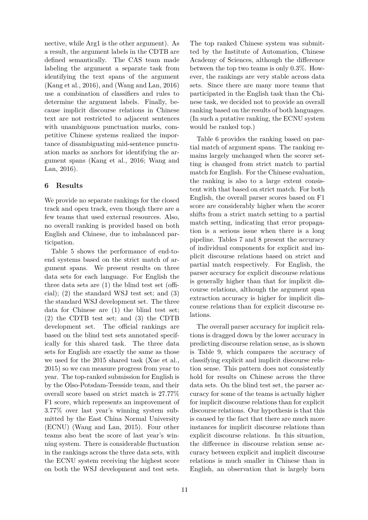nective, while Arg1 is the other argument). As a result, the argument labels in the CDTB are defined semantically. The CAS team made labeling the argument a separate task from identifying the text spans of the argument (Kang et al., 2016), and (Wang and Lan, 2016) use a combination of classifiers and rules to determine the argument labels. Finally, because implicit discourse relations in Chinese text are not restricted to adjacent sentences with unambiguous punctuation marks, competitive Chinese systems realized the importance of disambiguating mid-sentence punctuation marks as anchors for identifying the argument spans (Kang et al., 2016; Wang and Lan, 2016).

# **6 Results**

We provide no separate rankings for the closed track and open track, even though there are a few teams that used external resources. Also, no overall ranking is provided based on both English and Chinese, due to imbalanced participation.

Table 5 shows the performance of end-toend systems based on the strict match of argument spans. We present results on three data sets for each language. For English the three data sets are (1) the blind test set (official); (2) the standard WSJ test set; and (3) the standard WSJ development set. The three data for Chinese are (1) the blind test set; (2) the CDTB test set; and (3) the CDTB development set. The official rankings are based on the blind test sets annotated specifically for this shared task. The three data sets for English are exactly the same as those we used for the 2015 shared task (Xue et al., 2015) so we can measure progress from year to year. The top-ranked submission for English is by the Olso-Potsdam-Teesside team, and their overall score based on strict match is 27.77% F1 score, which represents an improvement of 3.77% over last year's winning system submitted by the East China Normal University (ECNU) (Wang and Lan, 2015). Four other teams also beat the score of last year's winning system. There is considerable fluctuation in the rankings across the three data sets, with the ECNU system receiving the highest score on both the WSJ development and test sets.

The top ranked Chinese system was submitted by the Institute of Automation, Chinese Academy of Sciences, although the difference between the top two teams is only 0.3%. However, the rankings are very stable across data sets. Since there are many more teams that participated in the English task than the Chinese task, we decided not to provide an overall ranking based on the results of both languages. (In such a putative ranking, the ECNU system would be ranked top.)

Table 6 provides the ranking based on partial match of argument spans. The ranking remains largely unchanged when the scorer setting is changed from strict match to partial match for English. For the Chinese evaluation, the ranking is also to a large extent consistent with that based on strict match. For both English, the overall parser scores based on F1 score are considerably higher when the scorer shifts from a strict match setting to a partial match setting, indicating that error propagation is a serious issue when there is a long pipeline. Tables 7 and 8 present the accuracy of individual components for explicit and implicit discourse relations based on strict and partial match respectively. For English, the parser accuracy for explicit discourse relations is generally higher than that for implicit discourse relations, although the argument span extraction accuracy is higher for implicit discourse relations than for explicit discourse relations.

The overall parser accuracy for implicit relations is dragged down by the lower accuracy in predicting discourse relation sense, as is shown is Table 9, which compares the accuracy of classifying explicit and implicit discourse relation sense. This pattern does not consistently hold for results on Chinese across the three data sets. On the blind test set, the parser accuracy for some of the teams is actually higher for implicit discourse relations than for explicit discourse relations. Our hypothesis is that this is caused by the fact that there are much more instances for implicit discourse relations than explicit discourse relations. In this situation, the difference in discourse relation sense accuracy between explicit and implicit discourse relations is much smaller in Chinese than in English, an observation that is largely born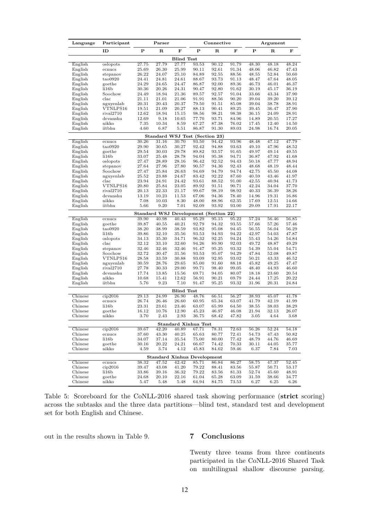| Language           | Participant           | Parser                |                | Connective        |                                    |                | $\rm{Argument}$ |                |                |                |
|--------------------|-----------------------|-----------------------|----------------|-------------------|------------------------------------|----------------|-----------------|----------------|----------------|----------------|
|                    | ID                    | $\mathbf P$           | ${\bf R}$      | F                 | $\mathbf P$                        | $\mathbf R$    | ${\bf F}$       | $\mathbf P$    | R              | F              |
|                    |                       |                       |                | <b>Blind Test</b> |                                    |                |                 |                |                |                |
| English            | oslopots              | 27.75                 | 27.79          | 27.77             | 93.53                              | 90.12          | 91.79           | 48.30          | 48.18          | 48.24          |
| English            | ecnucs                | 25.69                 | 26.30          | 25.99             | 90.11                              | 92.61          | 91.34           | 48.06          | 46.82          | 47.43          |
| English            | stepanov<br>tao0920   | 26.22                 | 24.07          | 25.10<br>24.61    | 84.89                              | 92.55          | 88.56           | 48.55          | 52.84          | 50.60<br>48.05 |
| English<br>English | goethe                | 24.41<br>24.29        | 24.81<br>24.65 | 24.47             | 88.67<br>86.87                     | 93.73<br>92.00 | 91.13<br>89.36  | 48.47<br>46.73 | 47.64<br>46.01 | 46.37          |
| English            | li16b                 | $30.36\,$             | 20.26          | 24.31             | 90.47                              | 92.80          | 91.62           | 30.19          | 45.17          | 36.19          |
| English            | Soochow               | 24.49                 | 18.94          | 21.36             | 89.57                              | 92.57          | 91.04           | 33.66          | 43.34          | 37.90          |
| English            | $_{\rm clac}$         | 21.11                 | 21.01          | 21.06             | 91.91                              | 88.56          | 90.20           | 39.04          | 39.20          | 39.12          |
| English            | nguyenlab             | 20.31                 | 20.43          | 20.37             | 79.50                              | 91.51          | 85.08           | 39.04          | 38.78          | 38.91          |
| English            | VTNLPS16              | 19.51                 | 21.09          | 20.27             | 88.13                              | 90.41          | 89.25           | 39.45          | 36.47          | 37.90          |
| English            | rival2710<br>devanshu | 12.62                 | 18.94          | 15.15             | 98.56<br>77.70                     | 98.21          | 98.38           | 36.15          | 24.09          | 28.91<br>17.27 |
| English<br>English | nikko                 | 12.69<br>7.35         | 9.18<br>10.34  | 10.65<br>8.59     | 67.27                              | 93.71<br>87.38 | 84.96<br>76.02  | 14.89<br>17.45 | 20.55<br>12.40 | 14.50          |
| English            | iitbhu                | 4.60                  | 6.87           | 5.51              | 86.87                              | 91.30          | 89.03           | 24.98          | 16.74          | 20.05          |
|                    |                       |                       |                |                   | Standard WSJ Test (Section 23)     |                |                 |                |                |                |
| English            | ecnucs                | 30.26                 | 31.16          | 30.70             | 93.50                              | 94.42          | 93.96           | 48.48          | 47.12          | 47.79          |
| English            | tao0920               | 29.90                 | 30.65          | 30.27             | 92.42                              | 94.88          | 93.63           | 49.10          | 47.96          | 48.52          |
| English            | goethe                | 29.54                 | 30.03          | 29.78             | 89.82                              | 93.57          | 91.65           | 49.97          | 49.14          | 49.55          |
| English            | li16b                 | 33.07                 | 25.48          | 28.78             | 94.04                              | 95.38          | 94.71           | 36.87          | 47.92          | 41.68          |
| English            | oslopots              | 27.47                 | 28.89          | 28.16             | 96.42                              | 92.52          | 94.43           | 50.18          | 47.77          | 48.94          |
| English<br>English | stepanov<br>Soochow   | 27.64<br>27.47        | 27.96<br>25.84 | 27.80<br>26.63    | 90.57<br>94.69                     | 94.36<br>94.79 | 92.43<br>94.74  | 48.68<br>42.75 | 48.19<br>45.50 | 48.44<br>44.08 |
| English            | nguyenlab             | 25.52                 | 23.88          | 24.67             | 83.42                              | 92.22          | 87.60           | 40.59          | 43.46          | 41.97          |
| English            | $_{\rm clac}$         | 23.94                 | 24.91          | 24.42             | 93.61                              | 88.52          | 91.00           | 42.55          | 40.94          | 41.73          |
| English            | VTNLPS16              | 20.80                 | 25.84          | 23.05             | 89.92                              | 91.51          | 90.71           | 42.24          | 34.04          | 37.70          |
| English            | rival2710             | 20.13                 | 22.33          | 21.17             | 99.67                              | 98.19          | 98.92           | 40.33          | 36.39          | 38.26          |
| English            | devanshu              | 13.19                 | 10.23          | 11.53             | 67.06                              | 94.36          | 78.40           | 14.96          | 19.31          | 16.86          |
| English            | nikko                 | 7.08                  | 10.03          | 8.30              | 48.00                              | 88.96          | 62.35           | 17.69          | 12.51          | 14.66          |
| English            | iitbhu                | 5.66                  | 9.20           | 7.01              | 92.09                              | 93.92          | 93.00           | 29.09          | 17.91          | 22.17          |
| English            | ecnucs                | Standard WSJ<br>39.90 | 40.98          | 40.43             | Development (Section 22)<br>95.29  | 95.15          | 95.22           | 57.24          | 56.46          | 56.85          |
| English            | goethe                | 39.87                 | 40.55          | 40.21             | 92.79                              | 94.32          | 93.55           | 57.66          | 57.26          | 57.46          |
| English            | tao0920               | 38.20                 | 38.99          | 38.59             | 93.82                              | 95.08          | 94.45           | 56.55          | 56.04          | 56.29          |
| English            | 1i16b                 | 39.86                 | 32.10          | 35.56             | 93.53                              | 94.93          | 94.22           | 42.97          | 54.03          | 47.87          |
| English            | oslopots              | 34.13                 | 35.30          | 34.71             | 96.32                              | 92.25          | 94.24           | 55.43          | 54.26          | 54.84          |
| English            | $_{\rm clac}$         | 32.12                 | 33.10          | 32.60             | 94.26                              | 89.90          | 92.03           | 49.72          | 48.87          | 49.29          |
| English            | stepanov<br>Soochow   | 32.46<br>32.72        | 32.46<br>30.47 | 32.46<br>31.56    | 91.47<br>93.53                     | 95.25<br>95.07 | 93.32<br>94.29  | 54.39<br>47.84 | 55.04<br>52.08 | 54.71<br>49.87 |
| English<br>English | VTNLPS16              | 28.58                 | 33.59          | 30.88             | 93.09                              | 92.95          | 93.02           | 50.21          | 43.33          | 46.52          |
| English            | nguyenlab             | 30.59                 | 28.76          | 29.65             | 85.00                              | 91.60          | 88.18           | 45.82          | 49.25          | 47.47          |
| English            | rival2710             | 27.78                 | 30.33          | 29.00             | 99.71                              | 98.40          | 99.05           | 48.40          | 44.93          | 46.60          |
| English            | devanshu              | 17.74                 | 13.85          | 15.56             | 69.71                              | 94.05          | 80.07           | 18.18          | 23.60          | 20.54          |
| English            | nikko                 | 10.68                 | 15.41          | 12.62             | 56.91                              | 90.21          | 69.79           | 24.44          | 17.25          | 20.22          |
| English            | iitbhu                | 5.76                  | 9.23           | 7.10              | 91.47                              | 95.25          | 93.32           | 31.96          | 20.31          | 24.84          |
|                    |                       |                       |                | <b>Blind Test</b> |                                    |                |                 |                |                |                |
| Chinese            | cip2016               | 29.13                 | 24.99          | 26.90             | 48.76                              | 66.51          | 56.27           | 38.93          | 45.07          | 41.78          |
| Chinese<br>Chinese | ecnucs<br>li16b       | 26.74<br>23.31        | 26.46<br>23.61 | 26.60<br>23.46    | 60.95<br>63.07                     | 65.34<br>65.99 | 63.07<br>64.50  | 41.79<br>38.55 | 42.19<br>38.03 | 41.99<br>38.29 |
| Chinese            | goethe                | 16.12                 | 10.76          | 12.90             | 45.23                              | 46.97          | 46.08           | 21.94          | 32.13          | 26.07          |
| Chinese            | nikko                 | 3.70                  | 2.43           | 2.93              | 36.75                              | 68.42          | 47.82           | 3.05           | 4.64           | 3.68           |
|                    |                       |                       |                |                   | <b>Standard Xinhua Test</b>        |                |                 |                |                |                |
| Chinese            | cip2016               | 39.67                 | 42.20          | 40.89             | 67.71                              | 78.31          | 72.63           | 56.26          | 52.24          | 54.18          |
| Chinese            | ecnucs                | 37.60                 | 43.30          | 40.25             | 65.63                              | 80.77          | 72.41           | 54.73          | 47.43          | 50.82          |
| Chinese            | li16b                 | 34.07                 | 37.14          | 35.54             | 75.00                              | 80.00          | 77.42           | 48.79          | 44.76          | 46.69          |
| Chinese            | goethe                | 30.16                 | 20.22          | 24.21             | 66.67                              | 74.42          | 70.33           | 30.11          | 44.05          | 35.77          |
| Chinese            | nikko                 | 4.59                  | 3.74           | 4.12              | 45.83                              | 84.62          | 59.46           | 6.37           | 7.84           | 7.03           |
| Chinese            |                       |                       |                | 42.42             | <b>Standard Xinhua Development</b> |                |                 | 58.75          | 47.37          | 52.45          |
| Chinese            | ecnucs<br>cip2016     | 38.32<br>39.47        | 47.52<br>43.08 | 41.20             | 85.71<br>79.22                     | 86.84<br>88.41 | 86.27<br>83.56  | 55.87          | 50.71          | 53.17          |
| Chinese            | li16b                 | 33.86                 | 39.16          | 36.32             | 79.22                              | 83.56          | 81.33           | 52.74          | 45.60          | 48.91          |
| Chinese            | goethe                | 24.68                 | 20.10          | 22.16             | 61.04                              | 65.28          | 63.09           | 31.59          | 38.66          | 34.77          |
| Chinese            | nikko                 | 5.47                  | 5.48           | 5.48              | 64.94                              | 84.75          | 73.53           | 6.27           | 6.25           | 6.26           |

Table 5: Scoreboard for the CoNLL-2016 shared task showing performance (**strict** scoring) across the subtasks and the three data partitions—blind test, standard test and development set for both English and Chinese.

out in the results shown in Table 9. **7 Conclusions**

Twenty three teams from three continents participated in the CoNLL-2016 Shared Task on multilingual shallow discourse parsing.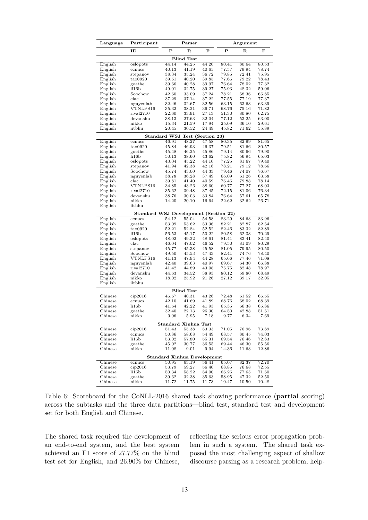| Ρ<br>R<br>F<br>Ρ<br>F<br>ID<br>$_{\rm R}$<br><b>Blind Test</b><br>44.25<br>English<br>44.14<br>44.20<br>80.41<br>oslopots<br>80.64<br>80.53<br>English<br>40.13<br>41.19<br>40.65<br>77.57<br>79.94<br>78.74<br>ecnucs<br>38.34<br>35.24<br>36.72<br>79.85<br>72.41<br>75.95<br>English<br>stepanov<br>English<br>40.20<br>79.22<br>78.43<br>tao0920<br>39.51<br>39.85<br>77.66<br>77.32<br>78.02<br>English<br>goethe<br>39.66<br>40.28<br>39.97<br>76.64<br>English<br>li16b<br>49.01<br>32.75<br>39.27<br>75.93<br>48.32<br>59.06<br>English<br>Soochow<br>37.24<br>78.21<br>58.36<br>66.85<br>42.60<br>33.09<br>77.19<br>$_{\rm clac}$<br>37.29<br>37.14<br>37.22<br>77.55<br>77.37<br>English<br>63.39<br>English<br>nguyenlab<br>32.46<br>32.67<br>32.56<br>63.15<br>63.63<br>English<br>VTNLPS16<br>35.32<br>38.21<br>36.71<br>68.76<br>75.16<br>71.82<br>rival2710<br>22.60<br>33.91<br>27.13<br>51.30<br>80.80<br>62.75<br>English<br>devanshu<br>53.25<br>63.00<br>English<br>38.13<br>27.63<br>32.04<br>77.12<br>nikko<br>17.94<br>29.61<br>English<br>15.34<br>21.59<br>25.09<br>36.10<br>English<br>iitbhu<br>20.45<br>30.52<br>24.49<br>45.82<br>55.89<br>71.62<br>Standard WSJ<br>Test (Section 23)<br>English<br>46.91<br>48.27<br>47.58<br>80.35<br>82.99<br>81.65<br>ecnucs<br>tao0920<br>45.84<br>79.51<br>81.66<br>English<br>46.93<br>46.37<br>80.57<br>English<br>goethe<br>45.86<br>79.90<br>45.48<br>46.25<br>79.14<br>80.66<br>English<br>li16b<br>43.62<br>75.82<br>56.94<br>65.03<br>50.13<br>38.60<br>43.04<br>45.22<br>44.10<br>77.25<br>81.67<br>79.40<br>English<br>oslopots<br>78.21<br>English<br>stepanov<br>41.94<br>42.38<br>42.16<br>79.12<br>78.66<br>English<br>Soochow<br>43.00<br>44.33<br>79.46<br>74.07<br>76.67<br>45.74<br>English<br>38.78<br>36.28<br>37.49<br>66.09<br>61.26<br>63.58<br>nguyenlab<br>$_{\rm clac}$<br>78.14<br>English<br>39.81<br>41.40<br>40.59<br>76.46<br>79.88<br>77.27<br>VTNLPS16<br>English<br>34.85<br>43.26<br>38.60<br>60.77<br>68.03<br>English<br>rival2710<br>35.62<br>39.48<br>37.45<br>72.15<br>81.06<br>76.34<br>English<br>devanshu<br>38.76<br>30.03<br>33.84<br>76.64<br>57.61<br>65.78<br>26.71<br>English<br>nikko<br>14.20<br>20.10<br>16.64<br>22.62<br>32.62<br>English<br>iitbhu<br>Standard WSJ Development (Section 22)<br>54.12<br>English<br>55.04<br>54.58<br>83.29<br>84.63<br>83.96<br>ecnucs<br>English<br>goethe<br>53.09<br>53.62<br>53.36<br>82.21<br>82.87<br>82.54<br>English<br>tao0920<br>52.21<br>52.84<br>52.52<br>82.46<br>83.32<br>82.89<br>56.53<br>45.17<br>50.22<br>80.58<br>62.33<br>70.29<br>English<br>li16b<br>English<br>oslopots<br>48.02<br>49.22<br>48.61<br>81.41<br>83.41<br>82.40<br>47.02<br>79.50<br>81.09<br>80.29<br>English<br>$_{\rm clac}$<br>46.04<br>46.52<br>English<br>81.05<br>79.95<br>80.50<br>stepanov<br>45.77<br>45.38<br>45.58<br>74.76<br>English<br>Soochow<br>49.50<br>45.53<br>47.43<br>82.41<br>78.40<br>VTNLPS16<br>47.94<br>77.46<br>English<br>41.13<br>44.28<br>65.66<br>71.08<br>42.40<br>64.30<br>66.88<br>English<br>nguyenlab<br>39.63<br>40.97<br>69.67<br>English<br>rival2710<br>78.97<br>41.42<br>44.89<br>43.08<br>75.75<br>82.48<br>devanshu<br>59.80<br>68.49<br>English<br>44.63<br>34.52<br>38.93<br>80.12<br>English<br>nikko<br>18.02<br>25.92<br>21.26<br>27.12<br>39.17<br>32.05<br>English<br>iitbhu<br><b>Blind Test</b><br>Chinese<br>cip2016<br>46.67<br>40.31<br>43.26<br>72.48<br>61.52<br>66.55<br>Chinese<br>68.76<br>68.02<br>68.39<br>ecnucs<br>42.10<br>41.69<br>41.89<br>Chinese<br>li16b<br>42.22<br>41.64<br>41.93<br>65.35<br>66.38<br>65.86<br>Chinese<br>22.13<br>26.30<br>42.88<br>goethe<br>32.40<br>64.50<br>51.51<br>Chinese<br>nikko<br>9.06<br>5.95<br>7.18<br>9.77<br>6.34<br>7.69<br>Standard Xinhua Test<br>cip2016<br>Chinese<br>51.43<br>55.38<br>53.33<br>71.05<br>76.96<br>73.89<br>50.86<br>Chinese<br>58.68<br>54.49<br>68.57<br>80.45<br>ecnucs<br>74.03<br>53.02<br>57.80<br>69.54<br>Chinese<br>li16b<br>55.31<br>76.46<br>72.83<br>Chinese<br>goethe<br>45.02<br>30.77<br>36.55<br>69.44<br>46.30<br>55.56<br>$14.36\,$<br>Chinese<br>nikko<br>11.08<br>9.01<br>9.94<br>11.63<br>12.86<br><b>Standard Xinhua Development</b><br>Chinese<br>50.95<br>63.19<br>56.41<br>65.07<br>82.37<br>72.70<br>ecnucs<br>cip2016<br>53.79<br>59.27<br>56.40<br>76.68<br>Chinese<br>68.85<br>72.55<br>Chinese<br>li16b<br>50.34<br>58.22<br>54.00<br>66.26<br>77.65<br>71.50 | Language | Participant | Parser | Argument |  |  |  |
|---------------------------------------------------------------------------------------------------------------------------------------------------------------------------------------------------------------------------------------------------------------------------------------------------------------------------------------------------------------------------------------------------------------------------------------------------------------------------------------------------------------------------------------------------------------------------------------------------------------------------------------------------------------------------------------------------------------------------------------------------------------------------------------------------------------------------------------------------------------------------------------------------------------------------------------------------------------------------------------------------------------------------------------------------------------------------------------------------------------------------------------------------------------------------------------------------------------------------------------------------------------------------------------------------------------------------------------------------------------------------------------------------------------------------------------------------------------------------------------------------------------------------------------------------------------------------------------------------------------------------------------------------------------------------------------------------------------------------------------------------------------------------------------------------------------------------------------------------------------------------------------------------------------------------------------------------------------------------------------------------------------------------------------------------------------------------------------------------------------------------------------------------------------------------------------------------------------------------------------------------------------------------------------------------------------------------------------------------------------------------------------------------------------------------------------------------------------------------------------------------------------------------------------------------------------------------------------------------------------------------------------------------------------------------------------------------------------------------------------------------------------------------------------------------------------------------------------------------------------------------------------------------------------------------------------------------------------------------------------------------------------------------------------------------------------------------------------------------------------------------------------------------------------------------------------------------------------------------------------------------------------------------------------------------------------------------------------------------------------------------------------------------------------------------------------------------------------------------------------------------------------------------------------------------------------------------------------------------------------------------------------------------------------------------------------------------------------------------------------------------------------------------------------------------------------------------------------------------------------------------------------------------------------------------------------------------------------------------------------------------------------------------------------------------------------------------------------------------------------------------------------------------------------------------------------------------------------------------------------------------------------------------------------------------------------------------------------------------------------------------------------------------------------------------------------------------------------------------|----------|-------------|--------|----------|--|--|--|
|                                                                                                                                                                                                                                                                                                                                                                                                                                                                                                                                                                                                                                                                                                                                                                                                                                                                                                                                                                                                                                                                                                                                                                                                                                                                                                                                                                                                                                                                                                                                                                                                                                                                                                                                                                                                                                                                                                                                                                                                                                                                                                                                                                                                                                                                                                                                                                                                                                                                                                                                                                                                                                                                                                                                                                                                                                                                                                                                                                                                                                                                                                                                                                                                                                                                                                                                                                                                                                                                                                                                                                                                                                                                                                                                                                                                                                                                                                                                                                                                                                                                                                                                                                                                                                                                                                                                                                                                                                                                           |          |             |        |          |  |  |  |
|                                                                                                                                                                                                                                                                                                                                                                                                                                                                                                                                                                                                                                                                                                                                                                                                                                                                                                                                                                                                                                                                                                                                                                                                                                                                                                                                                                                                                                                                                                                                                                                                                                                                                                                                                                                                                                                                                                                                                                                                                                                                                                                                                                                                                                                                                                                                                                                                                                                                                                                                                                                                                                                                                                                                                                                                                                                                                                                                                                                                                                                                                                                                                                                                                                                                                                                                                                                                                                                                                                                                                                                                                                                                                                                                                                                                                                                                                                                                                                                                                                                                                                                                                                                                                                                                                                                                                                                                                                                                           |          |             |        |          |  |  |  |
|                                                                                                                                                                                                                                                                                                                                                                                                                                                                                                                                                                                                                                                                                                                                                                                                                                                                                                                                                                                                                                                                                                                                                                                                                                                                                                                                                                                                                                                                                                                                                                                                                                                                                                                                                                                                                                                                                                                                                                                                                                                                                                                                                                                                                                                                                                                                                                                                                                                                                                                                                                                                                                                                                                                                                                                                                                                                                                                                                                                                                                                                                                                                                                                                                                                                                                                                                                                                                                                                                                                                                                                                                                                                                                                                                                                                                                                                                                                                                                                                                                                                                                                                                                                                                                                                                                                                                                                                                                                                           |          |             |        |          |  |  |  |
|                                                                                                                                                                                                                                                                                                                                                                                                                                                                                                                                                                                                                                                                                                                                                                                                                                                                                                                                                                                                                                                                                                                                                                                                                                                                                                                                                                                                                                                                                                                                                                                                                                                                                                                                                                                                                                                                                                                                                                                                                                                                                                                                                                                                                                                                                                                                                                                                                                                                                                                                                                                                                                                                                                                                                                                                                                                                                                                                                                                                                                                                                                                                                                                                                                                                                                                                                                                                                                                                                                                                                                                                                                                                                                                                                                                                                                                                                                                                                                                                                                                                                                                                                                                                                                                                                                                                                                                                                                                                           |          |             |        |          |  |  |  |
|                                                                                                                                                                                                                                                                                                                                                                                                                                                                                                                                                                                                                                                                                                                                                                                                                                                                                                                                                                                                                                                                                                                                                                                                                                                                                                                                                                                                                                                                                                                                                                                                                                                                                                                                                                                                                                                                                                                                                                                                                                                                                                                                                                                                                                                                                                                                                                                                                                                                                                                                                                                                                                                                                                                                                                                                                                                                                                                                                                                                                                                                                                                                                                                                                                                                                                                                                                                                                                                                                                                                                                                                                                                                                                                                                                                                                                                                                                                                                                                                                                                                                                                                                                                                                                                                                                                                                                                                                                                                           |          |             |        |          |  |  |  |
|                                                                                                                                                                                                                                                                                                                                                                                                                                                                                                                                                                                                                                                                                                                                                                                                                                                                                                                                                                                                                                                                                                                                                                                                                                                                                                                                                                                                                                                                                                                                                                                                                                                                                                                                                                                                                                                                                                                                                                                                                                                                                                                                                                                                                                                                                                                                                                                                                                                                                                                                                                                                                                                                                                                                                                                                                                                                                                                                                                                                                                                                                                                                                                                                                                                                                                                                                                                                                                                                                                                                                                                                                                                                                                                                                                                                                                                                                                                                                                                                                                                                                                                                                                                                                                                                                                                                                                                                                                                                           |          |             |        |          |  |  |  |
|                                                                                                                                                                                                                                                                                                                                                                                                                                                                                                                                                                                                                                                                                                                                                                                                                                                                                                                                                                                                                                                                                                                                                                                                                                                                                                                                                                                                                                                                                                                                                                                                                                                                                                                                                                                                                                                                                                                                                                                                                                                                                                                                                                                                                                                                                                                                                                                                                                                                                                                                                                                                                                                                                                                                                                                                                                                                                                                                                                                                                                                                                                                                                                                                                                                                                                                                                                                                                                                                                                                                                                                                                                                                                                                                                                                                                                                                                                                                                                                                                                                                                                                                                                                                                                                                                                                                                                                                                                                                           |          |             |        |          |  |  |  |
|                                                                                                                                                                                                                                                                                                                                                                                                                                                                                                                                                                                                                                                                                                                                                                                                                                                                                                                                                                                                                                                                                                                                                                                                                                                                                                                                                                                                                                                                                                                                                                                                                                                                                                                                                                                                                                                                                                                                                                                                                                                                                                                                                                                                                                                                                                                                                                                                                                                                                                                                                                                                                                                                                                                                                                                                                                                                                                                                                                                                                                                                                                                                                                                                                                                                                                                                                                                                                                                                                                                                                                                                                                                                                                                                                                                                                                                                                                                                                                                                                                                                                                                                                                                                                                                                                                                                                                                                                                                                           |          |             |        |          |  |  |  |
|                                                                                                                                                                                                                                                                                                                                                                                                                                                                                                                                                                                                                                                                                                                                                                                                                                                                                                                                                                                                                                                                                                                                                                                                                                                                                                                                                                                                                                                                                                                                                                                                                                                                                                                                                                                                                                                                                                                                                                                                                                                                                                                                                                                                                                                                                                                                                                                                                                                                                                                                                                                                                                                                                                                                                                                                                                                                                                                                                                                                                                                                                                                                                                                                                                                                                                                                                                                                                                                                                                                                                                                                                                                                                                                                                                                                                                                                                                                                                                                                                                                                                                                                                                                                                                                                                                                                                                                                                                                                           |          |             |        |          |  |  |  |
|                                                                                                                                                                                                                                                                                                                                                                                                                                                                                                                                                                                                                                                                                                                                                                                                                                                                                                                                                                                                                                                                                                                                                                                                                                                                                                                                                                                                                                                                                                                                                                                                                                                                                                                                                                                                                                                                                                                                                                                                                                                                                                                                                                                                                                                                                                                                                                                                                                                                                                                                                                                                                                                                                                                                                                                                                                                                                                                                                                                                                                                                                                                                                                                                                                                                                                                                                                                                                                                                                                                                                                                                                                                                                                                                                                                                                                                                                                                                                                                                                                                                                                                                                                                                                                                                                                                                                                                                                                                                           |          |             |        |          |  |  |  |
|                                                                                                                                                                                                                                                                                                                                                                                                                                                                                                                                                                                                                                                                                                                                                                                                                                                                                                                                                                                                                                                                                                                                                                                                                                                                                                                                                                                                                                                                                                                                                                                                                                                                                                                                                                                                                                                                                                                                                                                                                                                                                                                                                                                                                                                                                                                                                                                                                                                                                                                                                                                                                                                                                                                                                                                                                                                                                                                                                                                                                                                                                                                                                                                                                                                                                                                                                                                                                                                                                                                                                                                                                                                                                                                                                                                                                                                                                                                                                                                                                                                                                                                                                                                                                                                                                                                                                                                                                                                                           |          |             |        |          |  |  |  |
|                                                                                                                                                                                                                                                                                                                                                                                                                                                                                                                                                                                                                                                                                                                                                                                                                                                                                                                                                                                                                                                                                                                                                                                                                                                                                                                                                                                                                                                                                                                                                                                                                                                                                                                                                                                                                                                                                                                                                                                                                                                                                                                                                                                                                                                                                                                                                                                                                                                                                                                                                                                                                                                                                                                                                                                                                                                                                                                                                                                                                                                                                                                                                                                                                                                                                                                                                                                                                                                                                                                                                                                                                                                                                                                                                                                                                                                                                                                                                                                                                                                                                                                                                                                                                                                                                                                                                                                                                                                                           |          |             |        |          |  |  |  |
|                                                                                                                                                                                                                                                                                                                                                                                                                                                                                                                                                                                                                                                                                                                                                                                                                                                                                                                                                                                                                                                                                                                                                                                                                                                                                                                                                                                                                                                                                                                                                                                                                                                                                                                                                                                                                                                                                                                                                                                                                                                                                                                                                                                                                                                                                                                                                                                                                                                                                                                                                                                                                                                                                                                                                                                                                                                                                                                                                                                                                                                                                                                                                                                                                                                                                                                                                                                                                                                                                                                                                                                                                                                                                                                                                                                                                                                                                                                                                                                                                                                                                                                                                                                                                                                                                                                                                                                                                                                                           |          |             |        |          |  |  |  |
|                                                                                                                                                                                                                                                                                                                                                                                                                                                                                                                                                                                                                                                                                                                                                                                                                                                                                                                                                                                                                                                                                                                                                                                                                                                                                                                                                                                                                                                                                                                                                                                                                                                                                                                                                                                                                                                                                                                                                                                                                                                                                                                                                                                                                                                                                                                                                                                                                                                                                                                                                                                                                                                                                                                                                                                                                                                                                                                                                                                                                                                                                                                                                                                                                                                                                                                                                                                                                                                                                                                                                                                                                                                                                                                                                                                                                                                                                                                                                                                                                                                                                                                                                                                                                                                                                                                                                                                                                                                                           |          |             |        |          |  |  |  |
|                                                                                                                                                                                                                                                                                                                                                                                                                                                                                                                                                                                                                                                                                                                                                                                                                                                                                                                                                                                                                                                                                                                                                                                                                                                                                                                                                                                                                                                                                                                                                                                                                                                                                                                                                                                                                                                                                                                                                                                                                                                                                                                                                                                                                                                                                                                                                                                                                                                                                                                                                                                                                                                                                                                                                                                                                                                                                                                                                                                                                                                                                                                                                                                                                                                                                                                                                                                                                                                                                                                                                                                                                                                                                                                                                                                                                                                                                                                                                                                                                                                                                                                                                                                                                                                                                                                                                                                                                                                                           |          |             |        |          |  |  |  |
|                                                                                                                                                                                                                                                                                                                                                                                                                                                                                                                                                                                                                                                                                                                                                                                                                                                                                                                                                                                                                                                                                                                                                                                                                                                                                                                                                                                                                                                                                                                                                                                                                                                                                                                                                                                                                                                                                                                                                                                                                                                                                                                                                                                                                                                                                                                                                                                                                                                                                                                                                                                                                                                                                                                                                                                                                                                                                                                                                                                                                                                                                                                                                                                                                                                                                                                                                                                                                                                                                                                                                                                                                                                                                                                                                                                                                                                                                                                                                                                                                                                                                                                                                                                                                                                                                                                                                                                                                                                                           |          |             |        |          |  |  |  |
|                                                                                                                                                                                                                                                                                                                                                                                                                                                                                                                                                                                                                                                                                                                                                                                                                                                                                                                                                                                                                                                                                                                                                                                                                                                                                                                                                                                                                                                                                                                                                                                                                                                                                                                                                                                                                                                                                                                                                                                                                                                                                                                                                                                                                                                                                                                                                                                                                                                                                                                                                                                                                                                                                                                                                                                                                                                                                                                                                                                                                                                                                                                                                                                                                                                                                                                                                                                                                                                                                                                                                                                                                                                                                                                                                                                                                                                                                                                                                                                                                                                                                                                                                                                                                                                                                                                                                                                                                                                                           |          |             |        |          |  |  |  |
|                                                                                                                                                                                                                                                                                                                                                                                                                                                                                                                                                                                                                                                                                                                                                                                                                                                                                                                                                                                                                                                                                                                                                                                                                                                                                                                                                                                                                                                                                                                                                                                                                                                                                                                                                                                                                                                                                                                                                                                                                                                                                                                                                                                                                                                                                                                                                                                                                                                                                                                                                                                                                                                                                                                                                                                                                                                                                                                                                                                                                                                                                                                                                                                                                                                                                                                                                                                                                                                                                                                                                                                                                                                                                                                                                                                                                                                                                                                                                                                                                                                                                                                                                                                                                                                                                                                                                                                                                                                                           |          |             |        |          |  |  |  |
|                                                                                                                                                                                                                                                                                                                                                                                                                                                                                                                                                                                                                                                                                                                                                                                                                                                                                                                                                                                                                                                                                                                                                                                                                                                                                                                                                                                                                                                                                                                                                                                                                                                                                                                                                                                                                                                                                                                                                                                                                                                                                                                                                                                                                                                                                                                                                                                                                                                                                                                                                                                                                                                                                                                                                                                                                                                                                                                                                                                                                                                                                                                                                                                                                                                                                                                                                                                                                                                                                                                                                                                                                                                                                                                                                                                                                                                                                                                                                                                                                                                                                                                                                                                                                                                                                                                                                                                                                                                                           |          |             |        |          |  |  |  |
|                                                                                                                                                                                                                                                                                                                                                                                                                                                                                                                                                                                                                                                                                                                                                                                                                                                                                                                                                                                                                                                                                                                                                                                                                                                                                                                                                                                                                                                                                                                                                                                                                                                                                                                                                                                                                                                                                                                                                                                                                                                                                                                                                                                                                                                                                                                                                                                                                                                                                                                                                                                                                                                                                                                                                                                                                                                                                                                                                                                                                                                                                                                                                                                                                                                                                                                                                                                                                                                                                                                                                                                                                                                                                                                                                                                                                                                                                                                                                                                                                                                                                                                                                                                                                                                                                                                                                                                                                                                                           |          |             |        |          |  |  |  |
|                                                                                                                                                                                                                                                                                                                                                                                                                                                                                                                                                                                                                                                                                                                                                                                                                                                                                                                                                                                                                                                                                                                                                                                                                                                                                                                                                                                                                                                                                                                                                                                                                                                                                                                                                                                                                                                                                                                                                                                                                                                                                                                                                                                                                                                                                                                                                                                                                                                                                                                                                                                                                                                                                                                                                                                                                                                                                                                                                                                                                                                                                                                                                                                                                                                                                                                                                                                                                                                                                                                                                                                                                                                                                                                                                                                                                                                                                                                                                                                                                                                                                                                                                                                                                                                                                                                                                                                                                                                                           |          |             |        |          |  |  |  |
|                                                                                                                                                                                                                                                                                                                                                                                                                                                                                                                                                                                                                                                                                                                                                                                                                                                                                                                                                                                                                                                                                                                                                                                                                                                                                                                                                                                                                                                                                                                                                                                                                                                                                                                                                                                                                                                                                                                                                                                                                                                                                                                                                                                                                                                                                                                                                                                                                                                                                                                                                                                                                                                                                                                                                                                                                                                                                                                                                                                                                                                                                                                                                                                                                                                                                                                                                                                                                                                                                                                                                                                                                                                                                                                                                                                                                                                                                                                                                                                                                                                                                                                                                                                                                                                                                                                                                                                                                                                                           |          |             |        |          |  |  |  |
|                                                                                                                                                                                                                                                                                                                                                                                                                                                                                                                                                                                                                                                                                                                                                                                                                                                                                                                                                                                                                                                                                                                                                                                                                                                                                                                                                                                                                                                                                                                                                                                                                                                                                                                                                                                                                                                                                                                                                                                                                                                                                                                                                                                                                                                                                                                                                                                                                                                                                                                                                                                                                                                                                                                                                                                                                                                                                                                                                                                                                                                                                                                                                                                                                                                                                                                                                                                                                                                                                                                                                                                                                                                                                                                                                                                                                                                                                                                                                                                                                                                                                                                                                                                                                                                                                                                                                                                                                                                                           |          |             |        |          |  |  |  |
|                                                                                                                                                                                                                                                                                                                                                                                                                                                                                                                                                                                                                                                                                                                                                                                                                                                                                                                                                                                                                                                                                                                                                                                                                                                                                                                                                                                                                                                                                                                                                                                                                                                                                                                                                                                                                                                                                                                                                                                                                                                                                                                                                                                                                                                                                                                                                                                                                                                                                                                                                                                                                                                                                                                                                                                                                                                                                                                                                                                                                                                                                                                                                                                                                                                                                                                                                                                                                                                                                                                                                                                                                                                                                                                                                                                                                                                                                                                                                                                                                                                                                                                                                                                                                                                                                                                                                                                                                                                                           |          |             |        |          |  |  |  |
|                                                                                                                                                                                                                                                                                                                                                                                                                                                                                                                                                                                                                                                                                                                                                                                                                                                                                                                                                                                                                                                                                                                                                                                                                                                                                                                                                                                                                                                                                                                                                                                                                                                                                                                                                                                                                                                                                                                                                                                                                                                                                                                                                                                                                                                                                                                                                                                                                                                                                                                                                                                                                                                                                                                                                                                                                                                                                                                                                                                                                                                                                                                                                                                                                                                                                                                                                                                                                                                                                                                                                                                                                                                                                                                                                                                                                                                                                                                                                                                                                                                                                                                                                                                                                                                                                                                                                                                                                                                                           |          |             |        |          |  |  |  |
|                                                                                                                                                                                                                                                                                                                                                                                                                                                                                                                                                                                                                                                                                                                                                                                                                                                                                                                                                                                                                                                                                                                                                                                                                                                                                                                                                                                                                                                                                                                                                                                                                                                                                                                                                                                                                                                                                                                                                                                                                                                                                                                                                                                                                                                                                                                                                                                                                                                                                                                                                                                                                                                                                                                                                                                                                                                                                                                                                                                                                                                                                                                                                                                                                                                                                                                                                                                                                                                                                                                                                                                                                                                                                                                                                                                                                                                                                                                                                                                                                                                                                                                                                                                                                                                                                                                                                                                                                                                                           |          |             |        |          |  |  |  |
|                                                                                                                                                                                                                                                                                                                                                                                                                                                                                                                                                                                                                                                                                                                                                                                                                                                                                                                                                                                                                                                                                                                                                                                                                                                                                                                                                                                                                                                                                                                                                                                                                                                                                                                                                                                                                                                                                                                                                                                                                                                                                                                                                                                                                                                                                                                                                                                                                                                                                                                                                                                                                                                                                                                                                                                                                                                                                                                                                                                                                                                                                                                                                                                                                                                                                                                                                                                                                                                                                                                                                                                                                                                                                                                                                                                                                                                                                                                                                                                                                                                                                                                                                                                                                                                                                                                                                                                                                                                                           |          |             |        |          |  |  |  |
|                                                                                                                                                                                                                                                                                                                                                                                                                                                                                                                                                                                                                                                                                                                                                                                                                                                                                                                                                                                                                                                                                                                                                                                                                                                                                                                                                                                                                                                                                                                                                                                                                                                                                                                                                                                                                                                                                                                                                                                                                                                                                                                                                                                                                                                                                                                                                                                                                                                                                                                                                                                                                                                                                                                                                                                                                                                                                                                                                                                                                                                                                                                                                                                                                                                                                                                                                                                                                                                                                                                                                                                                                                                                                                                                                                                                                                                                                                                                                                                                                                                                                                                                                                                                                                                                                                                                                                                                                                                                           |          |             |        |          |  |  |  |
|                                                                                                                                                                                                                                                                                                                                                                                                                                                                                                                                                                                                                                                                                                                                                                                                                                                                                                                                                                                                                                                                                                                                                                                                                                                                                                                                                                                                                                                                                                                                                                                                                                                                                                                                                                                                                                                                                                                                                                                                                                                                                                                                                                                                                                                                                                                                                                                                                                                                                                                                                                                                                                                                                                                                                                                                                                                                                                                                                                                                                                                                                                                                                                                                                                                                                                                                                                                                                                                                                                                                                                                                                                                                                                                                                                                                                                                                                                                                                                                                                                                                                                                                                                                                                                                                                                                                                                                                                                                                           |          |             |        |          |  |  |  |
|                                                                                                                                                                                                                                                                                                                                                                                                                                                                                                                                                                                                                                                                                                                                                                                                                                                                                                                                                                                                                                                                                                                                                                                                                                                                                                                                                                                                                                                                                                                                                                                                                                                                                                                                                                                                                                                                                                                                                                                                                                                                                                                                                                                                                                                                                                                                                                                                                                                                                                                                                                                                                                                                                                                                                                                                                                                                                                                                                                                                                                                                                                                                                                                                                                                                                                                                                                                                                                                                                                                                                                                                                                                                                                                                                                                                                                                                                                                                                                                                                                                                                                                                                                                                                                                                                                                                                                                                                                                                           |          |             |        |          |  |  |  |
|                                                                                                                                                                                                                                                                                                                                                                                                                                                                                                                                                                                                                                                                                                                                                                                                                                                                                                                                                                                                                                                                                                                                                                                                                                                                                                                                                                                                                                                                                                                                                                                                                                                                                                                                                                                                                                                                                                                                                                                                                                                                                                                                                                                                                                                                                                                                                                                                                                                                                                                                                                                                                                                                                                                                                                                                                                                                                                                                                                                                                                                                                                                                                                                                                                                                                                                                                                                                                                                                                                                                                                                                                                                                                                                                                                                                                                                                                                                                                                                                                                                                                                                                                                                                                                                                                                                                                                                                                                                                           |          |             |        |          |  |  |  |
|                                                                                                                                                                                                                                                                                                                                                                                                                                                                                                                                                                                                                                                                                                                                                                                                                                                                                                                                                                                                                                                                                                                                                                                                                                                                                                                                                                                                                                                                                                                                                                                                                                                                                                                                                                                                                                                                                                                                                                                                                                                                                                                                                                                                                                                                                                                                                                                                                                                                                                                                                                                                                                                                                                                                                                                                                                                                                                                                                                                                                                                                                                                                                                                                                                                                                                                                                                                                                                                                                                                                                                                                                                                                                                                                                                                                                                                                                                                                                                                                                                                                                                                                                                                                                                                                                                                                                                                                                                                                           |          |             |        |          |  |  |  |
|                                                                                                                                                                                                                                                                                                                                                                                                                                                                                                                                                                                                                                                                                                                                                                                                                                                                                                                                                                                                                                                                                                                                                                                                                                                                                                                                                                                                                                                                                                                                                                                                                                                                                                                                                                                                                                                                                                                                                                                                                                                                                                                                                                                                                                                                                                                                                                                                                                                                                                                                                                                                                                                                                                                                                                                                                                                                                                                                                                                                                                                                                                                                                                                                                                                                                                                                                                                                                                                                                                                                                                                                                                                                                                                                                                                                                                                                                                                                                                                                                                                                                                                                                                                                                                                                                                                                                                                                                                                                           |          |             |        |          |  |  |  |
|                                                                                                                                                                                                                                                                                                                                                                                                                                                                                                                                                                                                                                                                                                                                                                                                                                                                                                                                                                                                                                                                                                                                                                                                                                                                                                                                                                                                                                                                                                                                                                                                                                                                                                                                                                                                                                                                                                                                                                                                                                                                                                                                                                                                                                                                                                                                                                                                                                                                                                                                                                                                                                                                                                                                                                                                                                                                                                                                                                                                                                                                                                                                                                                                                                                                                                                                                                                                                                                                                                                                                                                                                                                                                                                                                                                                                                                                                                                                                                                                                                                                                                                                                                                                                                                                                                                                                                                                                                                                           |          |             |        |          |  |  |  |
|                                                                                                                                                                                                                                                                                                                                                                                                                                                                                                                                                                                                                                                                                                                                                                                                                                                                                                                                                                                                                                                                                                                                                                                                                                                                                                                                                                                                                                                                                                                                                                                                                                                                                                                                                                                                                                                                                                                                                                                                                                                                                                                                                                                                                                                                                                                                                                                                                                                                                                                                                                                                                                                                                                                                                                                                                                                                                                                                                                                                                                                                                                                                                                                                                                                                                                                                                                                                                                                                                                                                                                                                                                                                                                                                                                                                                                                                                                                                                                                                                                                                                                                                                                                                                                                                                                                                                                                                                                                                           |          |             |        |          |  |  |  |
|                                                                                                                                                                                                                                                                                                                                                                                                                                                                                                                                                                                                                                                                                                                                                                                                                                                                                                                                                                                                                                                                                                                                                                                                                                                                                                                                                                                                                                                                                                                                                                                                                                                                                                                                                                                                                                                                                                                                                                                                                                                                                                                                                                                                                                                                                                                                                                                                                                                                                                                                                                                                                                                                                                                                                                                                                                                                                                                                                                                                                                                                                                                                                                                                                                                                                                                                                                                                                                                                                                                                                                                                                                                                                                                                                                                                                                                                                                                                                                                                                                                                                                                                                                                                                                                                                                                                                                                                                                                                           |          |             |        |          |  |  |  |
|                                                                                                                                                                                                                                                                                                                                                                                                                                                                                                                                                                                                                                                                                                                                                                                                                                                                                                                                                                                                                                                                                                                                                                                                                                                                                                                                                                                                                                                                                                                                                                                                                                                                                                                                                                                                                                                                                                                                                                                                                                                                                                                                                                                                                                                                                                                                                                                                                                                                                                                                                                                                                                                                                                                                                                                                                                                                                                                                                                                                                                                                                                                                                                                                                                                                                                                                                                                                                                                                                                                                                                                                                                                                                                                                                                                                                                                                                                                                                                                                                                                                                                                                                                                                                                                                                                                                                                                                                                                                           |          |             |        |          |  |  |  |
|                                                                                                                                                                                                                                                                                                                                                                                                                                                                                                                                                                                                                                                                                                                                                                                                                                                                                                                                                                                                                                                                                                                                                                                                                                                                                                                                                                                                                                                                                                                                                                                                                                                                                                                                                                                                                                                                                                                                                                                                                                                                                                                                                                                                                                                                                                                                                                                                                                                                                                                                                                                                                                                                                                                                                                                                                                                                                                                                                                                                                                                                                                                                                                                                                                                                                                                                                                                                                                                                                                                                                                                                                                                                                                                                                                                                                                                                                                                                                                                                                                                                                                                                                                                                                                                                                                                                                                                                                                                                           |          |             |        |          |  |  |  |
|                                                                                                                                                                                                                                                                                                                                                                                                                                                                                                                                                                                                                                                                                                                                                                                                                                                                                                                                                                                                                                                                                                                                                                                                                                                                                                                                                                                                                                                                                                                                                                                                                                                                                                                                                                                                                                                                                                                                                                                                                                                                                                                                                                                                                                                                                                                                                                                                                                                                                                                                                                                                                                                                                                                                                                                                                                                                                                                                                                                                                                                                                                                                                                                                                                                                                                                                                                                                                                                                                                                                                                                                                                                                                                                                                                                                                                                                                                                                                                                                                                                                                                                                                                                                                                                                                                                                                                                                                                                                           |          |             |        |          |  |  |  |
|                                                                                                                                                                                                                                                                                                                                                                                                                                                                                                                                                                                                                                                                                                                                                                                                                                                                                                                                                                                                                                                                                                                                                                                                                                                                                                                                                                                                                                                                                                                                                                                                                                                                                                                                                                                                                                                                                                                                                                                                                                                                                                                                                                                                                                                                                                                                                                                                                                                                                                                                                                                                                                                                                                                                                                                                                                                                                                                                                                                                                                                                                                                                                                                                                                                                                                                                                                                                                                                                                                                                                                                                                                                                                                                                                                                                                                                                                                                                                                                                                                                                                                                                                                                                                                                                                                                                                                                                                                                                           |          |             |        |          |  |  |  |
|                                                                                                                                                                                                                                                                                                                                                                                                                                                                                                                                                                                                                                                                                                                                                                                                                                                                                                                                                                                                                                                                                                                                                                                                                                                                                                                                                                                                                                                                                                                                                                                                                                                                                                                                                                                                                                                                                                                                                                                                                                                                                                                                                                                                                                                                                                                                                                                                                                                                                                                                                                                                                                                                                                                                                                                                                                                                                                                                                                                                                                                                                                                                                                                                                                                                                                                                                                                                                                                                                                                                                                                                                                                                                                                                                                                                                                                                                                                                                                                                                                                                                                                                                                                                                                                                                                                                                                                                                                                                           |          |             |        |          |  |  |  |
|                                                                                                                                                                                                                                                                                                                                                                                                                                                                                                                                                                                                                                                                                                                                                                                                                                                                                                                                                                                                                                                                                                                                                                                                                                                                                                                                                                                                                                                                                                                                                                                                                                                                                                                                                                                                                                                                                                                                                                                                                                                                                                                                                                                                                                                                                                                                                                                                                                                                                                                                                                                                                                                                                                                                                                                                                                                                                                                                                                                                                                                                                                                                                                                                                                                                                                                                                                                                                                                                                                                                                                                                                                                                                                                                                                                                                                                                                                                                                                                                                                                                                                                                                                                                                                                                                                                                                                                                                                                                           |          |             |        |          |  |  |  |
|                                                                                                                                                                                                                                                                                                                                                                                                                                                                                                                                                                                                                                                                                                                                                                                                                                                                                                                                                                                                                                                                                                                                                                                                                                                                                                                                                                                                                                                                                                                                                                                                                                                                                                                                                                                                                                                                                                                                                                                                                                                                                                                                                                                                                                                                                                                                                                                                                                                                                                                                                                                                                                                                                                                                                                                                                                                                                                                                                                                                                                                                                                                                                                                                                                                                                                                                                                                                                                                                                                                                                                                                                                                                                                                                                                                                                                                                                                                                                                                                                                                                                                                                                                                                                                                                                                                                                                                                                                                                           |          |             |        |          |  |  |  |
|                                                                                                                                                                                                                                                                                                                                                                                                                                                                                                                                                                                                                                                                                                                                                                                                                                                                                                                                                                                                                                                                                                                                                                                                                                                                                                                                                                                                                                                                                                                                                                                                                                                                                                                                                                                                                                                                                                                                                                                                                                                                                                                                                                                                                                                                                                                                                                                                                                                                                                                                                                                                                                                                                                                                                                                                                                                                                                                                                                                                                                                                                                                                                                                                                                                                                                                                                                                                                                                                                                                                                                                                                                                                                                                                                                                                                                                                                                                                                                                                                                                                                                                                                                                                                                                                                                                                                                                                                                                                           |          |             |        |          |  |  |  |
|                                                                                                                                                                                                                                                                                                                                                                                                                                                                                                                                                                                                                                                                                                                                                                                                                                                                                                                                                                                                                                                                                                                                                                                                                                                                                                                                                                                                                                                                                                                                                                                                                                                                                                                                                                                                                                                                                                                                                                                                                                                                                                                                                                                                                                                                                                                                                                                                                                                                                                                                                                                                                                                                                                                                                                                                                                                                                                                                                                                                                                                                                                                                                                                                                                                                                                                                                                                                                                                                                                                                                                                                                                                                                                                                                                                                                                                                                                                                                                                                                                                                                                                                                                                                                                                                                                                                                                                                                                                                           |          |             |        |          |  |  |  |
|                                                                                                                                                                                                                                                                                                                                                                                                                                                                                                                                                                                                                                                                                                                                                                                                                                                                                                                                                                                                                                                                                                                                                                                                                                                                                                                                                                                                                                                                                                                                                                                                                                                                                                                                                                                                                                                                                                                                                                                                                                                                                                                                                                                                                                                                                                                                                                                                                                                                                                                                                                                                                                                                                                                                                                                                                                                                                                                                                                                                                                                                                                                                                                                                                                                                                                                                                                                                                                                                                                                                                                                                                                                                                                                                                                                                                                                                                                                                                                                                                                                                                                                                                                                                                                                                                                                                                                                                                                                                           |          |             |        |          |  |  |  |
|                                                                                                                                                                                                                                                                                                                                                                                                                                                                                                                                                                                                                                                                                                                                                                                                                                                                                                                                                                                                                                                                                                                                                                                                                                                                                                                                                                                                                                                                                                                                                                                                                                                                                                                                                                                                                                                                                                                                                                                                                                                                                                                                                                                                                                                                                                                                                                                                                                                                                                                                                                                                                                                                                                                                                                                                                                                                                                                                                                                                                                                                                                                                                                                                                                                                                                                                                                                                                                                                                                                                                                                                                                                                                                                                                                                                                                                                                                                                                                                                                                                                                                                                                                                                                                                                                                                                                                                                                                                                           |          |             |        |          |  |  |  |
|                                                                                                                                                                                                                                                                                                                                                                                                                                                                                                                                                                                                                                                                                                                                                                                                                                                                                                                                                                                                                                                                                                                                                                                                                                                                                                                                                                                                                                                                                                                                                                                                                                                                                                                                                                                                                                                                                                                                                                                                                                                                                                                                                                                                                                                                                                                                                                                                                                                                                                                                                                                                                                                                                                                                                                                                                                                                                                                                                                                                                                                                                                                                                                                                                                                                                                                                                                                                                                                                                                                                                                                                                                                                                                                                                                                                                                                                                                                                                                                                                                                                                                                                                                                                                                                                                                                                                                                                                                                                           |          |             |        |          |  |  |  |
|                                                                                                                                                                                                                                                                                                                                                                                                                                                                                                                                                                                                                                                                                                                                                                                                                                                                                                                                                                                                                                                                                                                                                                                                                                                                                                                                                                                                                                                                                                                                                                                                                                                                                                                                                                                                                                                                                                                                                                                                                                                                                                                                                                                                                                                                                                                                                                                                                                                                                                                                                                                                                                                                                                                                                                                                                                                                                                                                                                                                                                                                                                                                                                                                                                                                                                                                                                                                                                                                                                                                                                                                                                                                                                                                                                                                                                                                                                                                                                                                                                                                                                                                                                                                                                                                                                                                                                                                                                                                           |          |             |        |          |  |  |  |
|                                                                                                                                                                                                                                                                                                                                                                                                                                                                                                                                                                                                                                                                                                                                                                                                                                                                                                                                                                                                                                                                                                                                                                                                                                                                                                                                                                                                                                                                                                                                                                                                                                                                                                                                                                                                                                                                                                                                                                                                                                                                                                                                                                                                                                                                                                                                                                                                                                                                                                                                                                                                                                                                                                                                                                                                                                                                                                                                                                                                                                                                                                                                                                                                                                                                                                                                                                                                                                                                                                                                                                                                                                                                                                                                                                                                                                                                                                                                                                                                                                                                                                                                                                                                                                                                                                                                                                                                                                                                           |          |             |        |          |  |  |  |
|                                                                                                                                                                                                                                                                                                                                                                                                                                                                                                                                                                                                                                                                                                                                                                                                                                                                                                                                                                                                                                                                                                                                                                                                                                                                                                                                                                                                                                                                                                                                                                                                                                                                                                                                                                                                                                                                                                                                                                                                                                                                                                                                                                                                                                                                                                                                                                                                                                                                                                                                                                                                                                                                                                                                                                                                                                                                                                                                                                                                                                                                                                                                                                                                                                                                                                                                                                                                                                                                                                                                                                                                                                                                                                                                                                                                                                                                                                                                                                                                                                                                                                                                                                                                                                                                                                                                                                                                                                                                           |          |             |        |          |  |  |  |
|                                                                                                                                                                                                                                                                                                                                                                                                                                                                                                                                                                                                                                                                                                                                                                                                                                                                                                                                                                                                                                                                                                                                                                                                                                                                                                                                                                                                                                                                                                                                                                                                                                                                                                                                                                                                                                                                                                                                                                                                                                                                                                                                                                                                                                                                                                                                                                                                                                                                                                                                                                                                                                                                                                                                                                                                                                                                                                                                                                                                                                                                                                                                                                                                                                                                                                                                                                                                                                                                                                                                                                                                                                                                                                                                                                                                                                                                                                                                                                                                                                                                                                                                                                                                                                                                                                                                                                                                                                                                           |          |             |        |          |  |  |  |
|                                                                                                                                                                                                                                                                                                                                                                                                                                                                                                                                                                                                                                                                                                                                                                                                                                                                                                                                                                                                                                                                                                                                                                                                                                                                                                                                                                                                                                                                                                                                                                                                                                                                                                                                                                                                                                                                                                                                                                                                                                                                                                                                                                                                                                                                                                                                                                                                                                                                                                                                                                                                                                                                                                                                                                                                                                                                                                                                                                                                                                                                                                                                                                                                                                                                                                                                                                                                                                                                                                                                                                                                                                                                                                                                                                                                                                                                                                                                                                                                                                                                                                                                                                                                                                                                                                                                                                                                                                                                           |          |             |        |          |  |  |  |
| 39.62<br>35.63<br>58.95<br>47.32<br>52.50                                                                                                                                                                                                                                                                                                                                                                                                                                                                                                                                                                                                                                                                                                                                                                                                                                                                                                                                                                                                                                                                                                                                                                                                                                                                                                                                                                                                                                                                                                                                                                                                                                                                                                                                                                                                                                                                                                                                                                                                                                                                                                                                                                                                                                                                                                                                                                                                                                                                                                                                                                                                                                                                                                                                                                                                                                                                                                                                                                                                                                                                                                                                                                                                                                                                                                                                                                                                                                                                                                                                                                                                                                                                                                                                                                                                                                                                                                                                                                                                                                                                                                                                                                                                                                                                                                                                                                                                                                 | Chinese  | goethe      | 32.38  |          |  |  |  |
| nikko<br>11.72<br>11.75<br>10.48<br>Chinese<br>11.73<br>10.47<br>10.50                                                                                                                                                                                                                                                                                                                                                                                                                                                                                                                                                                                                                                                                                                                                                                                                                                                                                                                                                                                                                                                                                                                                                                                                                                                                                                                                                                                                                                                                                                                                                                                                                                                                                                                                                                                                                                                                                                                                                                                                                                                                                                                                                                                                                                                                                                                                                                                                                                                                                                                                                                                                                                                                                                                                                                                                                                                                                                                                                                                                                                                                                                                                                                                                                                                                                                                                                                                                                                                                                                                                                                                                                                                                                                                                                                                                                                                                                                                                                                                                                                                                                                                                                                                                                                                                                                                                                                                                    |          |             |        |          |  |  |  |

Table 6: Scoreboard for the CoNLL-2016 shared task showing performance (**partial** scoring) across the subtasks and the three data partitions—blind test, standard test and development set for both English and Chinese.

The shared task required the development of an end-to-end system, and the best system achieved an F1 score of 27.77% on the blind test set for English, and 26.90% for Chinese,

reflecting the serious error propagation problem in such a system. The shared task exposed the most challenging aspect of shallow discourse parsing as a research problem, help-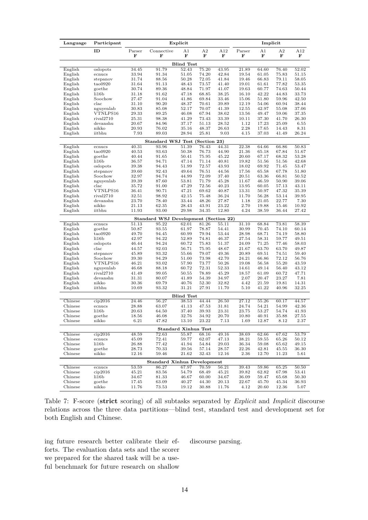| ID<br>Connective<br>A1<br>A <sub>2</sub><br>A12<br>Parser<br>A1<br>A <sub>2</sub><br>A12<br>Parser<br>F<br>F<br>F<br>F<br>F<br>F<br>F<br>F<br>F<br><b>Blind Test</b><br>91.79<br>52.43<br>75.20<br>52.02<br>English<br>oslopots<br>34.45<br>43.95<br>21.89<br>64.60<br>76.40<br>91.34<br>English<br>ecnucs<br>33.94<br>51.05<br>74.20<br>42.84<br>19.54<br>61.05<br>75.83<br>51.15<br>English<br>31.74<br>50.28<br>72.05<br>79.11<br>58.05<br>88.56<br>41.84<br>19.46<br>66.83<br>stepanov<br>91.13<br>48.43<br>73.57<br>77.82<br>53.35<br>English<br>tao0920<br>31.64<br>41.40<br>19.01<br>61.61<br>English<br>goethe<br>30.74<br>89.36<br>48.84<br>71.97<br>41.07<br>19.63<br>60.77<br>74.63<br>50.44<br>English<br>li16b<br>68.85<br>44.83<br>33.73<br>31.18<br>91.62<br>47.18<br>38.25<br>16.10<br>42.22<br>English<br>27.47<br>91.04<br>69.84<br>59.96<br>42.50<br>Soochow<br>41.86<br>33.46<br>15.06<br>51.80<br>English<br>$_{\rm clac}$<br>31.10<br>90.20<br>48.37<br>70.61<br>39.89<br>12.19<br>54.06<br>60.94<br>38.44<br>English<br>85.08<br>70.07<br>55.08<br>37.06<br>nguyenlab<br>30.83<br>52.17<br>41.39<br>12.55<br>42.97<br>English<br>VTNLPS16<br>29.33<br>89.25<br>46.08<br>67.94<br>59.06<br>37.35<br>38.62<br>13.56<br>49.47<br>English<br>rival2710<br>25.31<br>98.38<br>41.29<br>73.43<br>33.39<br>10.11<br>41.70<br>26.30<br>37.30<br>English<br>1.12<br>6.55<br>devanshu<br>20.67<br>84.96<br>37.17<br>51.13<br>28.52<br>17.23<br>25.09<br>76.02<br>48.37<br>2.28<br>14.43<br>8.31<br>English<br>nikko<br>20.93<br>35.16<br>26.63<br>17.65<br>26.24<br>English<br>7.93<br>89.03<br>28.94<br>25.81<br>9.03<br>4.15<br>iitbhu<br>37.03<br>41.49<br>Standard WSJ Test (Section 23)<br>English<br>51.39<br>66.86<br>50.83<br>40.31<br>93.96<br>76.43<br>44.31<br>22.38<br>64.66<br>ecnucs<br>English<br>40.53<br>93.63<br>50.38<br>76.73<br>44.90<br>21.36<br>67.84<br>51.67<br>tao0920<br>65.18<br>English<br>91.65<br>50.41<br>75.95<br>45.22<br>20.60<br>67.17<br>53.28<br>goethe<br>40.44<br>68.32<br>English<br>li16b<br>36.57<br>94.71<br>47.14<br>71.14<br>40.81<br>19.82<br>51.56<br>51.56<br>42.68<br>51.99<br>72.57<br>English<br>oslopots<br>39.38<br>94.43<br>43.93<br>18.02<br>69.92<br>71.45<br>53.47<br>English<br>76.51<br>17.56<br>67.78<br>51.80<br>stepanov<br>39.60<br>92.43<br>49.64<br>44.56<br>65.58<br>72.09<br>English<br>Soochow<br>32.97<br>94.74<br>44.99<br>37.40<br>20.51<br>63.36<br>66.81<br>50.52<br>39.06<br>English<br>nguyenlab<br>39.39<br>87.60<br>53.81<br>71.79<br>45.28<br>11.67<br>46.59<br>50.90<br>35.72<br>47.29<br>72.56<br>57.13<br>43.11<br>English<br>$_{\rm clac}$<br>91.00<br>40.23<br>13.95<br>60.05<br>35.39<br>English<br>VTNLPS16<br>36.41<br>90.71<br>47.21<br>69.62<br>40.87<br>13.31<br>50.97<br>47.32<br>English<br>39.95<br>rival2710<br>32.51<br>98.92<br>42.15<br>75.48<br>36.24<br>11.70<br>56.28<br>53.14<br>48.26<br>22.77<br>7.30<br>English<br>devanshu<br>23.70<br>78.40<br>33.44<br>27.87<br>1.18<br>21.05<br>English<br>nikko<br>21.13<br>62.35<br>28.43<br>43.91<br>23.22<br>2.70<br>19.88<br>15.46<br>10.92<br>93.00<br>29.98<br>34.35<br>12.80<br>4.24<br>36.44<br>27.42<br>English<br>iitbhu<br>11.93<br>38.59<br>Standard WSJ Development (Section 22)<br>English<br>51.13<br>95.22<br>62.01<br>81.26<br>68.84<br>73.81<br>58.39<br>55.11<br>31.10<br>ecnucs<br>English<br>50.87<br>93.55<br>61.97<br>78.87<br>70.45<br>74.10<br>60.14<br>goethe<br>54.41<br>30.99<br>60.99<br>79.94<br>28.98<br>74.19<br>58.80<br>English<br>tao0920<br>49.70<br>94.45<br>53.44<br>68.71<br>English<br>94.22<br>74.81<br>59.77<br>42.97<br>52.89<br>27.54<br>58.31<br>49.51<br>li16b<br>46.37<br>94.24<br>60.72<br>75.83<br>77.46<br>58.03<br>English<br>oslopots<br>46.44<br>51.37<br>24.09<br>71.25<br>92.03<br>75.95<br>63.70<br>49.87<br>English<br>$_{\rm clac}$<br>44.57<br>56.71<br>48.67<br>21.67<br>63.70<br>English<br>79.07<br>74.51<br>stepanov<br>45.89<br>93.32<br>55.66<br>49.36<br>20.89<br>69.51<br>59.40<br>73.98<br>42.70<br>24.21<br>72.12<br>56.76<br>English<br>Soochow<br>39.30<br>94.29<br>51.00<br>66.86<br>English<br>VTNLPS16<br>46.21<br>93.02<br>57.90<br>73.77<br>50.26<br>19.08<br>56.58<br>55.20<br>43.59<br>English<br>72.31<br>56.40<br>nguyenlab<br>46.68<br>88.18<br>60.72<br>52.33<br>14.61<br>49.14<br>43.12<br>78.89<br>45.29<br>60.72<br>47.71<br>English<br>rival2710<br>41.49<br>99.05<br>50.55<br>18.57<br>61.09<br>7.81<br>English<br>devanshu<br>31.31<br>80.07<br>41.89<br>54.39<br>34.97<br>2.07<br>20.47<br>23.27<br>English<br>4.42<br>14.31<br>nikko<br>30.36<br>69.79<br>40.76<br>52.30<br>32.82<br>21.59<br>19.81<br>31.21<br>27.91<br>11.70<br>5.10<br>41.22<br>40.96<br>32.25<br>English<br>iitbhu<br>10.69<br>93.32<br><b>Blind Test</b><br>Chinese<br>56.27<br>38.53<br>44.44<br>$\overline{26.50}$<br>27.12<br>55.26<br>44.57<br>cip2016<br>24.46<br>60.17<br>Chinese<br>ecnucs<br>28.88<br>63.07<br>41.13<br>47.53<br>31.81<br>24.74<br>54.21<br>54.99<br>42.36<br>37.40<br>39.93<br>Chinese<br>li16b<br>20.63<br>64.50<br>23.31<br>23.75<br>53.27<br>54.74<br>41.93<br>32.76<br>34.92<br>10.80<br>35.88<br>27.55<br>18.56<br>46.08<br>20.70<br>40.91<br>Chinese<br>goethe<br>Chinese<br>nikko<br>6.21<br>47.82<br>13.10<br>23.22<br>12.87<br>2.37<br>7.13<br>1.69<br>8.12<br><b>Standard Xinhua Test</b><br>Chinese<br>cip2016<br>72.63<br>55.87<br>68.16<br>53.79<br>48.59<br>49.16<br>38.69<br>62.66<br>67.62<br>Chinese<br>ecnucs<br>45.09<br>72.41<br>59.77<br>62.07<br>47.13<br>38.21<br>59.55<br>65.26<br>50.12<br>li16b<br>41.94<br>54.84<br>Chinese<br>26.88<br>77.42<br>29.03<br>36.34<br>59.08<br>65.62<br>49.15<br>57.14<br>22.26<br>Chinese<br>goethe<br>28.73<br>70.33<br>39.56<br>28.57<br>42.81<br>45.55<br>36.30<br>Chinese<br>59.46<br>21.62<br>nikko<br>12.16<br>32.43<br>12.16<br>2.36<br>12.70<br>11.23<br>5.61<br><b>Standard Xinhua Development</b><br>Chinese<br>53.59<br>86.27<br>67.97<br>70.59<br>56.21<br>65.25<br>50.50<br>ecnucs<br>39.43<br>59.86<br>Chinese<br>kip2016<br>45.21<br>83.56<br>54.79<br>68.49<br>45.21<br>39.82<br>62.82<br>67.98<br>53.41<br>81.33<br>46.67<br>60.00<br>50.30<br>Chinese<br>li16b<br>34.67<br>34.67<br>36.09<br>59.47<br>65.68<br>63.09<br>40.27<br>44.30<br>36.93<br>Chinese<br>goethe<br>17.45<br>20.13<br>22.67<br>45.70<br>45.34<br>19.12<br>30.88<br>Chinese<br>nikko<br>11.76<br>73.53<br>11.76<br>4.12<br>20.60<br>12.36<br>5.07 | Language | Participant | Explicit |  |  |  | Implicit |  |  |  |
|--------------------------------------------------------------------------------------------------------------------------------------------------------------------------------------------------------------------------------------------------------------------------------------------------------------------------------------------------------------------------------------------------------------------------------------------------------------------------------------------------------------------------------------------------------------------------------------------------------------------------------------------------------------------------------------------------------------------------------------------------------------------------------------------------------------------------------------------------------------------------------------------------------------------------------------------------------------------------------------------------------------------------------------------------------------------------------------------------------------------------------------------------------------------------------------------------------------------------------------------------------------------------------------------------------------------------------------------------------------------------------------------------------------------------------------------------------------------------------------------------------------------------------------------------------------------------------------------------------------------------------------------------------------------------------------------------------------------------------------------------------------------------------------------------------------------------------------------------------------------------------------------------------------------------------------------------------------------------------------------------------------------------------------------------------------------------------------------------------------------------------------------------------------------------------------------------------------------------------------------------------------------------------------------------------------------------------------------------------------------------------------------------------------------------------------------------------------------------------------------------------------------------------------------------------------------------------------------------------------------------------------------------------------------------------------------------------------------------------------------------------------------------------------------------------------------------------------------------------------------------------------------------------------------------------------------------------------------------------------------------------------------------------------------------------------------------------------------------------------------------------------------------------------------------------------------------------------------------------------------------------------------------------------------------------------------------------------------------------------------------------------------------------------------------------------------------------------------------------------------------------------------------------------------------------------------------------------------------------------------------------------------------------------------------------------------------------------------------------------------------------------------------------------------------------------------------------------------------------------------------------------------------------------------------------------------------------------------------------------------------------------------------------------------------------------------------------------------------------------------------------------------------------------------------------------------------------------------------------------------------------------------------------------------------------------------------------------------------------------------------------------------------------------------------------------------------------------------------------------------------------------------------------------------------------------------------------------------------------------------------------------------------------------------------------------------------------------------------------------------------------------------------------------------------------------------------------------------------------------------------------------------------------------------------------------------------------------------------------------------------------------------------------------------------------------------------------------------------------------------------------------------------------------------------------------------------------------------------------------------------------------------------------------------------------------------------------------------------------------------------------------------------------------------------------------------------------------------------------------------------------------------------------------------------------------------------------------------------------------------------------------------------------------------------------------------------------------------------------------------------------------------------------------------------------------------------------------------------------------------------------------------------------------------------------------------------------------------------------------------------------------------------------------------------------------------------------------------------------------------------------------------------------------------------------------------------------------------------------------------------------------------------------------------------------------------------------------------------------------------------------------------------------------------------------------------------|----------|-------------|----------|--|--|--|----------|--|--|--|
|                                                                                                                                                                                                                                                                                                                                                                                                                                                                                                                                                                                                                                                                                                                                                                                                                                                                                                                                                                                                                                                                                                                                                                                                                                                                                                                                                                                                                                                                                                                                                                                                                                                                                                                                                                                                                                                                                                                                                                                                                                                                                                                                                                                                                                                                                                                                                                                                                                                                                                                                                                                                                                                                                                                                                                                                                                                                                                                                                                                                                                                                                                                                                                                                                                                                                                                                                                                                                                                                                                                                                                                                                                                                                                                                                                                                                                                                                                                                                                                                                                                                                                                                                                                                                                                                                                                                                                                                                                                                                                                                                                                                                                                                                                                                                                                                                                                                                                                                                                                                                                                                                                                                                                                                                                                                                                                                                                                                                                                                                                                                                                                                                                                                                                                                                                                                                                                                                                                                                                                                                                                                                                                                                                                                                                                                                                                                                                                                                                                  |          |             |          |  |  |  |          |  |  |  |
|                                                                                                                                                                                                                                                                                                                                                                                                                                                                                                                                                                                                                                                                                                                                                                                                                                                                                                                                                                                                                                                                                                                                                                                                                                                                                                                                                                                                                                                                                                                                                                                                                                                                                                                                                                                                                                                                                                                                                                                                                                                                                                                                                                                                                                                                                                                                                                                                                                                                                                                                                                                                                                                                                                                                                                                                                                                                                                                                                                                                                                                                                                                                                                                                                                                                                                                                                                                                                                                                                                                                                                                                                                                                                                                                                                                                                                                                                                                                                                                                                                                                                                                                                                                                                                                                                                                                                                                                                                                                                                                                                                                                                                                                                                                                                                                                                                                                                                                                                                                                                                                                                                                                                                                                                                                                                                                                                                                                                                                                                                                                                                                                                                                                                                                                                                                                                                                                                                                                                                                                                                                                                                                                                                                                                                                                                                                                                                                                                                                  |          |             |          |  |  |  |          |  |  |  |
|                                                                                                                                                                                                                                                                                                                                                                                                                                                                                                                                                                                                                                                                                                                                                                                                                                                                                                                                                                                                                                                                                                                                                                                                                                                                                                                                                                                                                                                                                                                                                                                                                                                                                                                                                                                                                                                                                                                                                                                                                                                                                                                                                                                                                                                                                                                                                                                                                                                                                                                                                                                                                                                                                                                                                                                                                                                                                                                                                                                                                                                                                                                                                                                                                                                                                                                                                                                                                                                                                                                                                                                                                                                                                                                                                                                                                                                                                                                                                                                                                                                                                                                                                                                                                                                                                                                                                                                                                                                                                                                                                                                                                                                                                                                                                                                                                                                                                                                                                                                                                                                                                                                                                                                                                                                                                                                                                                                                                                                                                                                                                                                                                                                                                                                                                                                                                                                                                                                                                                                                                                                                                                                                                                                                                                                                                                                                                                                                                                                  |          |             |          |  |  |  |          |  |  |  |
|                                                                                                                                                                                                                                                                                                                                                                                                                                                                                                                                                                                                                                                                                                                                                                                                                                                                                                                                                                                                                                                                                                                                                                                                                                                                                                                                                                                                                                                                                                                                                                                                                                                                                                                                                                                                                                                                                                                                                                                                                                                                                                                                                                                                                                                                                                                                                                                                                                                                                                                                                                                                                                                                                                                                                                                                                                                                                                                                                                                                                                                                                                                                                                                                                                                                                                                                                                                                                                                                                                                                                                                                                                                                                                                                                                                                                                                                                                                                                                                                                                                                                                                                                                                                                                                                                                                                                                                                                                                                                                                                                                                                                                                                                                                                                                                                                                                                                                                                                                                                                                                                                                                                                                                                                                                                                                                                                                                                                                                                                                                                                                                                                                                                                                                                                                                                                                                                                                                                                                                                                                                                                                                                                                                                                                                                                                                                                                                                                                                  |          |             |          |  |  |  |          |  |  |  |
|                                                                                                                                                                                                                                                                                                                                                                                                                                                                                                                                                                                                                                                                                                                                                                                                                                                                                                                                                                                                                                                                                                                                                                                                                                                                                                                                                                                                                                                                                                                                                                                                                                                                                                                                                                                                                                                                                                                                                                                                                                                                                                                                                                                                                                                                                                                                                                                                                                                                                                                                                                                                                                                                                                                                                                                                                                                                                                                                                                                                                                                                                                                                                                                                                                                                                                                                                                                                                                                                                                                                                                                                                                                                                                                                                                                                                                                                                                                                                                                                                                                                                                                                                                                                                                                                                                                                                                                                                                                                                                                                                                                                                                                                                                                                                                                                                                                                                                                                                                                                                                                                                                                                                                                                                                                                                                                                                                                                                                                                                                                                                                                                                                                                                                                                                                                                                                                                                                                                                                                                                                                                                                                                                                                                                                                                                                                                                                                                                                                  |          |             |          |  |  |  |          |  |  |  |
|                                                                                                                                                                                                                                                                                                                                                                                                                                                                                                                                                                                                                                                                                                                                                                                                                                                                                                                                                                                                                                                                                                                                                                                                                                                                                                                                                                                                                                                                                                                                                                                                                                                                                                                                                                                                                                                                                                                                                                                                                                                                                                                                                                                                                                                                                                                                                                                                                                                                                                                                                                                                                                                                                                                                                                                                                                                                                                                                                                                                                                                                                                                                                                                                                                                                                                                                                                                                                                                                                                                                                                                                                                                                                                                                                                                                                                                                                                                                                                                                                                                                                                                                                                                                                                                                                                                                                                                                                                                                                                                                                                                                                                                                                                                                                                                                                                                                                                                                                                                                                                                                                                                                                                                                                                                                                                                                                                                                                                                                                                                                                                                                                                                                                                                                                                                                                                                                                                                                                                                                                                                                                                                                                                                                                                                                                                                                                                                                                                                  |          |             |          |  |  |  |          |  |  |  |
|                                                                                                                                                                                                                                                                                                                                                                                                                                                                                                                                                                                                                                                                                                                                                                                                                                                                                                                                                                                                                                                                                                                                                                                                                                                                                                                                                                                                                                                                                                                                                                                                                                                                                                                                                                                                                                                                                                                                                                                                                                                                                                                                                                                                                                                                                                                                                                                                                                                                                                                                                                                                                                                                                                                                                                                                                                                                                                                                                                                                                                                                                                                                                                                                                                                                                                                                                                                                                                                                                                                                                                                                                                                                                                                                                                                                                                                                                                                                                                                                                                                                                                                                                                                                                                                                                                                                                                                                                                                                                                                                                                                                                                                                                                                                                                                                                                                                                                                                                                                                                                                                                                                                                                                                                                                                                                                                                                                                                                                                                                                                                                                                                                                                                                                                                                                                                                                                                                                                                                                                                                                                                                                                                                                                                                                                                                                                                                                                                                                  |          |             |          |  |  |  |          |  |  |  |
|                                                                                                                                                                                                                                                                                                                                                                                                                                                                                                                                                                                                                                                                                                                                                                                                                                                                                                                                                                                                                                                                                                                                                                                                                                                                                                                                                                                                                                                                                                                                                                                                                                                                                                                                                                                                                                                                                                                                                                                                                                                                                                                                                                                                                                                                                                                                                                                                                                                                                                                                                                                                                                                                                                                                                                                                                                                                                                                                                                                                                                                                                                                                                                                                                                                                                                                                                                                                                                                                                                                                                                                                                                                                                                                                                                                                                                                                                                                                                                                                                                                                                                                                                                                                                                                                                                                                                                                                                                                                                                                                                                                                                                                                                                                                                                                                                                                                                                                                                                                                                                                                                                                                                                                                                                                                                                                                                                                                                                                                                                                                                                                                                                                                                                                                                                                                                                                                                                                                                                                                                                                                                                                                                                                                                                                                                                                                                                                                                                                  |          |             |          |  |  |  |          |  |  |  |
|                                                                                                                                                                                                                                                                                                                                                                                                                                                                                                                                                                                                                                                                                                                                                                                                                                                                                                                                                                                                                                                                                                                                                                                                                                                                                                                                                                                                                                                                                                                                                                                                                                                                                                                                                                                                                                                                                                                                                                                                                                                                                                                                                                                                                                                                                                                                                                                                                                                                                                                                                                                                                                                                                                                                                                                                                                                                                                                                                                                                                                                                                                                                                                                                                                                                                                                                                                                                                                                                                                                                                                                                                                                                                                                                                                                                                                                                                                                                                                                                                                                                                                                                                                                                                                                                                                                                                                                                                                                                                                                                                                                                                                                                                                                                                                                                                                                                                                                                                                                                                                                                                                                                                                                                                                                                                                                                                                                                                                                                                                                                                                                                                                                                                                                                                                                                                                                                                                                                                                                                                                                                                                                                                                                                                                                                                                                                                                                                                                                  |          |             |          |  |  |  |          |  |  |  |
|                                                                                                                                                                                                                                                                                                                                                                                                                                                                                                                                                                                                                                                                                                                                                                                                                                                                                                                                                                                                                                                                                                                                                                                                                                                                                                                                                                                                                                                                                                                                                                                                                                                                                                                                                                                                                                                                                                                                                                                                                                                                                                                                                                                                                                                                                                                                                                                                                                                                                                                                                                                                                                                                                                                                                                                                                                                                                                                                                                                                                                                                                                                                                                                                                                                                                                                                                                                                                                                                                                                                                                                                                                                                                                                                                                                                                                                                                                                                                                                                                                                                                                                                                                                                                                                                                                                                                                                                                                                                                                                                                                                                                                                                                                                                                                                                                                                                                                                                                                                                                                                                                                                                                                                                                                                                                                                                                                                                                                                                                                                                                                                                                                                                                                                                                                                                                                                                                                                                                                                                                                                                                                                                                                                                                                                                                                                                                                                                                                                  |          |             |          |  |  |  |          |  |  |  |
|                                                                                                                                                                                                                                                                                                                                                                                                                                                                                                                                                                                                                                                                                                                                                                                                                                                                                                                                                                                                                                                                                                                                                                                                                                                                                                                                                                                                                                                                                                                                                                                                                                                                                                                                                                                                                                                                                                                                                                                                                                                                                                                                                                                                                                                                                                                                                                                                                                                                                                                                                                                                                                                                                                                                                                                                                                                                                                                                                                                                                                                                                                                                                                                                                                                                                                                                                                                                                                                                                                                                                                                                                                                                                                                                                                                                                                                                                                                                                                                                                                                                                                                                                                                                                                                                                                                                                                                                                                                                                                                                                                                                                                                                                                                                                                                                                                                                                                                                                                                                                                                                                                                                                                                                                                                                                                                                                                                                                                                                                                                                                                                                                                                                                                                                                                                                                                                                                                                                                                                                                                                                                                                                                                                                                                                                                                                                                                                                                                                  |          |             |          |  |  |  |          |  |  |  |
|                                                                                                                                                                                                                                                                                                                                                                                                                                                                                                                                                                                                                                                                                                                                                                                                                                                                                                                                                                                                                                                                                                                                                                                                                                                                                                                                                                                                                                                                                                                                                                                                                                                                                                                                                                                                                                                                                                                                                                                                                                                                                                                                                                                                                                                                                                                                                                                                                                                                                                                                                                                                                                                                                                                                                                                                                                                                                                                                                                                                                                                                                                                                                                                                                                                                                                                                                                                                                                                                                                                                                                                                                                                                                                                                                                                                                                                                                                                                                                                                                                                                                                                                                                                                                                                                                                                                                                                                                                                                                                                                                                                                                                                                                                                                                                                                                                                                                                                                                                                                                                                                                                                                                                                                                                                                                                                                                                                                                                                                                                                                                                                                                                                                                                                                                                                                                                                                                                                                                                                                                                                                                                                                                                                                                                                                                                                                                                                                                                                  |          |             |          |  |  |  |          |  |  |  |
|                                                                                                                                                                                                                                                                                                                                                                                                                                                                                                                                                                                                                                                                                                                                                                                                                                                                                                                                                                                                                                                                                                                                                                                                                                                                                                                                                                                                                                                                                                                                                                                                                                                                                                                                                                                                                                                                                                                                                                                                                                                                                                                                                                                                                                                                                                                                                                                                                                                                                                                                                                                                                                                                                                                                                                                                                                                                                                                                                                                                                                                                                                                                                                                                                                                                                                                                                                                                                                                                                                                                                                                                                                                                                                                                                                                                                                                                                                                                                                                                                                                                                                                                                                                                                                                                                                                                                                                                                                                                                                                                                                                                                                                                                                                                                                                                                                                                                                                                                                                                                                                                                                                                                                                                                                                                                                                                                                                                                                                                                                                                                                                                                                                                                                                                                                                                                                                                                                                                                                                                                                                                                                                                                                                                                                                                                                                                                                                                                                                  |          |             |          |  |  |  |          |  |  |  |
|                                                                                                                                                                                                                                                                                                                                                                                                                                                                                                                                                                                                                                                                                                                                                                                                                                                                                                                                                                                                                                                                                                                                                                                                                                                                                                                                                                                                                                                                                                                                                                                                                                                                                                                                                                                                                                                                                                                                                                                                                                                                                                                                                                                                                                                                                                                                                                                                                                                                                                                                                                                                                                                                                                                                                                                                                                                                                                                                                                                                                                                                                                                                                                                                                                                                                                                                                                                                                                                                                                                                                                                                                                                                                                                                                                                                                                                                                                                                                                                                                                                                                                                                                                                                                                                                                                                                                                                                                                                                                                                                                                                                                                                                                                                                                                                                                                                                                                                                                                                                                                                                                                                                                                                                                                                                                                                                                                                                                                                                                                                                                                                                                                                                                                                                                                                                                                                                                                                                                                                                                                                                                                                                                                                                                                                                                                                                                                                                                                                  |          |             |          |  |  |  |          |  |  |  |
|                                                                                                                                                                                                                                                                                                                                                                                                                                                                                                                                                                                                                                                                                                                                                                                                                                                                                                                                                                                                                                                                                                                                                                                                                                                                                                                                                                                                                                                                                                                                                                                                                                                                                                                                                                                                                                                                                                                                                                                                                                                                                                                                                                                                                                                                                                                                                                                                                                                                                                                                                                                                                                                                                                                                                                                                                                                                                                                                                                                                                                                                                                                                                                                                                                                                                                                                                                                                                                                                                                                                                                                                                                                                                                                                                                                                                                                                                                                                                                                                                                                                                                                                                                                                                                                                                                                                                                                                                                                                                                                                                                                                                                                                                                                                                                                                                                                                                                                                                                                                                                                                                                                                                                                                                                                                                                                                                                                                                                                                                                                                                                                                                                                                                                                                                                                                                                                                                                                                                                                                                                                                                                                                                                                                                                                                                                                                                                                                                                                  |          |             |          |  |  |  |          |  |  |  |
|                                                                                                                                                                                                                                                                                                                                                                                                                                                                                                                                                                                                                                                                                                                                                                                                                                                                                                                                                                                                                                                                                                                                                                                                                                                                                                                                                                                                                                                                                                                                                                                                                                                                                                                                                                                                                                                                                                                                                                                                                                                                                                                                                                                                                                                                                                                                                                                                                                                                                                                                                                                                                                                                                                                                                                                                                                                                                                                                                                                                                                                                                                                                                                                                                                                                                                                                                                                                                                                                                                                                                                                                                                                                                                                                                                                                                                                                                                                                                                                                                                                                                                                                                                                                                                                                                                                                                                                                                                                                                                                                                                                                                                                                                                                                                                                                                                                                                                                                                                                                                                                                                                                                                                                                                                                                                                                                                                                                                                                                                                                                                                                                                                                                                                                                                                                                                                                                                                                                                                                                                                                                                                                                                                                                                                                                                                                                                                                                                                                  |          |             |          |  |  |  |          |  |  |  |
|                                                                                                                                                                                                                                                                                                                                                                                                                                                                                                                                                                                                                                                                                                                                                                                                                                                                                                                                                                                                                                                                                                                                                                                                                                                                                                                                                                                                                                                                                                                                                                                                                                                                                                                                                                                                                                                                                                                                                                                                                                                                                                                                                                                                                                                                                                                                                                                                                                                                                                                                                                                                                                                                                                                                                                                                                                                                                                                                                                                                                                                                                                                                                                                                                                                                                                                                                                                                                                                                                                                                                                                                                                                                                                                                                                                                                                                                                                                                                                                                                                                                                                                                                                                                                                                                                                                                                                                                                                                                                                                                                                                                                                                                                                                                                                                                                                                                                                                                                                                                                                                                                                                                                                                                                                                                                                                                                                                                                                                                                                                                                                                                                                                                                                                                                                                                                                                                                                                                                                                                                                                                                                                                                                                                                                                                                                                                                                                                                                                  |          |             |          |  |  |  |          |  |  |  |
|                                                                                                                                                                                                                                                                                                                                                                                                                                                                                                                                                                                                                                                                                                                                                                                                                                                                                                                                                                                                                                                                                                                                                                                                                                                                                                                                                                                                                                                                                                                                                                                                                                                                                                                                                                                                                                                                                                                                                                                                                                                                                                                                                                                                                                                                                                                                                                                                                                                                                                                                                                                                                                                                                                                                                                                                                                                                                                                                                                                                                                                                                                                                                                                                                                                                                                                                                                                                                                                                                                                                                                                                                                                                                                                                                                                                                                                                                                                                                                                                                                                                                                                                                                                                                                                                                                                                                                                                                                                                                                                                                                                                                                                                                                                                                                                                                                                                                                                                                                                                                                                                                                                                                                                                                                                                                                                                                                                                                                                                                                                                                                                                                                                                                                                                                                                                                                                                                                                                                                                                                                                                                                                                                                                                                                                                                                                                                                                                                                                  |          |             |          |  |  |  |          |  |  |  |
|                                                                                                                                                                                                                                                                                                                                                                                                                                                                                                                                                                                                                                                                                                                                                                                                                                                                                                                                                                                                                                                                                                                                                                                                                                                                                                                                                                                                                                                                                                                                                                                                                                                                                                                                                                                                                                                                                                                                                                                                                                                                                                                                                                                                                                                                                                                                                                                                                                                                                                                                                                                                                                                                                                                                                                                                                                                                                                                                                                                                                                                                                                                                                                                                                                                                                                                                                                                                                                                                                                                                                                                                                                                                                                                                                                                                                                                                                                                                                                                                                                                                                                                                                                                                                                                                                                                                                                                                                                                                                                                                                                                                                                                                                                                                                                                                                                                                                                                                                                                                                                                                                                                                                                                                                                                                                                                                                                                                                                                                                                                                                                                                                                                                                                                                                                                                                                                                                                                                                                                                                                                                                                                                                                                                                                                                                                                                                                                                                                                  |          |             |          |  |  |  |          |  |  |  |
|                                                                                                                                                                                                                                                                                                                                                                                                                                                                                                                                                                                                                                                                                                                                                                                                                                                                                                                                                                                                                                                                                                                                                                                                                                                                                                                                                                                                                                                                                                                                                                                                                                                                                                                                                                                                                                                                                                                                                                                                                                                                                                                                                                                                                                                                                                                                                                                                                                                                                                                                                                                                                                                                                                                                                                                                                                                                                                                                                                                                                                                                                                                                                                                                                                                                                                                                                                                                                                                                                                                                                                                                                                                                                                                                                                                                                                                                                                                                                                                                                                                                                                                                                                                                                                                                                                                                                                                                                                                                                                                                                                                                                                                                                                                                                                                                                                                                                                                                                                                                                                                                                                                                                                                                                                                                                                                                                                                                                                                                                                                                                                                                                                                                                                                                                                                                                                                                                                                                                                                                                                                                                                                                                                                                                                                                                                                                                                                                                                                  |          |             |          |  |  |  |          |  |  |  |
|                                                                                                                                                                                                                                                                                                                                                                                                                                                                                                                                                                                                                                                                                                                                                                                                                                                                                                                                                                                                                                                                                                                                                                                                                                                                                                                                                                                                                                                                                                                                                                                                                                                                                                                                                                                                                                                                                                                                                                                                                                                                                                                                                                                                                                                                                                                                                                                                                                                                                                                                                                                                                                                                                                                                                                                                                                                                                                                                                                                                                                                                                                                                                                                                                                                                                                                                                                                                                                                                                                                                                                                                                                                                                                                                                                                                                                                                                                                                                                                                                                                                                                                                                                                                                                                                                                                                                                                                                                                                                                                                                                                                                                                                                                                                                                                                                                                                                                                                                                                                                                                                                                                                                                                                                                                                                                                                                                                                                                                                                                                                                                                                                                                                                                                                                                                                                                                                                                                                                                                                                                                                                                                                                                                                                                                                                                                                                                                                                                                  |          |             |          |  |  |  |          |  |  |  |
|                                                                                                                                                                                                                                                                                                                                                                                                                                                                                                                                                                                                                                                                                                                                                                                                                                                                                                                                                                                                                                                                                                                                                                                                                                                                                                                                                                                                                                                                                                                                                                                                                                                                                                                                                                                                                                                                                                                                                                                                                                                                                                                                                                                                                                                                                                                                                                                                                                                                                                                                                                                                                                                                                                                                                                                                                                                                                                                                                                                                                                                                                                                                                                                                                                                                                                                                                                                                                                                                                                                                                                                                                                                                                                                                                                                                                                                                                                                                                                                                                                                                                                                                                                                                                                                                                                                                                                                                                                                                                                                                                                                                                                                                                                                                                                                                                                                                                                                                                                                                                                                                                                                                                                                                                                                                                                                                                                                                                                                                                                                                                                                                                                                                                                                                                                                                                                                                                                                                                                                                                                                                                                                                                                                                                                                                                                                                                                                                                                                  |          |             |          |  |  |  |          |  |  |  |
|                                                                                                                                                                                                                                                                                                                                                                                                                                                                                                                                                                                                                                                                                                                                                                                                                                                                                                                                                                                                                                                                                                                                                                                                                                                                                                                                                                                                                                                                                                                                                                                                                                                                                                                                                                                                                                                                                                                                                                                                                                                                                                                                                                                                                                                                                                                                                                                                                                                                                                                                                                                                                                                                                                                                                                                                                                                                                                                                                                                                                                                                                                                                                                                                                                                                                                                                                                                                                                                                                                                                                                                                                                                                                                                                                                                                                                                                                                                                                                                                                                                                                                                                                                                                                                                                                                                                                                                                                                                                                                                                                                                                                                                                                                                                                                                                                                                                                                                                                                                                                                                                                                                                                                                                                                                                                                                                                                                                                                                                                                                                                                                                                                                                                                                                                                                                                                                                                                                                                                                                                                                                                                                                                                                                                                                                                                                                                                                                                                                  |          |             |          |  |  |  |          |  |  |  |
|                                                                                                                                                                                                                                                                                                                                                                                                                                                                                                                                                                                                                                                                                                                                                                                                                                                                                                                                                                                                                                                                                                                                                                                                                                                                                                                                                                                                                                                                                                                                                                                                                                                                                                                                                                                                                                                                                                                                                                                                                                                                                                                                                                                                                                                                                                                                                                                                                                                                                                                                                                                                                                                                                                                                                                                                                                                                                                                                                                                                                                                                                                                                                                                                                                                                                                                                                                                                                                                                                                                                                                                                                                                                                                                                                                                                                                                                                                                                                                                                                                                                                                                                                                                                                                                                                                                                                                                                                                                                                                                                                                                                                                                                                                                                                                                                                                                                                                                                                                                                                                                                                                                                                                                                                                                                                                                                                                                                                                                                                                                                                                                                                                                                                                                                                                                                                                                                                                                                                                                                                                                                                                                                                                                                                                                                                                                                                                                                                                                  |          |             |          |  |  |  |          |  |  |  |
|                                                                                                                                                                                                                                                                                                                                                                                                                                                                                                                                                                                                                                                                                                                                                                                                                                                                                                                                                                                                                                                                                                                                                                                                                                                                                                                                                                                                                                                                                                                                                                                                                                                                                                                                                                                                                                                                                                                                                                                                                                                                                                                                                                                                                                                                                                                                                                                                                                                                                                                                                                                                                                                                                                                                                                                                                                                                                                                                                                                                                                                                                                                                                                                                                                                                                                                                                                                                                                                                                                                                                                                                                                                                                                                                                                                                                                                                                                                                                                                                                                                                                                                                                                                                                                                                                                                                                                                                                                                                                                                                                                                                                                                                                                                                                                                                                                                                                                                                                                                                                                                                                                                                                                                                                                                                                                                                                                                                                                                                                                                                                                                                                                                                                                                                                                                                                                                                                                                                                                                                                                                                                                                                                                                                                                                                                                                                                                                                                                                  |          |             |          |  |  |  |          |  |  |  |
|                                                                                                                                                                                                                                                                                                                                                                                                                                                                                                                                                                                                                                                                                                                                                                                                                                                                                                                                                                                                                                                                                                                                                                                                                                                                                                                                                                                                                                                                                                                                                                                                                                                                                                                                                                                                                                                                                                                                                                                                                                                                                                                                                                                                                                                                                                                                                                                                                                                                                                                                                                                                                                                                                                                                                                                                                                                                                                                                                                                                                                                                                                                                                                                                                                                                                                                                                                                                                                                                                                                                                                                                                                                                                                                                                                                                                                                                                                                                                                                                                                                                                                                                                                                                                                                                                                                                                                                                                                                                                                                                                                                                                                                                                                                                                                                                                                                                                                                                                                                                                                                                                                                                                                                                                                                                                                                                                                                                                                                                                                                                                                                                                                                                                                                                                                                                                                                                                                                                                                                                                                                                                                                                                                                                                                                                                                                                                                                                                                                  |          |             |          |  |  |  |          |  |  |  |
|                                                                                                                                                                                                                                                                                                                                                                                                                                                                                                                                                                                                                                                                                                                                                                                                                                                                                                                                                                                                                                                                                                                                                                                                                                                                                                                                                                                                                                                                                                                                                                                                                                                                                                                                                                                                                                                                                                                                                                                                                                                                                                                                                                                                                                                                                                                                                                                                                                                                                                                                                                                                                                                                                                                                                                                                                                                                                                                                                                                                                                                                                                                                                                                                                                                                                                                                                                                                                                                                                                                                                                                                                                                                                                                                                                                                                                                                                                                                                                                                                                                                                                                                                                                                                                                                                                                                                                                                                                                                                                                                                                                                                                                                                                                                                                                                                                                                                                                                                                                                                                                                                                                                                                                                                                                                                                                                                                                                                                                                                                                                                                                                                                                                                                                                                                                                                                                                                                                                                                                                                                                                                                                                                                                                                                                                                                                                                                                                                                                  |          |             |          |  |  |  |          |  |  |  |
|                                                                                                                                                                                                                                                                                                                                                                                                                                                                                                                                                                                                                                                                                                                                                                                                                                                                                                                                                                                                                                                                                                                                                                                                                                                                                                                                                                                                                                                                                                                                                                                                                                                                                                                                                                                                                                                                                                                                                                                                                                                                                                                                                                                                                                                                                                                                                                                                                                                                                                                                                                                                                                                                                                                                                                                                                                                                                                                                                                                                                                                                                                                                                                                                                                                                                                                                                                                                                                                                                                                                                                                                                                                                                                                                                                                                                                                                                                                                                                                                                                                                                                                                                                                                                                                                                                                                                                                                                                                                                                                                                                                                                                                                                                                                                                                                                                                                                                                                                                                                                                                                                                                                                                                                                                                                                                                                                                                                                                                                                                                                                                                                                                                                                                                                                                                                                                                                                                                                                                                                                                                                                                                                                                                                                                                                                                                                                                                                                                                  |          |             |          |  |  |  |          |  |  |  |
|                                                                                                                                                                                                                                                                                                                                                                                                                                                                                                                                                                                                                                                                                                                                                                                                                                                                                                                                                                                                                                                                                                                                                                                                                                                                                                                                                                                                                                                                                                                                                                                                                                                                                                                                                                                                                                                                                                                                                                                                                                                                                                                                                                                                                                                                                                                                                                                                                                                                                                                                                                                                                                                                                                                                                                                                                                                                                                                                                                                                                                                                                                                                                                                                                                                                                                                                                                                                                                                                                                                                                                                                                                                                                                                                                                                                                                                                                                                                                                                                                                                                                                                                                                                                                                                                                                                                                                                                                                                                                                                                                                                                                                                                                                                                                                                                                                                                                                                                                                                                                                                                                                                                                                                                                                                                                                                                                                                                                                                                                                                                                                                                                                                                                                                                                                                                                                                                                                                                                                                                                                                                                                                                                                                                                                                                                                                                                                                                                                                  |          |             |          |  |  |  |          |  |  |  |
|                                                                                                                                                                                                                                                                                                                                                                                                                                                                                                                                                                                                                                                                                                                                                                                                                                                                                                                                                                                                                                                                                                                                                                                                                                                                                                                                                                                                                                                                                                                                                                                                                                                                                                                                                                                                                                                                                                                                                                                                                                                                                                                                                                                                                                                                                                                                                                                                                                                                                                                                                                                                                                                                                                                                                                                                                                                                                                                                                                                                                                                                                                                                                                                                                                                                                                                                                                                                                                                                                                                                                                                                                                                                                                                                                                                                                                                                                                                                                                                                                                                                                                                                                                                                                                                                                                                                                                                                                                                                                                                                                                                                                                                                                                                                                                                                                                                                                                                                                                                                                                                                                                                                                                                                                                                                                                                                                                                                                                                                                                                                                                                                                                                                                                                                                                                                                                                                                                                                                                                                                                                                                                                                                                                                                                                                                                                                                                                                                                                  |          |             |          |  |  |  |          |  |  |  |
|                                                                                                                                                                                                                                                                                                                                                                                                                                                                                                                                                                                                                                                                                                                                                                                                                                                                                                                                                                                                                                                                                                                                                                                                                                                                                                                                                                                                                                                                                                                                                                                                                                                                                                                                                                                                                                                                                                                                                                                                                                                                                                                                                                                                                                                                                                                                                                                                                                                                                                                                                                                                                                                                                                                                                                                                                                                                                                                                                                                                                                                                                                                                                                                                                                                                                                                                                                                                                                                                                                                                                                                                                                                                                                                                                                                                                                                                                                                                                                                                                                                                                                                                                                                                                                                                                                                                                                                                                                                                                                                                                                                                                                                                                                                                                                                                                                                                                                                                                                                                                                                                                                                                                                                                                                                                                                                                                                                                                                                                                                                                                                                                                                                                                                                                                                                                                                                                                                                                                                                                                                                                                                                                                                                                                                                                                                                                                                                                                                                  |          |             |          |  |  |  |          |  |  |  |
|                                                                                                                                                                                                                                                                                                                                                                                                                                                                                                                                                                                                                                                                                                                                                                                                                                                                                                                                                                                                                                                                                                                                                                                                                                                                                                                                                                                                                                                                                                                                                                                                                                                                                                                                                                                                                                                                                                                                                                                                                                                                                                                                                                                                                                                                                                                                                                                                                                                                                                                                                                                                                                                                                                                                                                                                                                                                                                                                                                                                                                                                                                                                                                                                                                                                                                                                                                                                                                                                                                                                                                                                                                                                                                                                                                                                                                                                                                                                                                                                                                                                                                                                                                                                                                                                                                                                                                                                                                                                                                                                                                                                                                                                                                                                                                                                                                                                                                                                                                                                                                                                                                                                                                                                                                                                                                                                                                                                                                                                                                                                                                                                                                                                                                                                                                                                                                                                                                                                                                                                                                                                                                                                                                                                                                                                                                                                                                                                                                                  |          |             |          |  |  |  |          |  |  |  |
|                                                                                                                                                                                                                                                                                                                                                                                                                                                                                                                                                                                                                                                                                                                                                                                                                                                                                                                                                                                                                                                                                                                                                                                                                                                                                                                                                                                                                                                                                                                                                                                                                                                                                                                                                                                                                                                                                                                                                                                                                                                                                                                                                                                                                                                                                                                                                                                                                                                                                                                                                                                                                                                                                                                                                                                                                                                                                                                                                                                                                                                                                                                                                                                                                                                                                                                                                                                                                                                                                                                                                                                                                                                                                                                                                                                                                                                                                                                                                                                                                                                                                                                                                                                                                                                                                                                                                                                                                                                                                                                                                                                                                                                                                                                                                                                                                                                                                                                                                                                                                                                                                                                                                                                                                                                                                                                                                                                                                                                                                                                                                                                                                                                                                                                                                                                                                                                                                                                                                                                                                                                                                                                                                                                                                                                                                                                                                                                                                                                  |          |             |          |  |  |  |          |  |  |  |
|                                                                                                                                                                                                                                                                                                                                                                                                                                                                                                                                                                                                                                                                                                                                                                                                                                                                                                                                                                                                                                                                                                                                                                                                                                                                                                                                                                                                                                                                                                                                                                                                                                                                                                                                                                                                                                                                                                                                                                                                                                                                                                                                                                                                                                                                                                                                                                                                                                                                                                                                                                                                                                                                                                                                                                                                                                                                                                                                                                                                                                                                                                                                                                                                                                                                                                                                                                                                                                                                                                                                                                                                                                                                                                                                                                                                                                                                                                                                                                                                                                                                                                                                                                                                                                                                                                                                                                                                                                                                                                                                                                                                                                                                                                                                                                                                                                                                                                                                                                                                                                                                                                                                                                                                                                                                                                                                                                                                                                                                                                                                                                                                                                                                                                                                                                                                                                                                                                                                                                                                                                                                                                                                                                                                                                                                                                                                                                                                                                                  |          |             |          |  |  |  |          |  |  |  |
|                                                                                                                                                                                                                                                                                                                                                                                                                                                                                                                                                                                                                                                                                                                                                                                                                                                                                                                                                                                                                                                                                                                                                                                                                                                                                                                                                                                                                                                                                                                                                                                                                                                                                                                                                                                                                                                                                                                                                                                                                                                                                                                                                                                                                                                                                                                                                                                                                                                                                                                                                                                                                                                                                                                                                                                                                                                                                                                                                                                                                                                                                                                                                                                                                                                                                                                                                                                                                                                                                                                                                                                                                                                                                                                                                                                                                                                                                                                                                                                                                                                                                                                                                                                                                                                                                                                                                                                                                                                                                                                                                                                                                                                                                                                                                                                                                                                                                                                                                                                                                                                                                                                                                                                                                                                                                                                                                                                                                                                                                                                                                                                                                                                                                                                                                                                                                                                                                                                                                                                                                                                                                                                                                                                                                                                                                                                                                                                                                                                  |          |             |          |  |  |  |          |  |  |  |
|                                                                                                                                                                                                                                                                                                                                                                                                                                                                                                                                                                                                                                                                                                                                                                                                                                                                                                                                                                                                                                                                                                                                                                                                                                                                                                                                                                                                                                                                                                                                                                                                                                                                                                                                                                                                                                                                                                                                                                                                                                                                                                                                                                                                                                                                                                                                                                                                                                                                                                                                                                                                                                                                                                                                                                                                                                                                                                                                                                                                                                                                                                                                                                                                                                                                                                                                                                                                                                                                                                                                                                                                                                                                                                                                                                                                                                                                                                                                                                                                                                                                                                                                                                                                                                                                                                                                                                                                                                                                                                                                                                                                                                                                                                                                                                                                                                                                                                                                                                                                                                                                                                                                                                                                                                                                                                                                                                                                                                                                                                                                                                                                                                                                                                                                                                                                                                                                                                                                                                                                                                                                                                                                                                                                                                                                                                                                                                                                                                                  |          |             |          |  |  |  |          |  |  |  |
|                                                                                                                                                                                                                                                                                                                                                                                                                                                                                                                                                                                                                                                                                                                                                                                                                                                                                                                                                                                                                                                                                                                                                                                                                                                                                                                                                                                                                                                                                                                                                                                                                                                                                                                                                                                                                                                                                                                                                                                                                                                                                                                                                                                                                                                                                                                                                                                                                                                                                                                                                                                                                                                                                                                                                                                                                                                                                                                                                                                                                                                                                                                                                                                                                                                                                                                                                                                                                                                                                                                                                                                                                                                                                                                                                                                                                                                                                                                                                                                                                                                                                                                                                                                                                                                                                                                                                                                                                                                                                                                                                                                                                                                                                                                                                                                                                                                                                                                                                                                                                                                                                                                                                                                                                                                                                                                                                                                                                                                                                                                                                                                                                                                                                                                                                                                                                                                                                                                                                                                                                                                                                                                                                                                                                                                                                                                                                                                                                                                  |          |             |          |  |  |  |          |  |  |  |
|                                                                                                                                                                                                                                                                                                                                                                                                                                                                                                                                                                                                                                                                                                                                                                                                                                                                                                                                                                                                                                                                                                                                                                                                                                                                                                                                                                                                                                                                                                                                                                                                                                                                                                                                                                                                                                                                                                                                                                                                                                                                                                                                                                                                                                                                                                                                                                                                                                                                                                                                                                                                                                                                                                                                                                                                                                                                                                                                                                                                                                                                                                                                                                                                                                                                                                                                                                                                                                                                                                                                                                                                                                                                                                                                                                                                                                                                                                                                                                                                                                                                                                                                                                                                                                                                                                                                                                                                                                                                                                                                                                                                                                                                                                                                                                                                                                                                                                                                                                                                                                                                                                                                                                                                                                                                                                                                                                                                                                                                                                                                                                                                                                                                                                                                                                                                                                                                                                                                                                                                                                                                                                                                                                                                                                                                                                                                                                                                                                                  |          |             |          |  |  |  |          |  |  |  |
|                                                                                                                                                                                                                                                                                                                                                                                                                                                                                                                                                                                                                                                                                                                                                                                                                                                                                                                                                                                                                                                                                                                                                                                                                                                                                                                                                                                                                                                                                                                                                                                                                                                                                                                                                                                                                                                                                                                                                                                                                                                                                                                                                                                                                                                                                                                                                                                                                                                                                                                                                                                                                                                                                                                                                                                                                                                                                                                                                                                                                                                                                                                                                                                                                                                                                                                                                                                                                                                                                                                                                                                                                                                                                                                                                                                                                                                                                                                                                                                                                                                                                                                                                                                                                                                                                                                                                                                                                                                                                                                                                                                                                                                                                                                                                                                                                                                                                                                                                                                                                                                                                                                                                                                                                                                                                                                                                                                                                                                                                                                                                                                                                                                                                                                                                                                                                                                                                                                                                                                                                                                                                                                                                                                                                                                                                                                                                                                                                                                  |          |             |          |  |  |  |          |  |  |  |
|                                                                                                                                                                                                                                                                                                                                                                                                                                                                                                                                                                                                                                                                                                                                                                                                                                                                                                                                                                                                                                                                                                                                                                                                                                                                                                                                                                                                                                                                                                                                                                                                                                                                                                                                                                                                                                                                                                                                                                                                                                                                                                                                                                                                                                                                                                                                                                                                                                                                                                                                                                                                                                                                                                                                                                                                                                                                                                                                                                                                                                                                                                                                                                                                                                                                                                                                                                                                                                                                                                                                                                                                                                                                                                                                                                                                                                                                                                                                                                                                                                                                                                                                                                                                                                                                                                                                                                                                                                                                                                                                                                                                                                                                                                                                                                                                                                                                                                                                                                                                                                                                                                                                                                                                                                                                                                                                                                                                                                                                                                                                                                                                                                                                                                                                                                                                                                                                                                                                                                                                                                                                                                                                                                                                                                                                                                                                                                                                                                                  |          |             |          |  |  |  |          |  |  |  |
|                                                                                                                                                                                                                                                                                                                                                                                                                                                                                                                                                                                                                                                                                                                                                                                                                                                                                                                                                                                                                                                                                                                                                                                                                                                                                                                                                                                                                                                                                                                                                                                                                                                                                                                                                                                                                                                                                                                                                                                                                                                                                                                                                                                                                                                                                                                                                                                                                                                                                                                                                                                                                                                                                                                                                                                                                                                                                                                                                                                                                                                                                                                                                                                                                                                                                                                                                                                                                                                                                                                                                                                                                                                                                                                                                                                                                                                                                                                                                                                                                                                                                                                                                                                                                                                                                                                                                                                                                                                                                                                                                                                                                                                                                                                                                                                                                                                                                                                                                                                                                                                                                                                                                                                                                                                                                                                                                                                                                                                                                                                                                                                                                                                                                                                                                                                                                                                                                                                                                                                                                                                                                                                                                                                                                                                                                                                                                                                                                                                  |          |             |          |  |  |  |          |  |  |  |
|                                                                                                                                                                                                                                                                                                                                                                                                                                                                                                                                                                                                                                                                                                                                                                                                                                                                                                                                                                                                                                                                                                                                                                                                                                                                                                                                                                                                                                                                                                                                                                                                                                                                                                                                                                                                                                                                                                                                                                                                                                                                                                                                                                                                                                                                                                                                                                                                                                                                                                                                                                                                                                                                                                                                                                                                                                                                                                                                                                                                                                                                                                                                                                                                                                                                                                                                                                                                                                                                                                                                                                                                                                                                                                                                                                                                                                                                                                                                                                                                                                                                                                                                                                                                                                                                                                                                                                                                                                                                                                                                                                                                                                                                                                                                                                                                                                                                                                                                                                                                                                                                                                                                                                                                                                                                                                                                                                                                                                                                                                                                                                                                                                                                                                                                                                                                                                                                                                                                                                                                                                                                                                                                                                                                                                                                                                                                                                                                                                                  |          |             |          |  |  |  |          |  |  |  |
|                                                                                                                                                                                                                                                                                                                                                                                                                                                                                                                                                                                                                                                                                                                                                                                                                                                                                                                                                                                                                                                                                                                                                                                                                                                                                                                                                                                                                                                                                                                                                                                                                                                                                                                                                                                                                                                                                                                                                                                                                                                                                                                                                                                                                                                                                                                                                                                                                                                                                                                                                                                                                                                                                                                                                                                                                                                                                                                                                                                                                                                                                                                                                                                                                                                                                                                                                                                                                                                                                                                                                                                                                                                                                                                                                                                                                                                                                                                                                                                                                                                                                                                                                                                                                                                                                                                                                                                                                                                                                                                                                                                                                                                                                                                                                                                                                                                                                                                                                                                                                                                                                                                                                                                                                                                                                                                                                                                                                                                                                                                                                                                                                                                                                                                                                                                                                                                                                                                                                                                                                                                                                                                                                                                                                                                                                                                                                                                                                                                  |          |             |          |  |  |  |          |  |  |  |
|                                                                                                                                                                                                                                                                                                                                                                                                                                                                                                                                                                                                                                                                                                                                                                                                                                                                                                                                                                                                                                                                                                                                                                                                                                                                                                                                                                                                                                                                                                                                                                                                                                                                                                                                                                                                                                                                                                                                                                                                                                                                                                                                                                                                                                                                                                                                                                                                                                                                                                                                                                                                                                                                                                                                                                                                                                                                                                                                                                                                                                                                                                                                                                                                                                                                                                                                                                                                                                                                                                                                                                                                                                                                                                                                                                                                                                                                                                                                                                                                                                                                                                                                                                                                                                                                                                                                                                                                                                                                                                                                                                                                                                                                                                                                                                                                                                                                                                                                                                                                                                                                                                                                                                                                                                                                                                                                                                                                                                                                                                                                                                                                                                                                                                                                                                                                                                                                                                                                                                                                                                                                                                                                                                                                                                                                                                                                                                                                                                                  |          |             |          |  |  |  |          |  |  |  |
|                                                                                                                                                                                                                                                                                                                                                                                                                                                                                                                                                                                                                                                                                                                                                                                                                                                                                                                                                                                                                                                                                                                                                                                                                                                                                                                                                                                                                                                                                                                                                                                                                                                                                                                                                                                                                                                                                                                                                                                                                                                                                                                                                                                                                                                                                                                                                                                                                                                                                                                                                                                                                                                                                                                                                                                                                                                                                                                                                                                                                                                                                                                                                                                                                                                                                                                                                                                                                                                                                                                                                                                                                                                                                                                                                                                                                                                                                                                                                                                                                                                                                                                                                                                                                                                                                                                                                                                                                                                                                                                                                                                                                                                                                                                                                                                                                                                                                                                                                                                                                                                                                                                                                                                                                                                                                                                                                                                                                                                                                                                                                                                                                                                                                                                                                                                                                                                                                                                                                                                                                                                                                                                                                                                                                                                                                                                                                                                                                                                  |          |             |          |  |  |  |          |  |  |  |
|                                                                                                                                                                                                                                                                                                                                                                                                                                                                                                                                                                                                                                                                                                                                                                                                                                                                                                                                                                                                                                                                                                                                                                                                                                                                                                                                                                                                                                                                                                                                                                                                                                                                                                                                                                                                                                                                                                                                                                                                                                                                                                                                                                                                                                                                                                                                                                                                                                                                                                                                                                                                                                                                                                                                                                                                                                                                                                                                                                                                                                                                                                                                                                                                                                                                                                                                                                                                                                                                                                                                                                                                                                                                                                                                                                                                                                                                                                                                                                                                                                                                                                                                                                                                                                                                                                                                                                                                                                                                                                                                                                                                                                                                                                                                                                                                                                                                                                                                                                                                                                                                                                                                                                                                                                                                                                                                                                                                                                                                                                                                                                                                                                                                                                                                                                                                                                                                                                                                                                                                                                                                                                                                                                                                                                                                                                                                                                                                                                                  |          |             |          |  |  |  |          |  |  |  |
|                                                                                                                                                                                                                                                                                                                                                                                                                                                                                                                                                                                                                                                                                                                                                                                                                                                                                                                                                                                                                                                                                                                                                                                                                                                                                                                                                                                                                                                                                                                                                                                                                                                                                                                                                                                                                                                                                                                                                                                                                                                                                                                                                                                                                                                                                                                                                                                                                                                                                                                                                                                                                                                                                                                                                                                                                                                                                                                                                                                                                                                                                                                                                                                                                                                                                                                                                                                                                                                                                                                                                                                                                                                                                                                                                                                                                                                                                                                                                                                                                                                                                                                                                                                                                                                                                                                                                                                                                                                                                                                                                                                                                                                                                                                                                                                                                                                                                                                                                                                                                                                                                                                                                                                                                                                                                                                                                                                                                                                                                                                                                                                                                                                                                                                                                                                                                                                                                                                                                                                                                                                                                                                                                                                                                                                                                                                                                                                                                                                  |          |             |          |  |  |  |          |  |  |  |
|                                                                                                                                                                                                                                                                                                                                                                                                                                                                                                                                                                                                                                                                                                                                                                                                                                                                                                                                                                                                                                                                                                                                                                                                                                                                                                                                                                                                                                                                                                                                                                                                                                                                                                                                                                                                                                                                                                                                                                                                                                                                                                                                                                                                                                                                                                                                                                                                                                                                                                                                                                                                                                                                                                                                                                                                                                                                                                                                                                                                                                                                                                                                                                                                                                                                                                                                                                                                                                                                                                                                                                                                                                                                                                                                                                                                                                                                                                                                                                                                                                                                                                                                                                                                                                                                                                                                                                                                                                                                                                                                                                                                                                                                                                                                                                                                                                                                                                                                                                                                                                                                                                                                                                                                                                                                                                                                                                                                                                                                                                                                                                                                                                                                                                                                                                                                                                                                                                                                                                                                                                                                                                                                                                                                                                                                                                                                                                                                                                                  |          |             |          |  |  |  |          |  |  |  |
|                                                                                                                                                                                                                                                                                                                                                                                                                                                                                                                                                                                                                                                                                                                                                                                                                                                                                                                                                                                                                                                                                                                                                                                                                                                                                                                                                                                                                                                                                                                                                                                                                                                                                                                                                                                                                                                                                                                                                                                                                                                                                                                                                                                                                                                                                                                                                                                                                                                                                                                                                                                                                                                                                                                                                                                                                                                                                                                                                                                                                                                                                                                                                                                                                                                                                                                                                                                                                                                                                                                                                                                                                                                                                                                                                                                                                                                                                                                                                                                                                                                                                                                                                                                                                                                                                                                                                                                                                                                                                                                                                                                                                                                                                                                                                                                                                                                                                                                                                                                                                                                                                                                                                                                                                                                                                                                                                                                                                                                                                                                                                                                                                                                                                                                                                                                                                                                                                                                                                                                                                                                                                                                                                                                                                                                                                                                                                                                                                                                  |          |             |          |  |  |  |          |  |  |  |
|                                                                                                                                                                                                                                                                                                                                                                                                                                                                                                                                                                                                                                                                                                                                                                                                                                                                                                                                                                                                                                                                                                                                                                                                                                                                                                                                                                                                                                                                                                                                                                                                                                                                                                                                                                                                                                                                                                                                                                                                                                                                                                                                                                                                                                                                                                                                                                                                                                                                                                                                                                                                                                                                                                                                                                                                                                                                                                                                                                                                                                                                                                                                                                                                                                                                                                                                                                                                                                                                                                                                                                                                                                                                                                                                                                                                                                                                                                                                                                                                                                                                                                                                                                                                                                                                                                                                                                                                                                                                                                                                                                                                                                                                                                                                                                                                                                                                                                                                                                                                                                                                                                                                                                                                                                                                                                                                                                                                                                                                                                                                                                                                                                                                                                                                                                                                                                                                                                                                                                                                                                                                                                                                                                                                                                                                                                                                                                                                                                                  |          |             |          |  |  |  |          |  |  |  |
|                                                                                                                                                                                                                                                                                                                                                                                                                                                                                                                                                                                                                                                                                                                                                                                                                                                                                                                                                                                                                                                                                                                                                                                                                                                                                                                                                                                                                                                                                                                                                                                                                                                                                                                                                                                                                                                                                                                                                                                                                                                                                                                                                                                                                                                                                                                                                                                                                                                                                                                                                                                                                                                                                                                                                                                                                                                                                                                                                                                                                                                                                                                                                                                                                                                                                                                                                                                                                                                                                                                                                                                                                                                                                                                                                                                                                                                                                                                                                                                                                                                                                                                                                                                                                                                                                                                                                                                                                                                                                                                                                                                                                                                                                                                                                                                                                                                                                                                                                                                                                                                                                                                                                                                                                                                                                                                                                                                                                                                                                                                                                                                                                                                                                                                                                                                                                                                                                                                                                                                                                                                                                                                                                                                                                                                                                                                                                                                                                                                  |          |             |          |  |  |  |          |  |  |  |
|                                                                                                                                                                                                                                                                                                                                                                                                                                                                                                                                                                                                                                                                                                                                                                                                                                                                                                                                                                                                                                                                                                                                                                                                                                                                                                                                                                                                                                                                                                                                                                                                                                                                                                                                                                                                                                                                                                                                                                                                                                                                                                                                                                                                                                                                                                                                                                                                                                                                                                                                                                                                                                                                                                                                                                                                                                                                                                                                                                                                                                                                                                                                                                                                                                                                                                                                                                                                                                                                                                                                                                                                                                                                                                                                                                                                                                                                                                                                                                                                                                                                                                                                                                                                                                                                                                                                                                                                                                                                                                                                                                                                                                                                                                                                                                                                                                                                                                                                                                                                                                                                                                                                                                                                                                                                                                                                                                                                                                                                                                                                                                                                                                                                                                                                                                                                                                                                                                                                                                                                                                                                                                                                                                                                                                                                                                                                                                                                                                                  |          |             |          |  |  |  |          |  |  |  |
|                                                                                                                                                                                                                                                                                                                                                                                                                                                                                                                                                                                                                                                                                                                                                                                                                                                                                                                                                                                                                                                                                                                                                                                                                                                                                                                                                                                                                                                                                                                                                                                                                                                                                                                                                                                                                                                                                                                                                                                                                                                                                                                                                                                                                                                                                                                                                                                                                                                                                                                                                                                                                                                                                                                                                                                                                                                                                                                                                                                                                                                                                                                                                                                                                                                                                                                                                                                                                                                                                                                                                                                                                                                                                                                                                                                                                                                                                                                                                                                                                                                                                                                                                                                                                                                                                                                                                                                                                                                                                                                                                                                                                                                                                                                                                                                                                                                                                                                                                                                                                                                                                                                                                                                                                                                                                                                                                                                                                                                                                                                                                                                                                                                                                                                                                                                                                                                                                                                                                                                                                                                                                                                                                                                                                                                                                                                                                                                                                                                  |          |             |          |  |  |  |          |  |  |  |
|                                                                                                                                                                                                                                                                                                                                                                                                                                                                                                                                                                                                                                                                                                                                                                                                                                                                                                                                                                                                                                                                                                                                                                                                                                                                                                                                                                                                                                                                                                                                                                                                                                                                                                                                                                                                                                                                                                                                                                                                                                                                                                                                                                                                                                                                                                                                                                                                                                                                                                                                                                                                                                                                                                                                                                                                                                                                                                                                                                                                                                                                                                                                                                                                                                                                                                                                                                                                                                                                                                                                                                                                                                                                                                                                                                                                                                                                                                                                                                                                                                                                                                                                                                                                                                                                                                                                                                                                                                                                                                                                                                                                                                                                                                                                                                                                                                                                                                                                                                                                                                                                                                                                                                                                                                                                                                                                                                                                                                                                                                                                                                                                                                                                                                                                                                                                                                                                                                                                                                                                                                                                                                                                                                                                                                                                                                                                                                                                                                                  |          |             |          |  |  |  |          |  |  |  |
|                                                                                                                                                                                                                                                                                                                                                                                                                                                                                                                                                                                                                                                                                                                                                                                                                                                                                                                                                                                                                                                                                                                                                                                                                                                                                                                                                                                                                                                                                                                                                                                                                                                                                                                                                                                                                                                                                                                                                                                                                                                                                                                                                                                                                                                                                                                                                                                                                                                                                                                                                                                                                                                                                                                                                                                                                                                                                                                                                                                                                                                                                                                                                                                                                                                                                                                                                                                                                                                                                                                                                                                                                                                                                                                                                                                                                                                                                                                                                                                                                                                                                                                                                                                                                                                                                                                                                                                                                                                                                                                                                                                                                                                                                                                                                                                                                                                                                                                                                                                                                                                                                                                                                                                                                                                                                                                                                                                                                                                                                                                                                                                                                                                                                                                                                                                                                                                                                                                                                                                                                                                                                                                                                                                                                                                                                                                                                                                                                                                  |          |             |          |  |  |  |          |  |  |  |
|                                                                                                                                                                                                                                                                                                                                                                                                                                                                                                                                                                                                                                                                                                                                                                                                                                                                                                                                                                                                                                                                                                                                                                                                                                                                                                                                                                                                                                                                                                                                                                                                                                                                                                                                                                                                                                                                                                                                                                                                                                                                                                                                                                                                                                                                                                                                                                                                                                                                                                                                                                                                                                                                                                                                                                                                                                                                                                                                                                                                                                                                                                                                                                                                                                                                                                                                                                                                                                                                                                                                                                                                                                                                                                                                                                                                                                                                                                                                                                                                                                                                                                                                                                                                                                                                                                                                                                                                                                                                                                                                                                                                                                                                                                                                                                                                                                                                                                                                                                                                                                                                                                                                                                                                                                                                                                                                                                                                                                                                                                                                                                                                                                                                                                                                                                                                                                                                                                                                                                                                                                                                                                                                                                                                                                                                                                                                                                                                                                                  |          |             |          |  |  |  |          |  |  |  |
|                                                                                                                                                                                                                                                                                                                                                                                                                                                                                                                                                                                                                                                                                                                                                                                                                                                                                                                                                                                                                                                                                                                                                                                                                                                                                                                                                                                                                                                                                                                                                                                                                                                                                                                                                                                                                                                                                                                                                                                                                                                                                                                                                                                                                                                                                                                                                                                                                                                                                                                                                                                                                                                                                                                                                                                                                                                                                                                                                                                                                                                                                                                                                                                                                                                                                                                                                                                                                                                                                                                                                                                                                                                                                                                                                                                                                                                                                                                                                                                                                                                                                                                                                                                                                                                                                                                                                                                                                                                                                                                                                                                                                                                                                                                                                                                                                                                                                                                                                                                                                                                                                                                                                                                                                                                                                                                                                                                                                                                                                                                                                                                                                                                                                                                                                                                                                                                                                                                                                                                                                                                                                                                                                                                                                                                                                                                                                                                                                                                  |          |             |          |  |  |  |          |  |  |  |
|                                                                                                                                                                                                                                                                                                                                                                                                                                                                                                                                                                                                                                                                                                                                                                                                                                                                                                                                                                                                                                                                                                                                                                                                                                                                                                                                                                                                                                                                                                                                                                                                                                                                                                                                                                                                                                                                                                                                                                                                                                                                                                                                                                                                                                                                                                                                                                                                                                                                                                                                                                                                                                                                                                                                                                                                                                                                                                                                                                                                                                                                                                                                                                                                                                                                                                                                                                                                                                                                                                                                                                                                                                                                                                                                                                                                                                                                                                                                                                                                                                                                                                                                                                                                                                                                                                                                                                                                                                                                                                                                                                                                                                                                                                                                                                                                                                                                                                                                                                                                                                                                                                                                                                                                                                                                                                                                                                                                                                                                                                                                                                                                                                                                                                                                                                                                                                                                                                                                                                                                                                                                                                                                                                                                                                                                                                                                                                                                                                                  |          |             |          |  |  |  |          |  |  |  |
|                                                                                                                                                                                                                                                                                                                                                                                                                                                                                                                                                                                                                                                                                                                                                                                                                                                                                                                                                                                                                                                                                                                                                                                                                                                                                                                                                                                                                                                                                                                                                                                                                                                                                                                                                                                                                                                                                                                                                                                                                                                                                                                                                                                                                                                                                                                                                                                                                                                                                                                                                                                                                                                                                                                                                                                                                                                                                                                                                                                                                                                                                                                                                                                                                                                                                                                                                                                                                                                                                                                                                                                                                                                                                                                                                                                                                                                                                                                                                                                                                                                                                                                                                                                                                                                                                                                                                                                                                                                                                                                                                                                                                                                                                                                                                                                                                                                                                                                                                                                                                                                                                                                                                                                                                                                                                                                                                                                                                                                                                                                                                                                                                                                                                                                                                                                                                                                                                                                                                                                                                                                                                                                                                                                                                                                                                                                                                                                                                                                  |          |             |          |  |  |  |          |  |  |  |

Table 7: F-score (**strict** scoring) of all subtasks separated by *Explicit* and *Implicit* discourse relations across the three data partitions—blind test, standard test and development set for both English and Chinese.

ing future research better calibrate their efforts. The evaluation data sets and the scorer we prepared for the shared task will be a useful benchmark for future research on shallow discourse parsing.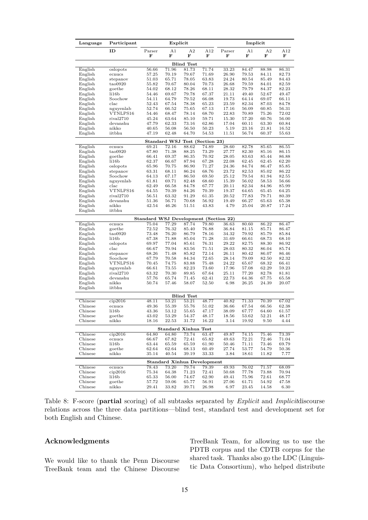| Language           | Participant            | Explicit                                       |                                    |                   |                   | Implicit           |                     |                     |                |
|--------------------|------------------------|------------------------------------------------|------------------------------------|-------------------|-------------------|--------------------|---------------------|---------------------|----------------|
|                    | ID                     | Parser<br>F                                    | A <sub>1</sub><br>F                | A2<br>F           | A12<br>F          | Parser<br>F        | A <sub>1</sub><br>F | A <sub>2</sub><br>F | A12<br>F       |
|                    |                        |                                                |                                    | <b>Blind Test</b> |                   |                    |                     |                     |                |
| English            | oslopots               | 56.66                                          | 71.96                              | 81.73             | 71.74             | 33.23              | 84.47               | 88.98               | 86.31          |
| English            | ecnucs                 | 57.25                                          | 70.19                              | 79.67             | 71.69             | 26.90              | 79.53               | 84.11               | 82.73          |
| English            | stepanov               | 51.03                                          | 65.71                              | 78.05             | 63.83             | 24.24              | 80.54               | 85.49               | 84.43          |
| English            | tao0920                | 55.82                                          | 70.67                              | 80.04             | 70.73             | 26.68              | 79.59               | 84.01               | 82.59          |
| English            | goethe                 | 54.02                                          | 68.12                              | 78.26             | 68.11             | 28.32              | 79.79               | 84.37               | 82.23          |
| English<br>English | li16b<br>Soochow       | 54.46<br>54.11                                 | 69.67<br>64.79                     | 79.78<br>79.52    | 67.37<br>66.08    | 21.11<br>19.73     | 49.40<br>64.14      | 52.67<br>69.07      | 49.47<br>66.11 |
| English            | $_{\rm clac}$          | 52.43                                          | 67.54                              | 78.38             | 65.23             | 23.59              | 82.34               | 87.03               | 84.78          |
| English            | nguyenlab              | 52.74                                          | 66.52                              | 75.65             | 67.13             | 17.16              | 56.09               | 60.85               | 56.31          |
| English            | VTNLPS16               | 54.46                                          | 68.47                              | 78.14             | 68.70             | 22.83              | 70.89               | 75.26               | 72.02          |
| English            | rival2710              | 45.24                                          | 63.64                              | 85.10             | 59.71             | 15.30              | 57.20               | 60.76               | 56.00          |
| English            | devanshu               | 47.79                                          | 62.33                              | 73.16             | 62.86             | 17.04              | 60.11               | 63.30               | 60.84          |
| English            | nikko                  | 40.65                                          | 56.08                              | 56.50             | 50.23             | 5.19               | 23.16               | 21.81               | 16.52          |
| English            | iitbhu                 | 47.19                                          | 62.48                              | 64.70             | 54.53             | 11.51              | 56.74               | 60.37               | 55.63          |
|                    |                        |                                                | Standard WSJ                       |                   | Test (Section 23) |                    |                     |                     |                |
| English            | ecnucs                 | 69.21                                          | 72.16                              | 88.62             | 74.89             | $\overline{28.60}$ | 82.78               | 85.65               | 86.55          |
| English<br>English | tao0920<br>goethe      | 67.80<br>66.41                                 | 71.38<br>69.37                     | 88.25<br>86.35    | 73.29<br>70.92    | 27.77<br>28.05     | 82.30<br>83.63      | 85.16<br>85.44      | 86.15<br>86.88 |
| English            | li16b                  | 62.37                                          | 66.67                              | 87.94             | 67.28             | 22.08              | 62.45               | 62.45               | 62.20          |
| English            | oslopots               | 65.96                                          | 70.75                              | 86.90             | 71.27             | 24.36              | 84.74               | 86.47               | 85.85          |
| English            | stepanov               | 63.31                                          | 68.11                              | 86.24             | 68.76             | 23.72              | 82.53               | 85.02               | 86.22          |
| English            | Soochow                | 64.13                                          | 67.17                              | 86.50             | 69.50             | 25.12              | 79.54               | 81.94               | 82.55          |
| English            | nguyenlab              | 61.81                                          | 69.71                              | 82.48             | 68.60             | 15.39              | 56.02               | 58.53               | 56.66          |
| English            | $_{\rm clac}$          | 62.49                                          | 66.58                              | 84.78             | 67.77             | 20.11              | 82.34               | 84.96               | 85.99          |
| English            | VTNLPS16               | 64.55                                          | 70.39                              | 84.26             | 70.39             | 19.37              | 64.65               | 65.45               | 64.25          |
| English            | rival2710              | 56.51                                          | 63.32                              | 91.29             | 61.35             | 20.52              | 77.83               | 79.71               | 80.39          |
| English<br>English | devanshu<br>nikko      | 51.36<br>42.54                                 | 56.71<br>46.26                     | 70.68<br>51.51    | 56.92<br>43.83    | 19.49<br>4.79      | 66.27<br>25.04      | 65.63<br>20.87      | 65.38<br>17.24 |
| English            | iitbhu                 |                                                |                                    |                   |                   |                    |                     |                     |                |
|                    |                        |                                                |                                    |                   |                   |                    |                     |                     |                |
| English            | ecnucs                 | Standard WSJ Development (Section 22)<br>75.04 | 77.29                              | 87.74             | 79.80             | 36.63              | 80.60               | 86.22               | 86.47          |
| English            | goethe                 | 72.52                                          | 76.32                              | 85.40             | 76.88             | 36.84              | 81.15               | 85.71               | 86.47          |
| English            | tao0920                | 73.48                                          | 76.20                              | 86.79             | 78.16             | 34.32              | 79.92               | 85.79               | 85.84          |
| English            | li16b                  | 67.38                                          | 71.88                              | 85.04             | 71.28             | 31.69              | 66.61               | 68.73               | 68.10          |
| English            | oslopots               | 69.97                                          | 77.04                              | 85.61             | 76.31             | 29.22              | 82.75               | 88.30               | 86.92          |
| English            | $_{\rm clac}$          | 66.67                                          | 70.94                              | 83.56             | 71.51             | 28.03              | 80.32               | 86.04               | 85.74          |
| English            | stepanov               | 68.26                                          | 71.48                              | 85.82             | 72.14             | 26.11              | 80.42               | 86.07               | 86.46          |
| English            | Soochow                | 67.79                                          | 70.58                              | 84.34             | 72.65             | 28.14              | 79.09               | 82.50               | 82.32          |
| English<br>English | VTNLPS16               | 70.45                                          | 74.75                              | 83.88             | 75.48             | 24.22              | 65.67               | 68.32<br>62.29      | 66.41          |
| English            | nguyenlab<br>rival2710 | 66.61<br>63.32                                 | 73.55<br>70.30                     | 82.23<br>89.85    | 73.60<br>67.64    | 17.96<br>25.11     | 57.08<br>77.20      | 82.78               | 59.23<br>81.81 |
| English            | devanshu               | 57.76                                          | 65.74                              | 71.45             | 62.41             | 22.73              | 64.36               | 67.75               | 65.58          |
| English            | nikko                  | 50.74                                          | 57.46                              | 58.07             | 52.50             | 6.98               | 26.25               | 24.39               | 20.07          |
| English            | iitbhu                 |                                                |                                    |                   |                   |                    |                     |                     |                |
|                    |                        |                                                |                                    | <b>Blind Test</b> |                   |                    |                     |                     |                |
| Chinese            | cip2016                | 48.11                                          | 53.21                              | 53.21             | 48.77             | 40.82              | 71.33               | 70.39               | 67.02          |
| Chinese            | ecnucs                 | 49.36                                          | 55.39                              | 55.76             | 51.02             | 36.66              | 67.54               | 66.56               | 62.38          |
| Chinese            | 116 <sub>b</sub>       | 43.36                                          | 53.12                              | 55.65             | 47.17             | 38.09              | 67.77               | 64.60               | 61.57          |
| Chinese            | goethe                 | 43.02                                          | 53.29                              | 54.37             | 48.17             | 18.56              | 53.62               | 52.21               | 48.17          |
| Chinese            | nikko                  | 18.16                                          | 22.53                              | 31.72             | 16.22             | 3.14               | 19.92               | 9.50                | 4.44           |
|                    |                        |                                                | Standard Xinhua Test               |                   |                   |                    |                     |                     |                |
| Chinese            | cip2016                | 64.80                                          | 64.80                              | 73.74             | 63.47             | 49.87              | 74.15               | 75.46               | 73.39          |
| Chinese<br>Chinese | ecnucs<br>li16b        | 66.67<br>63.44                                 | 67.82<br>65.59                     | 72.41<br>65.59    | 65.82<br>61.90    | 49.63<br>50.46     | 72.21<br>71.11      | 72.46<br>73.46      | 71.04<br>69.79 |
| Chinese            | goethe                 | 62.64                                          | 62.64                              | 68.13             | 60.49             | 27.74              | 53.77               | 54.79               | 50.36          |
| Chinese            | nikko                  | 35.14                                          | 40.54                              | 39.19             | 33.33             | 3.84               | 18.61               | 11.82               | 7.77           |
|                    |                        |                                                | <b>Standard Xinhua Development</b> |                   |                   |                    |                     |                     |                |
| Chinese            | ecnucs                 | 78.43                                          | 73.20                              | 79.74             | 79.39             | 49.93              | 76.02               | 71.57               | 68.09          |
| Chinese            | cip2016                | 75.34                                          | 64.38                              | 71.23             | 72.41             | 50.68              | 77.78               | 73.88               | 70.94          |
| Chinese            | li16b                  | 65.33                                          | 56.00                              | 74.67             | 62.90             | 49.41              | 75.96               | 72.61               | 68.77          |
| Chinese            | goethe                 | 57.72                                          | 59.06                              | 65.77             | 56.91             | 27.06              | 61.71               | 54.92               | 47.58          |
| Chinese            | nikko                  | 29.41                                          | 33.82                              | 39.71             | 26.98             | 6.97               | 23.45               | 14.58               | 6.30           |

Table 8: F-score (**partial** scoring) of all subtasks separated by *Explicit* and *Implicit*discourse relations across the three data partitions—blind test, standard test and development set for both English and Chinese.

#### **Acknowledgments**

We would like to thank the Penn Discourse TreeBank team and the Chinese Discourse TreeBank Team, for allowing us to use the PDTB corpus and the CDTB corpus for the shared task. Thanks also go the LDC (Linguistic Data Consortium), who helped distribute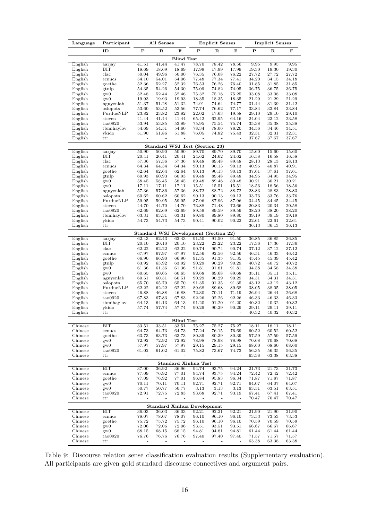| Language           | Participant               | All Senses                   |                              |                          |                                    | <b>Explicit Senses</b>                         |                | <b>Implicit Senses</b> |                |                |
|--------------------|---------------------------|------------------------------|------------------------------|--------------------------|------------------------------------|------------------------------------------------|----------------|------------------------|----------------|----------------|
|                    | ID                        | P                            | R                            | F                        | P                                  | ${\bf R}$                                      | F              | Р                      | $_{\rm R}$     | F              |
|                    |                           |                              |                              | <b>Blind Test</b>        |                                    |                                                |                |                        |                |                |
| English            | aarjay                    | 41.51                        | 41.44                        | 41.47                    | 78.70                              | 78.42                                          | 78.56          | 9.95                   | 9.95           | 9.95           |
| English            | BIT                       | 18.69                        | 18.69                        | 18.69                    | 17.99                              | 17.99                                          | 17.99          | 19.30                  | 19.30          | 19.30          |
| English            | $_{\rm clac}$             | 50.04                        | 49.96                        | 50.00                    | 76.35                              | 76.08                                          | 76.22          | 27.72                  | 27.72          | 27.72          |
| English            | ecnucs                    | 54.10                        | 54.01                        | 54.06<br>52.32           | 77.48<br>76.53                     | 77.34<br>76.26                                 | 77.41<br>76.40 | 34.20<br>31.85         | 34.15          | 34.18          |
| English<br>English | goethe<br>gtnlp           | 52.36<br>54.35               | 52.27<br>54.26               | 54.30                    | 75.09                              | 74.82                                          | 74.95          | 36.75                  | 31.85<br>36.75 | 31.85<br>36.75 |
| English            | $g_{\rm W}$               | 52.48                        | 52.44                        | 52.46                    | 75.32                              | 75.18                                          | 75.25          | 33.08                  | 33.08          | 33.08          |
| English            | gw0                       | 19.93                        | 19.93                        | 19.93                    | 18.35                              | 18.35                                          | 18.35          | 21.29                  | 21.29          | 21.29          |
| English            | nguyenlab                 | 51.37                        | 51.28                        | 51.32                    | 74.91                              | 74.64                                          | 74.77          | 31.44                  | 31.39          | 31.42          |
| English            | oslopots                  | 53.60                        | 53.52                        | 53.56                    | 77.74                              | 76.62                                          | 77.17          | 33.84                  | 33.84          | 33.84          |
| English            | PurdueNLP                 | 23.82                        | 23.82                        | 23.82                    | 22.02                              | 17.63                                          | 19.58          | 29.10                  | 29.10          | 29.10          |
| English            | steven                    | 41.44<br>53.94               | 41.44                        | 41.44<br>53.89           | 65.42                              | 62.95                                          | 64.16          | 24.04                  | 23.12          | 23.58          |
| English<br>English | tao0920<br>tbmihaylov     | 54.69                        | 53.85<br>54.51               | 54.60                    | 75.95<br>78.34                     | 75.54<br>78.06                                 | 75.74<br>78.20 | 35.38<br>34.56         | 35.38<br>34.46 | 35.38<br>34.51 |
| English            | ykido                     | 51.90                        | 51.86                        | 51.88                    | 76.05                              | 74.82                                          | 75.43          | 32.31                  | 32.31          | 32.31          |
| English            | ttr                       |                              |                              |                          |                                    |                                                |                | 37.67                  | 37.67          | 37.67          |
|                    |                           |                              |                              |                          | Standard WSJ Test (Section 23)     |                                                |                |                        |                |                |
| English            | aarjay                    | 50.90                        | 50.90                        | 50.90                    | 89.70                              | 89.70                                          | 89.70          | 15.60                  | 15.60          | 15.60          |
| English            | BIT                       | 20.41                        | 20.41                        | 20.41                    | 24.62                              | 24.62                                          | 24.62          | 16.58                  | 16.58          | 16.58          |
| English            | $_{\rm clac}$             | 57.36                        | 57.36                        | 57.36                    | 89.48                              | 89.48                                          | 89.48          | 28.13                  | 28.13          | 28.13          |
| English            | ecnucs                    | 64.34                        | 64.34                        | 64.34                    | 90.13                              | 90.13                                          | 90.13          | 40.95                  | 40.87          | 40.91          |
| English<br>English | goethe<br>gtnlp           | 62.64<br>60.93               | 62.64<br>60.93               | 62.64<br>60.93           | 90.13<br>89.48                     | 90.13<br>89.48                                 | 90.13<br>89.48 | 37.61<br>34.95         | 37.61<br>34.95 | 37.61<br>34.95 |
| English            | $g_{\rm W}$               | 58.45                        | 58.45                        | 58.45                    | 89.48                              | 89.48                                          | 89.48          | 30.21                  | 30.21          | 30.21          |
| English            | gw0                       | 17.11                        | 17.11                        | 17.11                    | 15.51                              | 15.51                                          | 15.51          | 18.56                  | 18.56          | 18.56          |
| English            | nguyenlab                 | 57.36                        | 57.36                        | 57.36                    | 88.72                              | 88.72                                          | 88.72          | 28.83                  | 28.83          | 28.83          |
| English            | oslopots                  | 60.62                        | 60.62                        | 60.62                    | 90.13                              | 90.13                                          | 90.13          | 33.76                  | 33.76          | 33.76          |
| English            | PurdueNLP                 | 59.95                        | 59.95                        | 59.95                    | 87.96                              | 87.96                                          | 87.96          | 34.45                  | 34.45          | 34.45          |
| English            | steven                    | 44.70                        | 44.70                        | 44.70                    | 73.88                              | 71.48                                          | 72.66          | 20.83                  | 20.34          | 20.58          |
| English<br>English | tao0920                   | 62.69                        | 62.69                        | 62.69                    | 89.59                              | 89.59                                          | 89.59          | 38.20<br>39.19         | 38.20          | 38.20          |
| English            | tbmihaylov<br>ykido       | 63.31<br>54.73               | 63.31<br>54.73               | 63.31<br>54.73           | 89.80<br>90.41                     | 89.80<br>90.02                                 | 89.80<br>90.22 | 22.61                  | 39.19<br>22.61 | 39.19<br>22.61 |
| English            | ttr                       | $\qquad \qquad \blacksquare$ | ÷                            | $\overline{\phantom{0}}$ | $\overline{\phantom{m}}$           | ÷                                              | ÷,             | 36.13                  | 36.13          | 36.13          |
|                    |                           |                              |                              |                          |                                    |                                                |                |                        |                |                |
| English            | aarjay                    | 62.43                        | 62.43                        | 62.43                    | 91.50                              | Standard WSJ Development (Section 22)<br>91.50 | 91.50          | 36.85                  | 36.85          | 36.85          |
| English            | BIT                       | 20.10                        | 20.10                        | 20.10                    | 23.22                              | 23.22                                          | 23.22          | 17.36                  | 17.36          | 17.36          |
| English            | $_{\rm clac}$             | 62.22                        | 62.22                        | 62.22                    | 90.74                              | 90.74                                          | 90.74          | 37.12                  | 37.12          | 37.12          |
| English            | ecnucs                    | 67.97                        | 67.97                        | 67.97                    | 92.56                              | 92.56                                          | 92.56          | 46.51                  | 46.33          | 46.42          |
| English            | goethe                    | 66.90                        | 66.90                        | 66.90                    | 91.35                              | 91.35                                          | 91.35          | 45.45                  | 45.39          | 45.42          |
| English            | gtnlp                     | 63.92                        | 63.92                        | 63.92                    | 90.29                              | 90.29                                          | 90.29          | 40.72                  | 40.72          | 40.72          |
| English<br>English | $g_{\rm W}$<br>gw0        | 61.36<br>60.65               | 61.36<br>60.65               | 61.36<br>60.65           | 91.81<br>89.68                     | 91.81<br>89.68                                 | 91.81<br>89.68 | 34.58<br>35.11         | 34.58<br>35.11 | 34.58<br>35.11 |
| English            | nguyenlab                 | 60.51                        | 60.51                        | 60.51                    | 90.29                              | 90.29                                          | 90.29          | 34.31                  | 34.31          | 34.31          |
| English            | oslopots                  | 65.70                        | 65.70                        | 65.70                    | 91.35                              | 91.35                                          | 91.35          | 43.12                  | 43.12          | 43.12          |
| English            | PurdueNLP                 | 62.22                        | 62.22                        | 62.22                    | 89.68                              | 89.68                                          | 89.68          | 38.05                  | 38.05          | 38.05          |
| English            | steven                    | 46.88                        | 46.88                        | 46.88                    | 72.30                              | 70.11                                          | 71.19          | 26.94                  | 26.44          | 26.68          |
| English            | tao0920                   | 67.83                        | 67.83                        | 67.83                    | 92.26                              | 92.26                                          | 92.26          | 46.33                  | 46.33          | 46.33          |
| English            | tbmihaylov                | 64.13                        | 64.13                        | 64.13                    | 91.20                              | 91.20                                          | 91.20          | 40.32                  | 40.32          | 40.32          |
| English            | ykido                     | 57.74                        | 57.74                        | 57.74                    | 90.29                              | 90.29                                          | 90.29<br>÷     | 29.11                  | 29.11          | 29.11          |
| English            | ttr                       | $\overline{\phantom{a}}$     | $\overline{a}$               | $\overline{a}$           | ÷,                                 | $\overline{\phantom{a}}$                       |                | 40.32                  | 40.32          | 40.32          |
|                    | $\overline{\mathrm{BIT}}$ |                              |                              | <b>Blind Test</b>        |                                    |                                                |                |                        |                |                |
| Chinese<br>Chinese | ecnucs                    | 33.51<br>64.73               | 33.51<br>64.73               | 33.51<br>64.73           | 75.27<br>77.24                     | 75.27<br>76.15                                 | 75.27<br>76.69 | 18.11<br>60.52         | 18.11<br>60.52 | 18.11<br>60.52 |
| Chinese            | goethe                    | 63.73                        | 63.73                        | 63.73                    | 80.39                              | 80.39                                          | 80.39          | 57.59                  | 57.59          | 57.59          |
| Chinese            | gw0                       | 72.92                        | 72.92                        | 72.92                    | 78.98                              | 78.98                                          | 78.98          | 70.68                  | 70.68          | 70.68          |
| Chinese            | gw0                       | 57.97                        | 57.97                        | 57.97                    | 29.15                              | 29.15                                          | 29.15          | 68.60                  | 68.60          | 68.60          |
| Chinese            | tao0920                   | 61.02                        | 61.02                        | 61.02                    | 75.82                              | 73.67                                          | 74.73          | 56.35                  | 56.35          | 56.35          |
| Chinese            | ttr                       | $\frac{1}{2}$                | $\qquad \qquad \blacksquare$ | ÷                        | $\overline{\phantom{m}}$           |                                                | $\overline{a}$ | 63.38                  | 63.38          | 63.38          |
|                    |                           |                              |                              |                          | <b>Standard Xinhua Test</b>        |                                                |                |                        |                |                |
| Chinese            | ВIТ                       | 37.00                        | 36.92                        | 36.96                    | 94.74                              | 93.75                                          | 94.24          | 21.73                  | 21.73          | 21.73          |
| Chinese            | ecnucs                    | 77.09                        | 76.92                        | 77.01                    | 94.74                              | 93.75                                          | 94.24          | 72.42                  | 72.42          | 72.42          |
| Chinese<br>Chinese | goethe<br>gw0             | 77.09<br>70.11               | 76.92<br>70.11               | 77.01<br>70.11           | 96.84<br>92.71                     | 95.83<br>92.71                                 | 96.34<br>92.71 | 71.87<br>64.07         | 71.87<br>64.07 | 71.87<br>64.07 |
| Chinese            | gw0                       | 50.77                        | 50.77                        | 50.77                    | 3.13                               | 3.13                                           | 3.13           | 63.51                  | 63.51          | 63.51          |
| Chinese            | tao0920                   | 72.91                        | 72.75                        | 72.83                    | 93.68                              | 92.71                                          | 93.19          | 67.41                  | 67.41          | 67.41          |
| Chinese            | ttr                       | $\overline{\phantom{0}}$     | $\qquad \qquad \blacksquare$ | -                        | -                                  | $\overline{\phantom{m}}$                       | $\overline{a}$ | 70.47                  | 70.47          | 70.47          |
|                    |                           |                              |                              |                          | <b>Standard Xinhua Development</b> |                                                |                |                        |                |                |
| Chinese            | ВIТ                       | 36.03                        | 36.03                        | 36.03                    | 92.21                              | 92.21                                          | 92.21          | 21.90                  | 21.90          | 21.90          |
| Chinese            | ecnucs                    | 78.07                        | 78.07                        | 78.07                    | 96.10                              | 96.10                                          | 96.10          | 73.53                  | 73.53          | 73.53          |
| Chinese            | goethe                    | 75.72                        | 75.72                        | 75.72                    | 96.10                              | 96.10                                          | 96.10          | 70.59                  | 70.59          | 70.59          |
| Chinese            | gw0                       | 72.06                        | 72.06                        | 72.06                    | 93.51                              | 93.51                                          | 93.51          | 66.67                  | 66.67          | 66.67          |
| Chinese<br>Chinese | gw0<br>tao0920            | 68.15<br>76.76               | 68.15<br>76.76               | 68.15<br>76.76           | 94.81<br>97.40                     | 94.81<br>97.40                                 | 94.81<br>97.40 | 61.44<br>71.57         | 61.44<br>71.57 | 61.44<br>71.57 |
| Chinese            | ttr                       |                              |                              |                          |                                    |                                                |                | 63.38                  | 63.38          | 63.38          |
|                    |                           |                              |                              |                          |                                    |                                                |                |                        |                |                |

Table 9: Discourse relation sense classification evaluation results (Supplementary evaluation). All participants are given gold standard discourse connectives and argument pairs.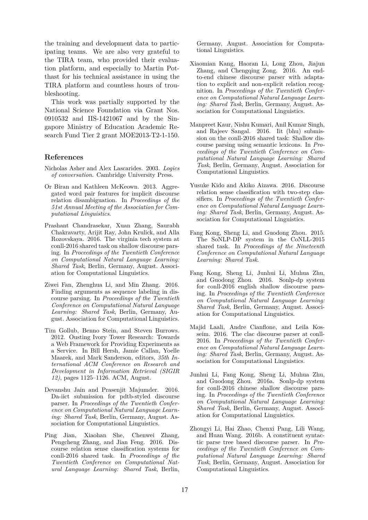the training and development data to participating teams. We are also very grateful to the TIRA team, who provided their evaluation platform, and especially to Martin Potthast for his technical assistance in using the TIRA platform and countless hours of troubleshooting.

This work was partially supported by the National Science Foundation via Grant Nos. 0910532 and IIS-1421067 and by the Singapore Ministry of Education Academic Research Fund Tier 2 grant MOE2013-T2-1-150.

#### **References**

- Nicholas Asher and Alex Lascarides. 2003. *Logics of conversation*. Cambridge University Press.
- Or Biran and Kathleen McKeown. 2013. Aggregated word pair features for implicit discourse relation disambiguation. In *Proceedings of the 51st Annual Meeting of the Association for Computational Linguistics*.
- Prashant Chandrasekar, Xuan Zhang, Saurabh Chakravarty, Arijit Ray, John Krulick, and Alla Rozovskaya. 2016. The virginia tech system at conll-2016 shared task on shallow discourse parsing. In *Proceedings of the Twentieth Conference on Computational Natural Language Learning: Shared Task*, Berlin, Germany, August. Association for Computational Linguistics.
- Ziwei Fan, Zhenghua Li, and Min Zhang. 2016. Finding arguments as sequence labeling in discourse parsing. In *Proceedings of the Twentieth Conference on Computational Natural Language Learning: Shared Task*, Berlin, Germany, August. Association for Computational Linguistics.
- Tim Gollub, Benno Stein, and Steven Burrows. 2012. Ousting Ivory Tower Research: Towards a Web Framework for Providing Experiments as a Service. In Bill Hersh, Jamie Callan, Yoelle Maarek, and Mark Sanderson, editors, *35th International ACM Conference on Research and Development in Information Retrieval (SIGIR 12)*, pages 1125–1126. ACM, August.
- Devanshu Jain and Prasenjit Majumder. 2016. Da-iict submission for pdtb-styled discourse parser. In *Proceedings of the Twentieth Conference on Computational Natural Language Learning: Shared Task*, Berlin, Germany, August. Association for Computational Linguistics.
- Ping Jian, Xiaohan She, Chenwei Zhang, Pengcheng Zhang, and Jian Feng. 2016. Discourse relation sense classification systems for conll-2016 shared task. In *Proceedings of the Twentieth Conference on Computational Natural Language Learning: Shared Task*, Berlin,

Germany, August. Association for Computational Linguistics.

- Xiaomian Kang, Haoran Li, Long Zhou, Jiajun Zhang, and Chengqing Zong. 2016. An endto-end chinese discourse parser with adaptation to explicit and non-explicit relation recognition. In *Proceedings of the Twentieth Conference on Computational Natural Language Learning: Shared Task*, Berlin, Germany, August. Association for Computational Linguistics.
- Manpreet Kaur, Nishu Kumari, Anil Kumar Singh, and Rajeev Sangal. 2016. Iit (bhu) submission on the conll-2016 shared task: Shallow discourse parsing using semantic lexicons. In *Proceedings of the Twentieth Conference on Computational Natural Language Learning: Shared Task*, Berlin, Germany, August. Association for Computational Linguistics.
- Yusuke Kido and Akiko Aizawa. 2016. Discourse relation sense classification with two-step classifiers. In *Proceedings of the Twentieth Conference on Computational Natural Language Learning: Shared Task*, Berlin, Germany, August. Association for Computational Linguistics.
- Fang Kong, Sheng Li, and Guodong Zhou. 2015. The SoNLP-DP system in the CoNLL-2015 shared task. In *Proceedings of the Nineteenth Conference on Computational Natural Language Learning: Shared Task*.
- Fang Kong, Sheng Li, Junhui Li, Muhua Zhu, and Guodong Zhou. 2016. Sonlp-dp system for conll-2016 english shallow discourse parsing. In *Proceedings of the Twentieth Conference on Computational Natural Language Learning: Shared Task*, Berlin, Germany, August. Association for Computational Linguistics.
- Majid Laali, Andre Cianflone, and Leila Kosseim. 2016. The clac discourse parser at conll-2016. In *Proceedings of the Twentieth Conference on Computational Natural Language Learning: Shared Task*, Berlin, Germany, August. Association for Computational Linguistics.
- Junhui Li, Fang Kong, Sheng Li, Muhua Zhu, and Guodong Zhou. 2016a. Sonlp-dp system for conll-2016 chinese shallow discourse parsing. In *Proceedings of the Twentieth Conference on Computational Natural Language Learning: Shared Task*, Berlin, Germany, August. Association for Computational Linguistics.
- Zhongyi Li, Hai Zhao, Chenxi Pang, Lili Wang, and Huan Wang. 2016b. A constituent syntactic parse tree based discourse parser. In *Proceedings of the Twentieth Conference on Computational Natural Language Learning: Shared Task*, Berlin, Germany, August. Association for Computational Linguistics.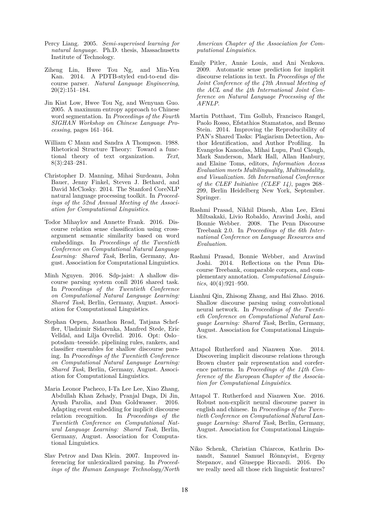- Percy Liang. 2005. *Semi-supervised learning for natural language*. Ph.D. thesis, Massachusetts Institute of Technology.
- Ziheng Lin, Hwee Tou Ng, and Min-Yen Kan. 2014. A PDTB-styled end-to-end discourse parser. *Natural Language Engineering*, 20(2):151–184.
- Jin Kiat Low, Hwee Tou Ng, and Wenyuan Guo. 2005. A maximum entropy approach to Chinese word segmentation. In *Proceedings of the Fourth SIGHAN Workshop on Chinese Language Processing*, pages 161–164.
- William C Mann and Sandra A Thompson. 1988. Rhetorical Structure Theory: Toward a functional theory of text organization. *Text*, 8(3):243–281.
- Christopher D. Manning, Mihai Surdeanu, John Bauer, Jenny Finkel, Steven J. Bethard, and David McClosky. 2014. The Stanford CoreNLP natural language processing toolkit. In *Proceedings of the 52nd Annual Meeting of the Association for Computational Linguistics.*
- Todor Mihaylov and Annette Frank. 2016. Discourse relation sense classification using crossargument semantic similarity based on word embeddings. In *Proceedings of the Twentieth Conference on Computational Natural Language Learning: Shared Task*, Berlin, Germany, August. Association for Computational Linguistics.
- Minh Nguyen. 2016. Sdp-jaist: A shallow discourse parsing system conll 2016 shared task. In *Proceedings of the Twentieth Conference on Computational Natural Language Learning: Shared Task*, Berlin, Germany, August. Association for Computational Linguistics.
- Stephan Oepen, Jonathon Read, Tatjana Scheffler, Uladzimir Sidarenka, Manfred Stede, Eric Velldal, and Lilja Ovrelid. 2016. Opt: Oslo– potsdam–teesside. pipelining rules, rankers, and classifier ensembles for shallow discourse parsing. In *Proceedings of the Twentieth Conference on Computational Natural Language Learning: Shared Task*, Berlin, Germany, August. Association for Computational Linguistics.
- Maria Leonor Pacheco, I-Ta Lee Lee, Xiao Zhang, Abdullah Khan Zehady, Pranjal Daga, Di Jin, Ayush Parolia, and Dan Goldwasser. 2016. Adapting event embedding for implicit discourse relation recognition. In *Proceedings of the Twentieth Conference on Computational Natural Language Learning: Shared Task*, Berlin, Germany, August. Association for Computational Linguistics.
- Slav Petrov and Dan Klein. 2007. Improved inferencing for unlexicalized parsing. In *Proceedings of the Human Language Technology/North*

*American Chapter of the Association for Computational Linguistics*.

- Emily Pitler, Annie Louis, and Ani Nenkova. 2009. Automatic sense prediction for implicit discourse relations in text. In *Proceedings of the Joint Conference of the 47th Annual Meeting of the ACL and the 4th International Joint Conference on Natural Language Processing of the AFNLP*.
- Martin Potthast, Tim Gollub, Francisco Rangel, Paolo Rosso, Efstathios Stamatatos, and Benno Stein. 2014. Improving the Reproducibility of PAN's Shared Tasks: Plagiarism Detection, Author Identification, and Author Profiling. In Evangelos Kanoulas, Mihai Lupu, Paul Clough, Mark Sanderson, Mark Hall, Allan Hanbury, and Elaine Toms, editors, *Information Access Evaluation meets Multilinguality, Multimodality, and Visualization. 5th International Conference of the CLEF Initiative (CLEF 14)*, pages 268– 299, Berlin Heidelberg New York, September. Springer.
- Rashmi Prasad, Nikhil Dinesh, Alan Lee, Eleni Miltsakaki, Livio Robaldo, Aravind Joshi, and Bonnie Webber. 2008. The Penn Discourse Treebank 2.0. In *Proceedings of the 6th International Conference on Language Resources and Evaluation*.
- Rashmi Prasad, Bonnie Webber, and Aravind Joshi. 2014. Reflections on the Penn Discourse Treebank, comparable corpora, and complementary annotation. *Computational Linguistics*, 40(4):921–950.
- Lianhui Qin, Zhisong Zhang, and Hai Zhao. 2016. Shallow discourse parsing using convolutional neural network. In *Proceedings of the Twentieth Conference on Computational Natural Language Learning: Shared Task*, Berlin, Germany, August. Association for Computational Linguistics.
- Attapol Rutherford and Nianwen Xue. 2014. Discovering implicit discourse relations through Brown cluster pair representation and coreference patterns. In *Proceedings of the 14th Conference of the European Chapter of the Association for Computational Linguistics*.
- Attapol T. Rutherford and Nianwen Xue. 2016. Robust non-explicit neural discourse parser in english and chinese. In *Proceedings of the Twentieth Conference on Computational Natural Language Learning: Shared Task*, Berlin, Germany, August. Association for Computational Linguistics.
- Niko Schenk, Christian Chiarcos, Kathrin Donandt, Samuel Samuel Rönnqvist, Evgeny Stepanov, and Giuseppe Riccardi. 2016. Do we really need all those rich linguistic features?